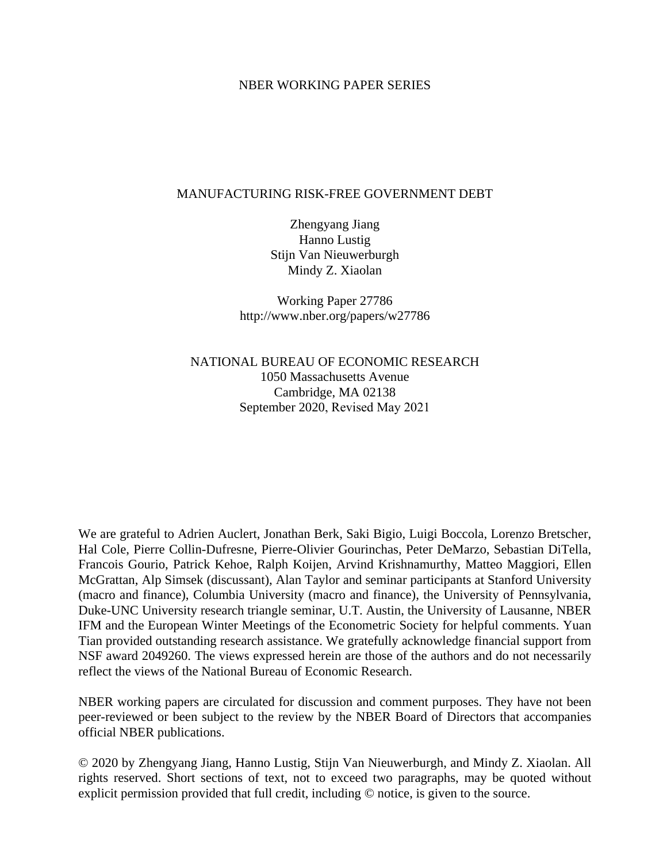# NBER WORKING PAPER SERIES

# MANUFACTURING RISK-FREE GOVERNMENT DEBT

Zhengyang Jiang Hanno Lustig Stijn Van Nieuwerburgh Mindy Z. Xiaolan

Working Paper 27786 http://www.nber.org/papers/w27786

NATIONAL BUREAU OF ECONOMIC RESEARCH 1050 Massachusetts Avenue Cambridge, MA 02138 September 2020, Revised May 2021

We are grateful to Adrien Auclert, Jonathan Berk, Saki Bigio, Luigi Boccola, Lorenzo Bretscher, Hal Cole, Pierre Collin-Dufresne, Pierre-Olivier Gourinchas, Peter DeMarzo, Sebastian DiTella, Francois Gourio, Patrick Kehoe, Ralph Koijen, Arvind Krishnamurthy, Matteo Maggiori, Ellen McGrattan, Alp Simsek (discussant), Alan Taylor and seminar participants at Stanford University (macro and finance), Columbia University (macro and finance), the University of Pennsylvania, Duke-UNC University research triangle seminar, U.T. Austin, the University of Lausanne, NBER IFM and the European Winter Meetings of the Econometric Society for helpful comments. Yuan Tian provided outstanding research assistance. We gratefully acknowledge financial support from NSF award 2049260. The views expressed herein are those of the authors and do not necessarily reflect the views of the National Bureau of Economic Research.

NBER working papers are circulated for discussion and comment purposes. They have not been peer-reviewed or been subject to the review by the NBER Board of Directors that accompanies official NBER publications.

© 2020 by Zhengyang Jiang, Hanno Lustig, Stijn Van Nieuwerburgh, and Mindy Z. Xiaolan. All rights reserved. Short sections of text, not to exceed two paragraphs, may be quoted without explicit permission provided that full credit, including © notice, is given to the source.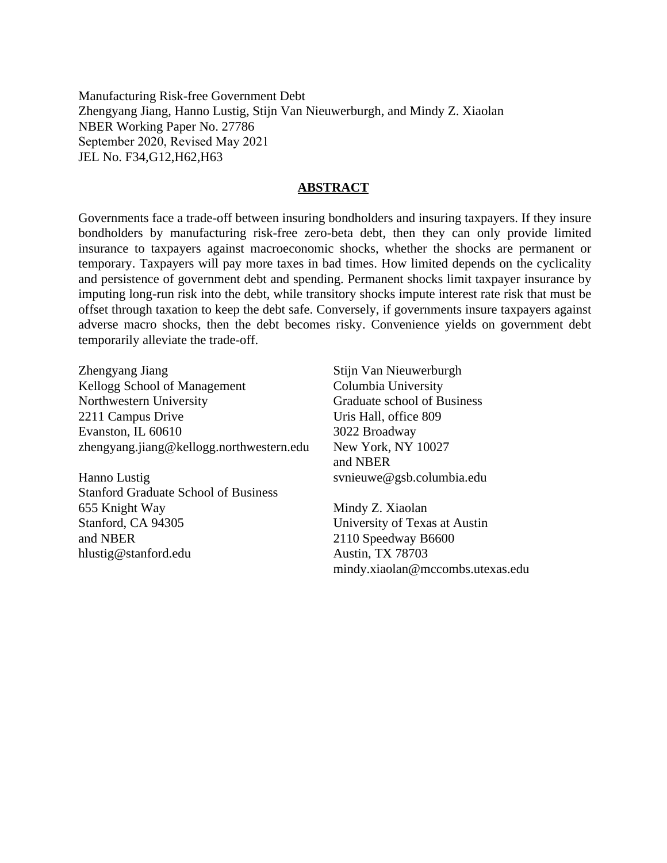Manufacturing Risk-free Government Debt Zhengyang Jiang, Hanno Lustig, Stijn Van Nieuwerburgh, and Mindy Z. Xiaolan NBER Working Paper No. 27786 September 2020, Revised May 2021 JEL No. F34,G12,H62,H63

# **ABSTRACT**

Governments face a trade-off between insuring bondholders and insuring taxpayers. If they insure bondholders by manufacturing risk-free zero-beta debt, then they can only provide limited insurance to taxpayers against macroeconomic shocks, whether the shocks are permanent or temporary. Taxpayers will pay more taxes in bad times. How limited depends on the cyclicality and persistence of government debt and spending. Permanent shocks limit taxpayer insurance by imputing long-run risk into the debt, while transitory shocks impute interest rate risk that must be offset through taxation to keep the debt safe. Conversely, if governments insure taxpayers against adverse macro shocks, then the debt becomes risky. Convenience yields on government debt temporarily alleviate the trade-off.

Zhengyang Jiang Kellogg School of Management Northwestern University 2211 Campus Drive Evanston, IL 60610 zhengyang.jiang@kellogg.northwestern.edu

Hanno Lustig Stanford Graduate School of Business 655 Knight Way Stanford, CA 94305 and NBER hlustig@stanford.edu

Stijn Van Nieuwerburgh Columbia University Graduate school of Business Uris Hall, office 809 3022 Broadway New York, NY 10027 and NBER svnieuwe@gsb.columbia.edu

Mindy Z. Xiaolan University of Texas at Austin 2110 Speedway B6600 Austin, TX 78703 mindy.xiaolan@mccombs.utexas.edu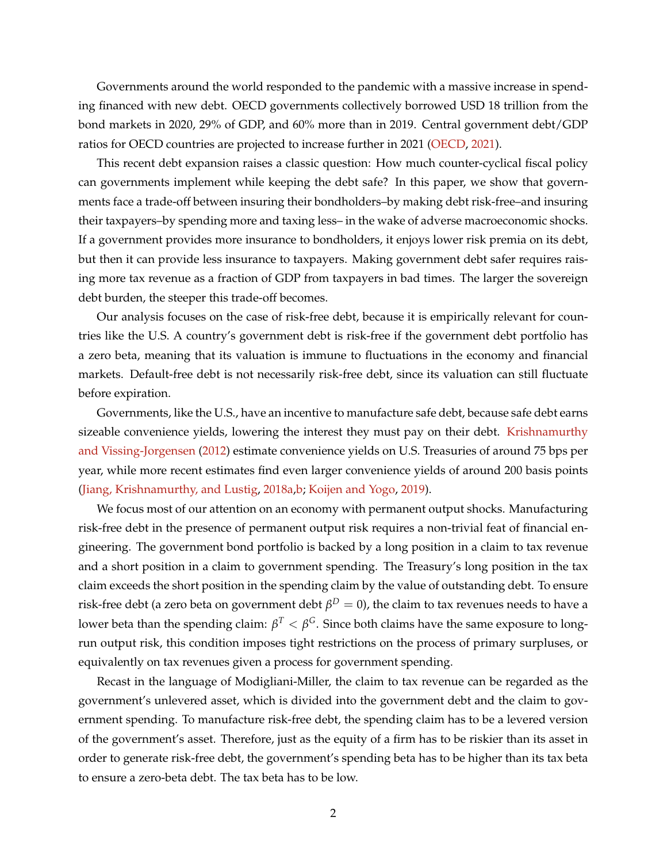Governments around the world responded to the pandemic with a massive increase in spending financed with new debt. OECD governments collectively borrowed USD 18 trillion from the bond markets in 2020, 29% of GDP, and 60% more than in 2019. Central government debt/GDP ratios for OECD countries are projected to increase further in 2021 [\(OECD,](#page-50-0) [2021\)](#page-50-0).

This recent debt expansion raises a classic question: How much counter-cyclical fiscal policy can governments implement while keeping the debt safe? In this paper, we show that governments face a trade-off between insuring their bondholders–by making debt risk-free–and insuring their taxpayers–by spending more and taxing less– in the wake of adverse macroeconomic shocks. If a government provides more insurance to bondholders, it enjoys lower risk premia on its debt, but then it can provide less insurance to taxpayers. Making government debt safer requires raising more tax revenue as a fraction of GDP from taxpayers in bad times. The larger the sovereign debt burden, the steeper this trade-off becomes.

Our analysis focuses on the case of risk-free debt, because it is empirically relevant for countries like the U.S. A country's government debt is risk-free if the government debt portfolio has a zero beta, meaning that its valuation is immune to fluctuations in the economy and financial markets. Default-free debt is not necessarily risk-free debt, since its valuation can still fluctuate before expiration.

Governments, like the U.S., have an incentive to manufacture safe debt, because safe debt earns sizeable convenience yields, lowering the interest they must pay on their debt. [Krishnamurthy](#page-50-1) [and Vissing-Jorgensen](#page-50-1) [\(2012\)](#page-50-1) estimate convenience yields on U.S. Treasuries of around 75 bps per year, while more recent estimates find even larger convenience yields of around 200 basis points [\(Jiang, Krishnamurthy, and Lustig,](#page-49-0) [2018a](#page-49-0)[,b;](#page-49-1) [Koijen and Yogo,](#page-50-2) [2019\)](#page-50-2).

We focus most of our attention on an economy with permanent output shocks. Manufacturing risk-free debt in the presence of permanent output risk requires a non-trivial feat of financial engineering. The government bond portfolio is backed by a long position in a claim to tax revenue and a short position in a claim to government spending. The Treasury's long position in the tax claim exceeds the short position in the spending claim by the value of outstanding debt. To ensure risk-free debt (a zero beta on government debt  $\beta^D=0$ ), the claim to tax revenues needs to have a lower beta than the spending claim:  $\beta^T<\beta^G.$  Since both claims have the same exposure to longrun output risk, this condition imposes tight restrictions on the process of primary surpluses, or equivalently on tax revenues given a process for government spending.

Recast in the language of Modigliani-Miller, the claim to tax revenue can be regarded as the government's unlevered asset, which is divided into the government debt and the claim to government spending. To manufacture risk-free debt, the spending claim has to be a levered version of the government's asset. Therefore, just as the equity of a firm has to be riskier than its asset in order to generate risk-free debt, the government's spending beta has to be higher than its tax beta to ensure a zero-beta debt. The tax beta has to be low.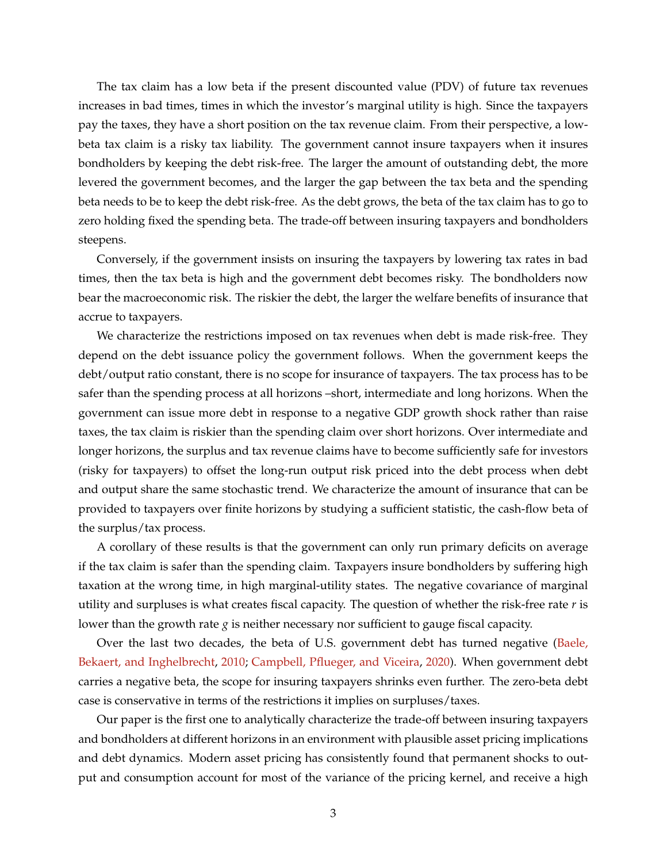The tax claim has a low beta if the present discounted value (PDV) of future tax revenues increases in bad times, times in which the investor's marginal utility is high. Since the taxpayers pay the taxes, they have a short position on the tax revenue claim. From their perspective, a lowbeta tax claim is a risky tax liability. The government cannot insure taxpayers when it insures bondholders by keeping the debt risk-free. The larger the amount of outstanding debt, the more levered the government becomes, and the larger the gap between the tax beta and the spending beta needs to be to keep the debt risk-free. As the debt grows, the beta of the tax claim has to go to zero holding fixed the spending beta. The trade-off between insuring taxpayers and bondholders steepens.

Conversely, if the government insists on insuring the taxpayers by lowering tax rates in bad times, then the tax beta is high and the government debt becomes risky. The bondholders now bear the macroeconomic risk. The riskier the debt, the larger the welfare benefits of insurance that accrue to taxpayers.

We characterize the restrictions imposed on tax revenues when debt is made risk-free. They depend on the debt issuance policy the government follows. When the government keeps the debt/output ratio constant, there is no scope for insurance of taxpayers. The tax process has to be safer than the spending process at all horizons –short, intermediate and long horizons. When the government can issue more debt in response to a negative GDP growth shock rather than raise taxes, the tax claim is riskier than the spending claim over short horizons. Over intermediate and longer horizons, the surplus and tax revenue claims have to become sufficiently safe for investors (risky for taxpayers) to offset the long-run output risk priced into the debt process when debt and output share the same stochastic trend. We characterize the amount of insurance that can be provided to taxpayers over finite horizons by studying a sufficient statistic, the cash-flow beta of the surplus/tax process.

A corollary of these results is that the government can only run primary deficits on average if the tax claim is safer than the spending claim. Taxpayers insure bondholders by suffering high taxation at the wrong time, in high marginal-utility states. The negative covariance of marginal utility and surpluses is what creates fiscal capacity. The question of whether the risk-free rate *r* is lower than the growth rate *g* is neither necessary nor sufficient to gauge fiscal capacity.

Over the last two decades, the beta of U.S. government debt has turned negative [\(Baele,](#page-46-0) [Bekaert, and Inghelbrecht,](#page-46-0) [2010;](#page-46-0) [Campbell, Pflueger, and Viceira,](#page-48-0) [2020\)](#page-48-0). When government debt carries a negative beta, the scope for insuring taxpayers shrinks even further. The zero-beta debt case is conservative in terms of the restrictions it implies on surpluses/taxes.

Our paper is the first one to analytically characterize the trade-off between insuring taxpayers and bondholders at different horizons in an environment with plausible asset pricing implications and debt dynamics. Modern asset pricing has consistently found that permanent shocks to output and consumption account for most of the variance of the pricing kernel, and receive a high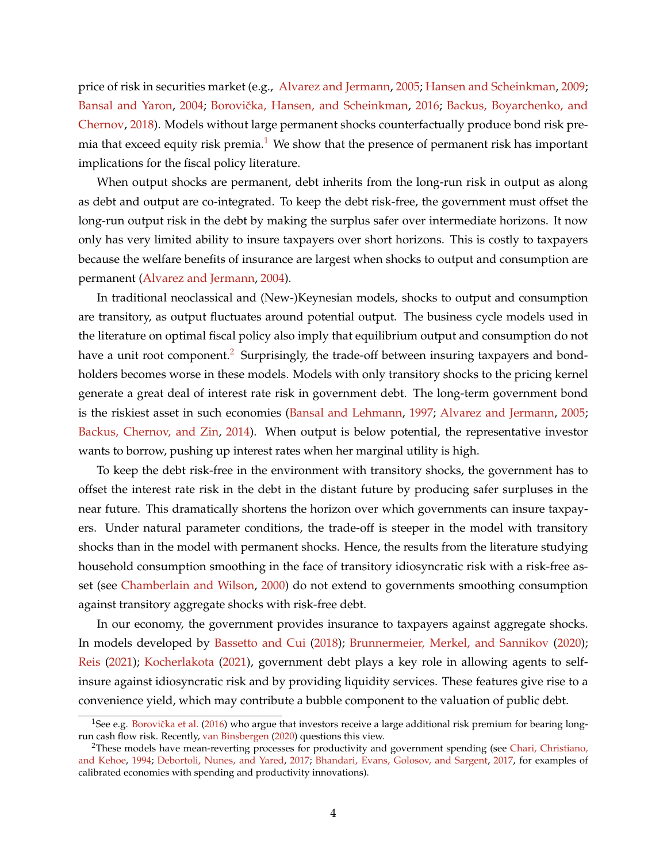price of risk in securities market (e.g., [Alvarez and Jermann,](#page-46-1) [2005;](#page-46-1) [Hansen and Scheinkman,](#page-49-2) [2009;](#page-49-2) [Bansal and Yaron,](#page-47-0) [2004;](#page-47-0) Borovička, Hansen, and Scheinkman, [2016;](#page-47-1) [Backus, Boyarchenko, and](#page-46-2) [Chernov,](#page-46-2) [2018\)](#page-46-2). Models without large permanent shocks counterfactually produce bond risk pre-mia that exceed equity risk premia.<sup>[1](#page-4-0)</sup> We show that the presence of permanent risk has important implications for the fiscal policy literature.

When output shocks are permanent, debt inherits from the long-run risk in output as along as debt and output are co-integrated. To keep the debt risk-free, the government must offset the long-run output risk in the debt by making the surplus safer over intermediate horizons. It now only has very limited ability to insure taxpayers over short horizons. This is costly to taxpayers because the welfare benefits of insurance are largest when shocks to output and consumption are permanent [\(Alvarez and Jermann,](#page-46-3) [2004\)](#page-46-3).

In traditional neoclassical and (New-)Keynesian models, shocks to output and consumption are transitory, as output fluctuates around potential output. The business cycle models used in the literature on optimal fiscal policy also imply that equilibrium output and consumption do not have a unit root component.<sup>[2](#page-4-1)</sup> Surprisingly, the trade-off between insuring taxpayers and bondholders becomes worse in these models. Models with only transitory shocks to the pricing kernel generate a great deal of interest rate risk in government debt. The long-term government bond is the riskiest asset in such economies [\(Bansal and Lehmann,](#page-46-4) [1997;](#page-46-4) [Alvarez and Jermann,](#page-46-1) [2005;](#page-46-1) [Backus, Chernov, and Zin,](#page-46-5) [2014\)](#page-46-5). When output is below potential, the representative investor wants to borrow, pushing up interest rates when her marginal utility is high.

To keep the debt risk-free in the environment with transitory shocks, the government has to offset the interest rate risk in the debt in the distant future by producing safer surpluses in the near future. This dramatically shortens the horizon over which governments can insure taxpayers. Under natural parameter conditions, the trade-off is steeper in the model with transitory shocks than in the model with permanent shocks. Hence, the results from the literature studying household consumption smoothing in the face of transitory idiosyncratic risk with a risk-free asset (see [Chamberlain and Wilson,](#page-48-1) [2000\)](#page-48-1) do not extend to governments smoothing consumption against transitory aggregate shocks with risk-free debt.

In our economy, the government provides insurance to taxpayers against aggregate shocks. In models developed by [Bassetto and Cui](#page-47-2) [\(2018\)](#page-47-2); [Brunnermeier, Merkel, and Sannikov](#page-47-3) [\(2020\)](#page-47-3); [Reis](#page-50-3) [\(2021\)](#page-50-3); [Kocherlakota](#page-49-3) [\(2021\)](#page-49-3), government debt plays a key role in allowing agents to selfinsure against idiosyncratic risk and by providing liquidity services. These features give rise to a convenience yield, which may contribute a bubble component to the valuation of public debt.

<span id="page-4-0"></span><sup>&</sup>lt;sup>1</sup>See e.g. Borovička et al.  $(2016)$  who argue that investors receive a large additional risk premium for bearing longrun cash flow risk. Recently, [van Binsbergen](#page-51-0) [\(2020\)](#page-51-0) questions this view.

<span id="page-4-1"></span><sup>&</sup>lt;sup>2</sup>These models have mean-reverting processes for productivity and government spending (see [Chari, Christiano,](#page-48-2) [and Kehoe,](#page-48-2) [1994;](#page-48-2) [Debortoli, Nunes, and Yared,](#page-48-3) [2017;](#page-48-3) [Bhandari, Evans, Golosov, and Sargent,](#page-47-4) [2017,](#page-47-4) for examples of calibrated economies with spending and productivity innovations).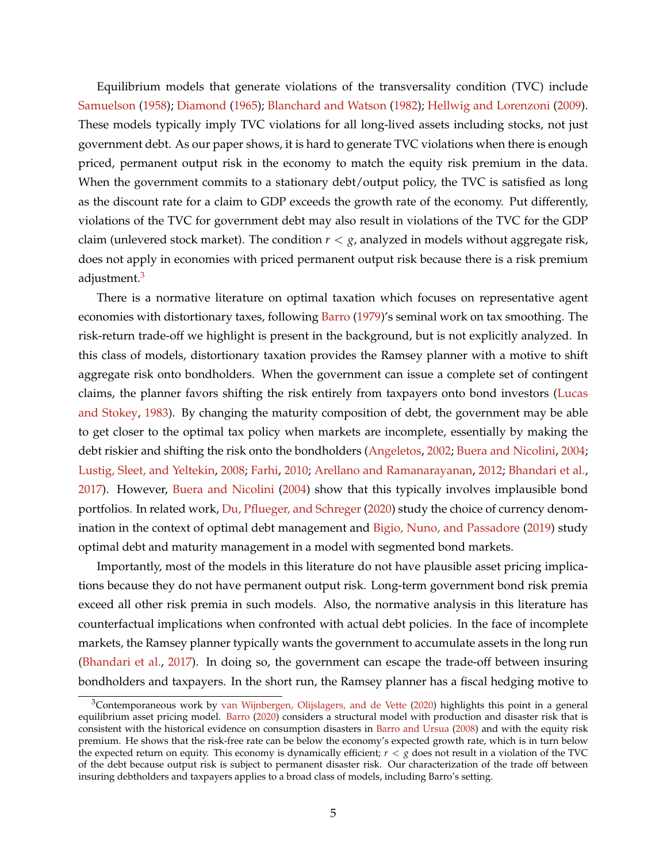Equilibrium models that generate violations of the transversality condition (TVC) include [Samuelson](#page-51-1) [\(1958\)](#page-51-1); [Diamond](#page-48-4) [\(1965\)](#page-48-4); [Blanchard and Watson](#page-47-5) [\(1982\)](#page-47-5); [Hellwig and Lorenzoni](#page-49-4) [\(2009\)](#page-49-4). These models typically imply TVC violations for all long-lived assets including stocks, not just government debt. As our paper shows, it is hard to generate TVC violations when there is enough priced, permanent output risk in the economy to match the equity risk premium in the data. When the government commits to a stationary debt/output policy, the TVC is satisfied as long as the discount rate for a claim to GDP exceeds the growth rate of the economy. Put differently, violations of the TVC for government debt may also result in violations of the TVC for the GDP claim (unlevered stock market). The condition  $r < g$ , analyzed in models without aggregate risk, does not apply in economies with priced permanent output risk because there is a risk premium adjustment.<sup>[3](#page-5-0)</sup>

There is a normative literature on optimal taxation which focuses on representative agent economies with distortionary taxes, following [Barro](#page-47-6) [\(1979\)](#page-47-6)'s seminal work on tax smoothing. The risk-return trade-off we highlight is present in the background, but is not explicitly analyzed. In this class of models, distortionary taxation provides the Ramsey planner with a motive to shift aggregate risk onto bondholders. When the government can issue a complete set of contingent claims, the planner favors shifting the risk entirely from taxpayers onto bond investors [\(Lucas](#page-50-4) [and Stokey,](#page-50-4) [1983\)](#page-50-4). By changing the maturity composition of debt, the government may be able to get closer to the optimal tax policy when markets are incomplete, essentially by making the debt riskier and shifting the risk onto the bondholders [\(Angeletos,](#page-46-6) [2002;](#page-46-6) [Buera and Nicolini,](#page-48-5) [2004;](#page-48-5) [Lustig, Sleet, and Yeltekin,](#page-50-5) [2008;](#page-50-5) [Farhi,](#page-48-6) [2010;](#page-48-6) [Arellano and Ramanarayanan,](#page-46-7) [2012;](#page-46-7) [Bhandari et al.,](#page-47-4) [2017\)](#page-47-4). However, [Buera and Nicolini](#page-48-5) [\(2004\)](#page-48-5) show that this typically involves implausible bond portfolios. In related work, [Du, Pflueger, and Schreger](#page-48-7) [\(2020\)](#page-48-7) study the choice of currency denom-ination in the context of optimal debt management and [Bigio, Nuno, and Passadore](#page-47-7) [\(2019\)](#page-47-7) study optimal debt and maturity management in a model with segmented bond markets.

Importantly, most of the models in this literature do not have plausible asset pricing implications because they do not have permanent output risk. Long-term government bond risk premia exceed all other risk premia in such models. Also, the normative analysis in this literature has counterfactual implications when confronted with actual debt policies. In the face of incomplete markets, the Ramsey planner typically wants the government to accumulate assets in the long run [\(Bhandari et al.,](#page-47-4) [2017\)](#page-47-4). In doing so, the government can escape the trade-off between insuring bondholders and taxpayers. In the short run, the Ramsey planner has a fiscal hedging motive to

<span id="page-5-0"></span><sup>&</sup>lt;sup>3</sup>Contemporaneous work by [van Wijnbergen, Olijslagers, and de Vette](#page-51-2) [\(2020\)](#page-51-2) highlights this point in a general equilibrium asset pricing model. [Barro](#page-47-8) [\(2020\)](#page-47-8) considers a structural model with production and disaster risk that is consistent with the historical evidence on consumption disasters in [Barro and Ursua](#page-47-9) [\(2008\)](#page-47-9) and with the equity risk premium. He shows that the risk-free rate can be below the economy's expected growth rate, which is in turn below the expected return on equity. This economy is dynamically efficient;  $r < g$  does not result in a violation of the TVC of the debt because output risk is subject to permanent disaster risk. Our characterization of the trade off between insuring debtholders and taxpayers applies to a broad class of models, including Barro's setting.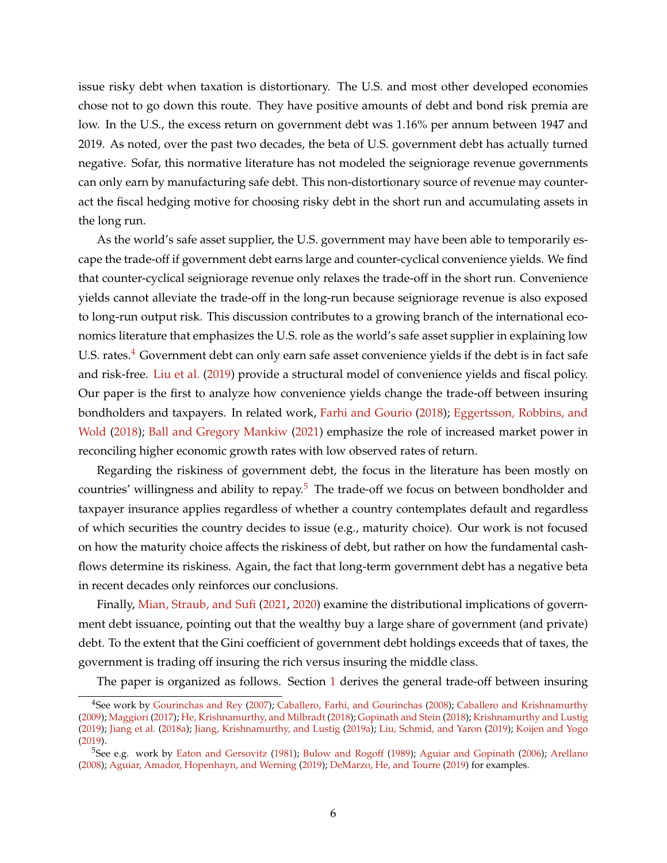issue risky debt when taxation is distortionary. The U.S. and most other developed economies chose not to go down this route. They have positive amounts of debt and bond risk premia are low. In the U.S., the excess return on government debt was 1.16% per annum between 1947 and 2019. As noted, over the past two decades, the beta of U.S. government debt has actually turned negative. Sofar, this normative literature has not modeled the seigniorage revenue governments can only earn by manufacturing safe debt. This non-distortionary source of revenue may counteract the fiscal hedging motive for choosing risky debt in the short run and accumulating assets in the long run.

As the world's safe asset supplier, the U.S. government may have been able to temporarily escape the trade-off if government debt earns large and counter-cyclical convenience yields. We find that counter-cyclical seigniorage revenue only relaxes the trade-off in the short run. Convenience yields cannot alleviate the trade-off in the long-run because seigniorage revenue is also exposed to long-run output risk. This discussion contributes to a growing branch of the international economics literature that emphasizes the U.S. role as the world's safe asset supplier in explaining low U.S. rates.<sup>[4](#page-6-0)</sup> Government debt can only earn safe asset convenience yields if the debt is in fact safe and risk-free. [Liu et al.](#page-50-6) [\(2019\)](#page-50-6) provide a structural model of convenience yields and fiscal policy. Our paper is the first to analyze how convenience yields change the trade-off between insuring bondholders and taxpayers. In related work, [Farhi and Gourio](#page-49-5) [\(2018\)](#page-49-5); [Eggertsson, Robbins, and](#page-48-8) [Wold](#page-48-8) [\(2018\)](#page-48-8); [Ball and Gregory Mankiw](#page-46-8) [\(2021\)](#page-46-8) emphasize the role of increased market power in reconciling higher economic growth rates with low observed rates of return.

Regarding the riskiness of government debt, the focus in the literature has been mostly on countries' willingness and ability to repay.<sup>[5](#page-6-1)</sup> The trade-off we focus on between bondholder and taxpayer insurance applies regardless of whether a country contemplates default and regardless of which securities the country decides to issue (e.g., maturity choice). Our work is not focused on how the maturity choice affects the riskiness of debt, but rather on how the fundamental cashflows determine its riskiness. Again, the fact that long-term government debt has a negative beta in recent decades only reinforces our conclusions.

Finally, [Mian, Straub, and Sufi](#page-50-7) [\(2021,](#page-50-7) [2020\)](#page-50-8) examine the distributional implications of government debt issuance, pointing out that the wealthy buy a large share of government (and private) debt. To the extent that the Gini coefficient of government debt holdings exceeds that of taxes, the government is trading off insuring the rich versus insuring the middle class.

The paper is organized as follows. Section [1](#page-7-0) derives the general trade-off between insuring

<span id="page-6-0"></span><sup>4</sup>See work by [Gourinchas and Rey](#page-49-6) [\(2007\)](#page-49-6); [Caballero, Farhi, and Gourinchas](#page-48-9) [\(2008\)](#page-48-9); [Caballero and Krishnamurthy](#page-48-10) [\(2009\)](#page-48-10); [Maggiori](#page-50-9) [\(2017\)](#page-50-9); [He, Krishnamurthy, and Milbradt](#page-49-7) [\(2018\)](#page-49-7); [Gopinath and Stein](#page-49-8) [\(2018\)](#page-49-8); [Krishnamurthy and Lustig](#page-50-10) [\(2019\)](#page-50-10); [Jiang et al.](#page-49-0) [\(2018a\)](#page-49-0); [Jiang, Krishnamurthy, and Lustig](#page-49-9) [\(2019a\)](#page-49-9); [Liu, Schmid, and Yaron](#page-50-6) [\(2019\)](#page-50-6); [Koijen and Yogo](#page-50-2) [\(2019\)](#page-50-2).

<span id="page-6-1"></span><sup>&</sup>lt;sup>5</sup>See e.g. work by [Eaton and Gersovitz](#page-48-11) [\(1981\)](#page-48-11); [Bulow and Rogoff](#page-48-12) [\(1989\)](#page-48-12); [Aguiar and Gopinath](#page-46-9) [\(2006\)](#page-46-9); [Arellano](#page-46-10) [\(2008\)](#page-46-10); [Aguiar, Amador, Hopenhayn, and Werning](#page-46-11) [\(2019\)](#page-46-11); [DeMarzo, He, and Tourre](#page-48-13) [\(2019\)](#page-48-13) for examples.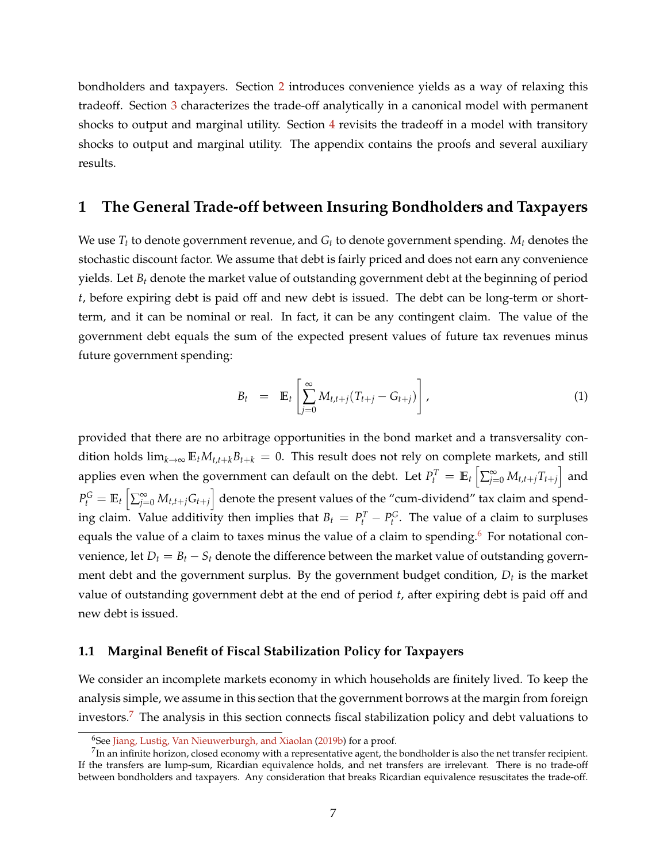bondholders and taxpayers. Section [2](#page-16-0) introduces convenience yields as a way of relaxing this tradeoff. Section [3](#page-19-0) characterizes the trade-off analytically in a canonical model with permanent shocks to output and marginal utility. Section [4](#page-39-0) revisits the tradeoff in a model with transitory shocks to output and marginal utility. The appendix contains the proofs and several auxiliary results.

# <span id="page-7-0"></span>**1 The General Trade-off between Insuring Bondholders and Taxpayers**

We use *T<sup>t</sup>* to denote government revenue, and *G<sup>t</sup>* to denote government spending. *M<sup>t</sup>* denotes the stochastic discount factor. We assume that debt is fairly priced and does not earn any convenience yields. Let *B<sup>t</sup>* denote the market value of outstanding government debt at the beginning of period *t*, before expiring debt is paid off and new debt is issued. The debt can be long-term or shortterm, and it can be nominal or real. In fact, it can be any contingent claim. The value of the government debt equals the sum of the expected present values of future tax revenues minus future government spending:

<span id="page-7-3"></span>
$$
B_t = \mathbb{E}_t \left[ \sum_{j=0}^{\infty} M_{t,t+j} (T_{t+j} - G_{t+j}) \right], \qquad (1)
$$

provided that there are no arbitrage opportunities in the bond market and a transversality condition holds  $\lim_{k\to\infty} \mathbb{E}_t M_{t,t+k} B_{t+k} = 0$ . This result does not rely on complete markets, and still applies even when the government can default on the debt. Let  $P_t^T = \mathbb{E}_t\left[\sum_{j=0}^{\infty}M_{t,t+j}T_{t+j}\right]$  and  $P_t^G = \mathbb{E}_t\left[\sum_{j=0}^{\infty}M_{t,t+j}G_{t+j}\right]$  denote the present values of the "cum-dividend" tax claim and spending claim. Value additivity then implies that  $B_t = P_t^T - P_t^G$ . The value of a claim to surpluses equals the value of a claim to taxes minus the value of a claim to spending.<sup>[6](#page-7-1)</sup> For notational convenience, let  $D_t = B_t - S_t$  denote the difference between the market value of outstanding government debt and the government surplus. By the government budget condition, *D<sup>t</sup>* is the market value of outstanding government debt at the end of period *t*, after expiring debt is paid off and new debt is issued.

#### **1.1 Marginal Benefit of Fiscal Stabilization Policy for Taxpayers**

We consider an incomplete markets economy in which households are finitely lived. To keep the analysis simple, we assume in this section that the government borrows at the margin from foreign investors.[7](#page-7-2) The analysis in this section connects fiscal stabilization policy and debt valuations to

<span id="page-7-2"></span><span id="page-7-1"></span><sup>&</sup>lt;sup>6</sup>See [Jiang, Lustig, Van Nieuwerburgh, and Xiaolan](#page-49-10) [\(2019b\)](#page-49-10) for a proof.

 $^{7}$ In an infinite horizon, closed economy with a representative agent, the bondholder is also the net transfer recipient. If the transfers are lump-sum, Ricardian equivalence holds, and net transfers are irrelevant. There is no trade-off between bondholders and taxpayers. Any consideration that breaks Ricardian equivalence resuscitates the trade-off.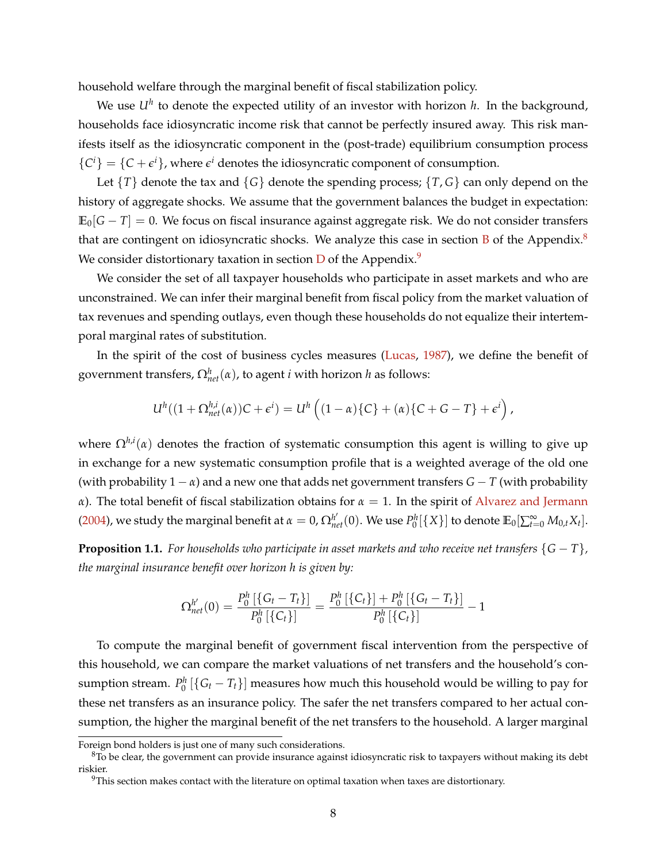household welfare through the marginal benefit of fiscal stabilization policy.

We use *U<sup>h</sup>* to denote the expected utility of an investor with horizon *h*. In the background, households face idiosyncratic income risk that cannot be perfectly insured away. This risk manifests itself as the idiosyncratic component in the (post-trade) equilibrium consumption process  ${C<sup>i</sup>} = {C + \epsilon<sup>i</sup>}$ , where  $\epsilon<sup>i</sup>$  denotes the idiosyncratic component of consumption.

Let  $\{T\}$  denote the tax and  $\{G\}$  denote the spending process;  $\{T, G\}$  can only depend on the history of aggregate shocks. We assume that the government balances the budget in expectation:  $\mathbb{E}_{0}[G-T] = 0$ . We focus on fiscal insurance against aggregate risk. We do not consider transfers that are contingent on idiosyncratic shocks. We analyze this case in section  $\overline{B}$  $\overline{B}$  $\overline{B}$  of the Appendix.<sup>[8](#page-8-0)</sup> We consider distortionary taxation in section  $D$  of the Appendix.<sup>[9](#page-8-1)</sup>

We consider the set of all taxpayer households who participate in asset markets and who are unconstrained. We can infer their marginal benefit from fiscal policy from the market valuation of tax revenues and spending outlays, even though these households do not equalize their intertemporal marginal rates of substitution.

In the spirit of the cost of business cycles measures [\(Lucas,](#page-50-11) [1987\)](#page-50-11), we define the benefit of government transfers,  $\Omega_{net}^{h}(\alpha)$ , to agent *i* with horizon *h* as follows:

$$
U^h((1+\Omega_{net}^{h,i}(\alpha))C+\epsilon^i)=U^h((1-\alpha)\{C\}+(\alpha)\{C+G-T\}+\epsilon^i),
$$

where Ω*h*,*<sup>i</sup>* (*α*) denotes the fraction of systematic consumption this agent is willing to give up in exchange for a new systematic consumption profile that is a weighted average of the old one (with probability  $1 - \alpha$ ) and a new one that adds net government transfers  $G - T$  (with probability *α*). The total benefit of fiscal stabilization obtains for  $α = 1$ . In the spirit of [Alvarez and Jermann](#page-46-3) [\(2004\)](#page-46-3), we study the marginal benefit at  $\alpha = 0$ ,  $\Omega_{net}^{h'}(0)$ . We use  $P_0^h[\{X\}]$  to denote  $\mathbb{E}_0[\sum_{t=0}^{\infty}M_{0,t}X_t].$ 

**Proposition 1.1.** *For households who participate in asset markets and who receive net transfers*  $\{G - T\}$ *, the marginal insurance benefit over horizon h is given by:*

$$
\Omega^{h'}_{net}(0) = \frac{P_0^h\left[\left\{G_t - T_t\right\}\right]}{P_0^h\left[\left\{C_t\right\}\right]} = \frac{P_0^h\left[\left\{C_t\right\}\right] + P_0^h\left[\left\{G_t - T_t\right\}\right]}{P_0^h\left[\left\{C_t\right\}\right]} - 1
$$

To compute the marginal benefit of government fiscal intervention from the perspective of this household, we can compare the market valuations of net transfers and the household's consumption stream.  $P_0^h$   $[\{G_t-T_t\}]$  measures how much this household would be willing to pay for these net transfers as an insurance policy. The safer the net transfers compared to her actual consumption, the higher the marginal benefit of the net transfers to the household. A larger marginal

Foreign bond holders is just one of many such considerations.

<span id="page-8-0"></span> $8$ To be clear, the government can provide insurance against idiosyncratic risk to taxpayers without making its debt riskier.

<span id="page-8-1"></span> $9$ This section makes contact with the literature on optimal taxation when taxes are distortionary.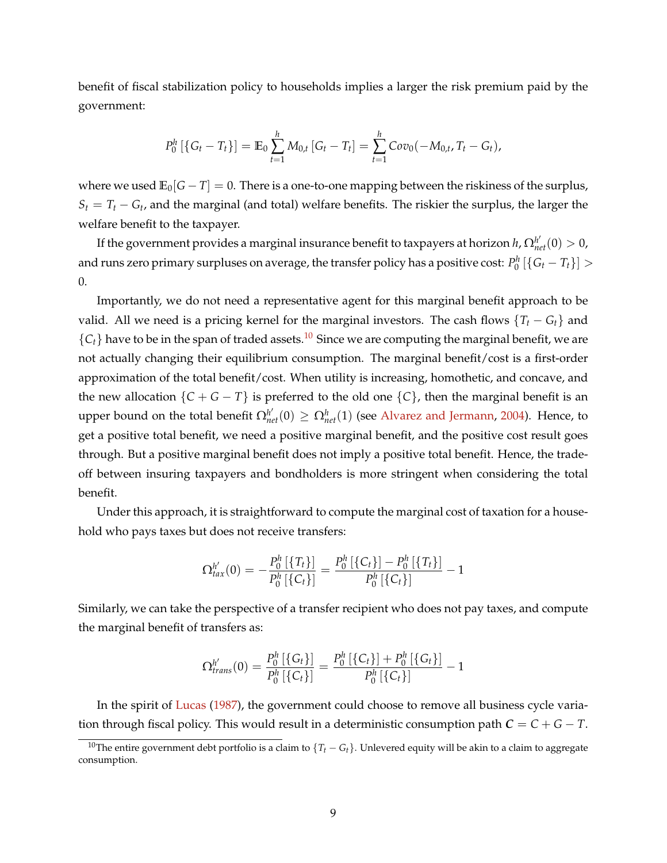benefit of fiscal stabilization policy to households implies a larger the risk premium paid by the government:

$$
P_0^h \left[ \{ G_t - T_t \} \right] = \mathbb{E}_0 \sum_{t=1}^h M_{0,t} \left[ G_t - T_t \right] = \sum_{t=1}^h Cov_0(-M_{0,t}, T_t - G_t),
$$

where we used  $\mathbb{E}_0[G - T] = 0$ . There is a one-to-one mapping between the riskiness of the surplus,  $S_t = T_t - G_t$ , and the marginal (and total) welfare benefits. The riskier the surplus, the larger the welfare benefit to the taxpayer.

If the government provides a marginal insurance benefit to taxpayers at horizon  $h$ ,  $\Omega_{net}^{h'}(0)>0$ , and runs zero primary surpluses on average, the transfer policy has a positive cost:  $P^h_0\left[\{G_t-T_t\}\right]>0$ 0.

Importantly, we do not need a representative agent for this marginal benefit approach to be valid. All we need is a pricing kernel for the marginal investors. The cash flows  ${T<sub>t</sub> - G<sub>t</sub>}$  and  ${C<sub>t</sub>}$  have to be in the span of traded assets.<sup>[10](#page-9-0)</sup> Since we are computing the marginal benefit, we are not actually changing their equilibrium consumption. The marginal benefit/cost is a first-order approximation of the total benefit/cost. When utility is increasing, homothetic, and concave, and the new allocation  ${C + G - T}$  is preferred to the old one  ${C}$ , then the marginal benefit is an upper bound on the total benefit  $\Omega_{net}^{h'}(0) \geq \Omega_{net}^{h}(1)$  (see [Alvarez and Jermann,](#page-46-3) [2004\)](#page-46-3). Hence, to get a positive total benefit, we need a positive marginal benefit, and the positive cost result goes through. But a positive marginal benefit does not imply a positive total benefit. Hence, the tradeoff between insuring taxpayers and bondholders is more stringent when considering the total benefit.

Under this approach, it is straightforward to compute the marginal cost of taxation for a household who pays taxes but does not receive transfers:

$$
\Omega_{tax}^{h'}(0) = -\frac{P_0^h\left[\{T_t\}\right]}{P_0^h\left[\{C_t\}\right]} = \frac{P_0^h\left[\{C_t\}\right] - P_0^h\left[\{T_t\}\right]}{P_0^h\left[\{C_t\}\right]} - 1
$$

Similarly, we can take the perspective of a transfer recipient who does not pay taxes, and compute the marginal benefit of transfers as:

$$
\Omega^{h'}_{trans}(0)=\frac{P_0^h\left[\left\{G_t\right\}\right]}{P_0^h\left[\left\{C_t\right\}\right]}=\frac{P_0^h\left[\left\{C_t\right\}\right]+P_0^h\left[\left\{G_t\right\}\right]}{P_0^h\left[\left\{C_t\right\}\right]}-1
$$

In the spirit of [Lucas](#page-50-11) [\(1987\)](#page-50-11), the government could choose to remove all business cycle variation through fiscal policy. This would result in a deterministic consumption path  $C = C + G - T$ .

<span id="page-9-0"></span><sup>&</sup>lt;sup>10</sup>The entire government debt portfolio is a claim to  $\{T_t - G_t\}$ . Unlevered equity will be akin to a claim to aggregate consumption.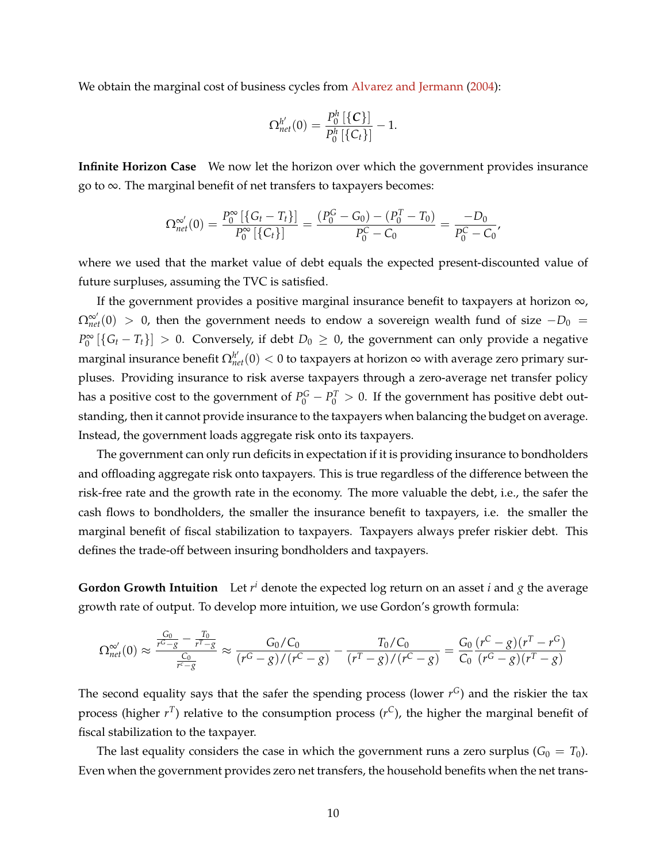We obtain the marginal cost of business cycles from [Alvarez and Jermann](#page-46-3) [\(2004\)](#page-46-3):

$$
\Omega^{h'}_{net}(0)=\frac{P^h_0\left[\{{\bm {\cal C}}\}\right]}{P^h_0\left[\{{\bm C}_t\}\right]}-1.
$$

**Infinite Horizon Case** We now let the horizon over which the government provides insurance go to ∞. The marginal benefit of net transfers to taxpayers becomes:

$$
\Omega_{net}^{\infty'}(0) = \frac{P_0^{\infty} \left[ \{ G_t - T_t \} \right]}{P_0^{\infty} \left[ \{ C_t \} \right]} = \frac{(P_0^G - G_0) - (P_0^T - T_0)}{P_0^C - C_0} = \frac{-D_0}{P_0^C - C_0'}
$$

where we used that the market value of debt equals the expected present-discounted value of future surpluses, assuming the TVC is satisfied.

If the government provides a positive marginal insurance benefit to taxpayers at horizon  $\infty$ ,  $\Omega_{net}^{\infty'}(0)$  > 0, then the government needs to endow a sovereign wealth fund of size  $-D_0$  =  $P_0^{\infty}$  [{ $G_t - T_t$ }] > 0. Conversely, if debt  $D_0 \ge 0$ , the government can only provide a negative marginal insurance benefit Ω $_{net}^{h'}(0) < 0$  to taxpayers at horizon ∞ with average zero primary surpluses. Providing insurance to risk averse taxpayers through a zero-average net transfer policy has a positive cost to the government of  $P_0^G - P_0^T > 0$ . If the government has positive debt outstanding, then it cannot provide insurance to the taxpayers when balancing the budget on average. Instead, the government loads aggregate risk onto its taxpayers.

The government can only run deficits in expectation if it is providing insurance to bondholders and offloading aggregate risk onto taxpayers. This is true regardless of the difference between the risk-free rate and the growth rate in the economy. The more valuable the debt, i.e., the safer the cash flows to bondholders, the smaller the insurance benefit to taxpayers, i.e. the smaller the marginal benefit of fiscal stabilization to taxpayers. Taxpayers always prefer riskier debt. This defines the trade-off between insuring bondholders and taxpayers.

**Gordon Growth Intuition** Let *r <sup>i</sup>* denote the expected log return on an asset *i* and *g* the average growth rate of output. To develop more intuition, we use Gordon's growth formula:

$$
\Omega_{net}^{\infty'}(0) \approx \frac{\frac{G_0}{r^G - g} - \frac{T_0}{r^T - g}}{\frac{C_0}{r^G - g}} \approx \frac{G_0/C_0}{(r^G - g)/(r^C - g)} - \frac{T_0/C_0}{(r^T - g)/(r^C - g)} = \frac{G_0}{C_0} \frac{(r^C - g)(r^T - r^G)}{(r^G - g)(r^T - g)}
$$

The second equality says that the safer the spending process (lower  $r<sup>G</sup>$ ) and the riskier the tax process (higher  $r<sup>T</sup>$ ) relative to the consumption process ( $r<sup>C</sup>$ ), the higher the marginal benefit of fiscal stabilization to the taxpayer.

The last equality considers the case in which the government runs a zero surplus ( $G_0 = T_0$ ). Even when the government provides zero net transfers, the household benefits when the net trans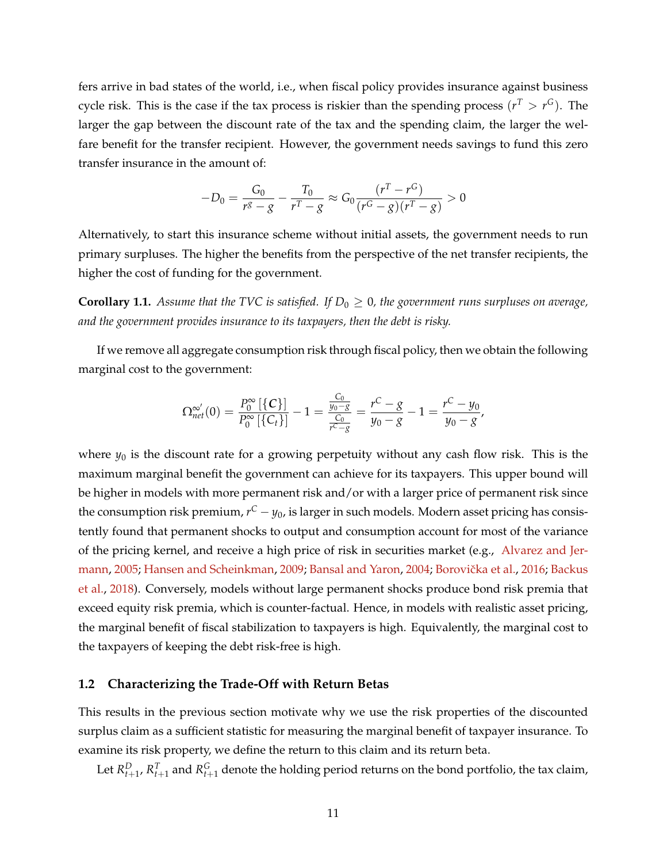fers arrive in bad states of the world, i.e., when fiscal policy provides insurance against business cycle risk. This is the case if the tax process is riskier than the spending process  $(r^T > r^G)$ . The larger the gap between the discount rate of the tax and the spending claim, the larger the welfare benefit for the transfer recipient. However, the government needs savings to fund this zero transfer insurance in the amount of:

$$
-D_0 = \frac{G_0}{r^g - g} - \frac{T_0}{r^T - g} \approx G_0 \frac{(r^T - r^G)}{(r^G - g)(r^T - g)} > 0
$$

Alternatively, to start this insurance scheme without initial assets, the government needs to run primary surpluses. The higher the benefits from the perspective of the net transfer recipients, the higher the cost of funding for the government.

**Corollary 1.1.** *Assume that the TVC is satisfied. If*  $D_0 \geq 0$ *, the government runs surpluses on average, and the government provides insurance to its taxpayers, then the debt is risky.*

If we remove all aggregate consumption risk through fiscal policy, then we obtain the following marginal cost to the government:

$$
\Omega_{net}^{\infty'}(0)=\frac{P_0^{\infty}\left[\left\{C\right\}\right]}{P_0^{\infty}\left[\left\{C_t\right\}\right]}-1=\frac{\frac{C_0}{y_0-g}}{\frac{C_0}{r^C-g}}=\frac{r^C-g}{y_0-g}-1=\frac{r^C-y_0}{y_0-g},
$$

where  $y_0$  is the discount rate for a growing perpetuity without any cash flow risk. This is the maximum marginal benefit the government can achieve for its taxpayers. This upper bound will be higher in models with more permanent risk and/or with a larger price of permanent risk since the consumption risk premium, *r <sup>C</sup>* − *y*0, is larger in such models. Modern asset pricing has consistently found that permanent shocks to output and consumption account for most of the variance of the pricing kernel, and receive a high price of risk in securities market (e.g., [Alvarez and Jer](#page-46-1)[mann,](#page-46-1) [2005;](#page-46-1) [Hansen and Scheinkman,](#page-49-2) [2009;](#page-49-2) [Bansal and Yaron,](#page-47-0) [2004;](#page-47-0) Borovička et al., [2016;](#page-47-1) [Backus](#page-46-2) [et al.,](#page-46-2) [2018\)](#page-46-2). Conversely, models without large permanent shocks produce bond risk premia that exceed equity risk premia, which is counter-factual. Hence, in models with realistic asset pricing, the marginal benefit of fiscal stabilization to taxpayers is high. Equivalently, the marginal cost to the taxpayers of keeping the debt risk-free is high.

#### **1.2 Characterizing the Trade-Off with Return Betas**

This results in the previous section motivate why we use the risk properties of the discounted surplus claim as a sufficient statistic for measuring the marginal benefit of taxpayer insurance. To examine its risk property, we define the return to this claim and its return beta.

Let  $R_{t+1}^D$ ,  $R_{t+1}^T$  and  $R_{t+1}^G$  denote the holding period returns on the bond portfolio, the tax claim,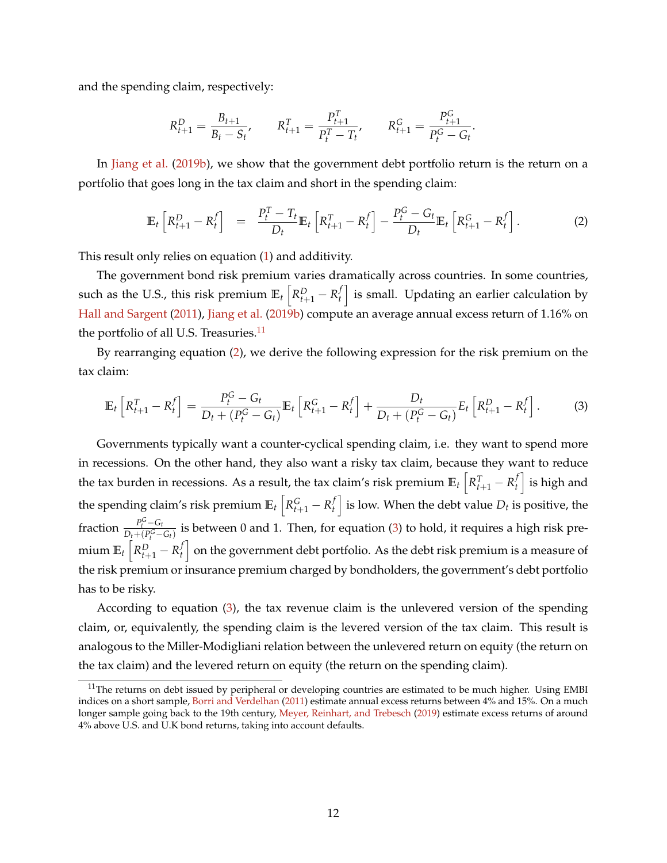and the spending claim, respectively:

$$
R_{t+1}^D = \frac{B_{t+1}}{B_t - S_t}, \qquad R_{t+1}^T = \frac{P_{t+1}^T}{P_t^T - T_t}, \qquad R_{t+1}^G = \frac{P_{t+1}^G}{P_t^G - G_t}.
$$

In [Jiang et al.](#page-49-10) [\(2019b\)](#page-49-10), we show that the government debt portfolio return is the return on a portfolio that goes long in the tax claim and short in the spending claim:

<span id="page-12-1"></span>
$$
\mathbb{E}_t\left[R_{t+1}^D - R_t^f\right] = \frac{P_t^T - T_t}{D_t} \mathbb{E}_t\left[R_{t+1}^T - R_t^f\right] - \frac{P_t^G - G_t}{D_t} \mathbb{E}_t\left[R_{t+1}^G - R_t^f\right].
$$
 (2)

This result only relies on equation [\(1\)](#page-7-3) and additivity.

The government bond risk premium varies dramatically across countries. In some countries, such as the U.S., this risk premium  $\mathbb{E}_t\left[R_{t+1}^D-R_t^f\right]$  $\left\{ \begin{array}{l} f \ h \end{array} \right\}$  is small. Updating an earlier calculation by [Hall and Sargent](#page-49-11) [\(2011\)](#page-49-11), [Jiang et al.](#page-49-10) [\(2019b\)](#page-49-10) compute an average annual excess return of 1.16% on the portfolio of all U.S. Treasuries.<sup>[11](#page-12-0)</sup>

By rearranging equation [\(2\)](#page-12-1), we derive the following expression for the risk premium on the tax claim:

<span id="page-12-2"></span>
$$
\mathbb{E}_{t}\left[R_{t+1}^{T}-R_{t}^{f}\right]=\frac{P_{t}^{G}-G_{t}}{D_{t}+(P_{t}^{G}-G_{t})}\mathbb{E}_{t}\left[R_{t+1}^{G}-R_{t}^{f}\right]+\frac{D_{t}}{D_{t}+(P_{t}^{G}-G_{t})}E_{t}\left[R_{t+1}^{D}-R_{t}^{f}\right].
$$
 (3)

Governments typically want a counter-cyclical spending claim, i.e. they want to spend more in recessions. On the other hand, they also want a risky tax claim, because they want to reduce the tax burden in recessions. As a result, the tax claim's risk premium  $\mathbb{E}_t\left[R_{t+1}^T - R_t^f\right]$  $\left\{ \begin{array}{c} f \end{array} \right\}$  is high and the spending claim's risk premium  $\mathbb{E}_t\left[R_{t+1}^G-R_t^f\right]$  $\left\{ \begin{matrix} f \ f \end{matrix} \right\}$  is low. When the debt value  $D_t$  is positive, the fraction  $\frac{P_t^G - G_t}{D_t + (P_G^G - G_t)}$  $\frac{P_t - Q_t}{D_t + (P_t^G - G_t)}$  is between 0 and 1. Then, for equation [\(3\)](#page-12-2) to hold, it requires a high risk premium  $\mathbb{E}_t\left[R_{t+1}^D-R_t^f\right]$  $\left\{ \begin{matrix} f \end{matrix} \right\}$  on the government debt portfolio. As the debt risk premium is a measure of the risk premium or insurance premium charged by bondholders, the government's debt portfolio has to be risky.

According to equation [\(3\)](#page-12-2), the tax revenue claim is the unlevered version of the spending claim, or, equivalently, the spending claim is the levered version of the tax claim. This result is analogous to the Miller-Modigliani relation between the unlevered return on equity (the return on the tax claim) and the levered return on equity (the return on the spending claim).

<span id="page-12-0"></span><sup>&</sup>lt;sup>11</sup>The returns on debt issued by peripheral or developing countries are estimated to be much higher. Using EMBI indices on a short sample, [Borri and Verdelhan](#page-47-10) [\(2011\)](#page-47-10) estimate annual excess returns between 4% and 15%. On a much longer sample going back to the 19th century, [Meyer, Reinhart, and Trebesch](#page-50-12) [\(2019\)](#page-50-12) estimate excess returns of around 4% above U.S. and U.K bond returns, taking into account defaults.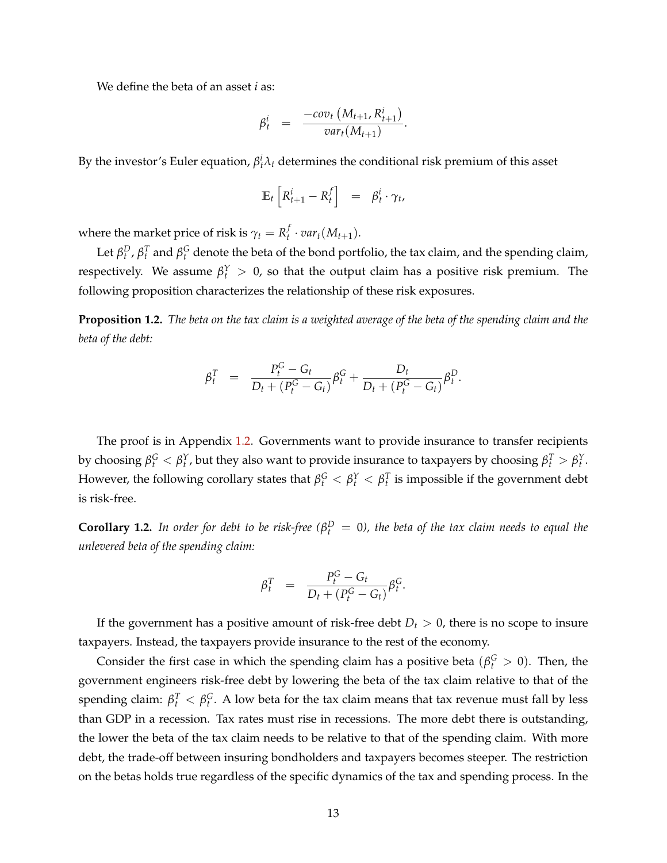We define the beta of an asset *i* as:

$$
\beta_t^i = \frac{-cov_t\left(M_{t+1}, R_{t+1}^i\right)}{var_t(M_{t+1})}
$$

.

By the investor's Euler equation,  $\beta_t^i \lambda_t$  determines the conditional risk premium of this asset

$$
\mathbb{E}_t \left[ R_{t+1}^i - R_t^f \right] = \beta_t^i \cdot \gamma_t,
$$

where the market price of risk is  $\gamma_t = R_t^f$  $_t^J \cdot var_t(M_{t+1}).$ 

Let  $\beta_t^D$ ,  $\beta_t^T$  and  $\beta_t^G$  denote the beta of the bond portfolio, the tax claim, and the spending claim, respectively. We assume  $\beta_t^Y > 0$ , so that the output claim has a positive risk premium. The following proposition characterizes the relationship of these risk exposures.

<span id="page-13-0"></span>**Proposition 1.2.** *The beta on the tax claim is a weighted average of the beta of the spending claim and the beta of the debt:*

$$
\beta_t^T = \frac{P_t^G - G_t}{D_t + (P_t^G - G_t)} \beta_t^G + \frac{D_t}{D_t + (P_t^G - G_t)} \beta_t^D.
$$

The proof is in Appendix [1.2.](#page-13-0) Governments want to provide insurance to transfer recipients by choosing  $\beta_t^G < \beta_t^Y$ , but they also want to provide insurance to taxpayers by choosing  $\beta_t^T > \beta_t^Y$ . However, the following corollary states that  $\beta_t^G < \beta_t^Y < \beta_t^T$  is impossible if the government debt is risk-free.

**Corollary 1.2.** In order for debt to be risk-free ( $\beta_t^D = 0$ ), the beta of the tax claim needs to equal the *unlevered beta of the spending claim:*

$$
\beta_t^T = \frac{P_t^G - G_t}{D_t + (P_t^G - G_t)} \beta_t^G.
$$

If the government has a positive amount of risk-free debt  $D_t > 0$ , there is no scope to insure taxpayers. Instead, the taxpayers provide insurance to the rest of the economy.

Consider the first case in which the spending claim has a positive beta ( $\beta_t^G > 0$ ). Then, the government engineers risk-free debt by lowering the beta of the tax claim relative to that of the spending claim:  $\beta_t^T < \beta_t^G$ . A low beta for the tax claim means that tax revenue must fall by less than GDP in a recession. Tax rates must rise in recessions. The more debt there is outstanding, the lower the beta of the tax claim needs to be relative to that of the spending claim. With more debt, the trade-off between insuring bondholders and taxpayers becomes steeper. The restriction on the betas holds true regardless of the specific dynamics of the tax and spending process. In the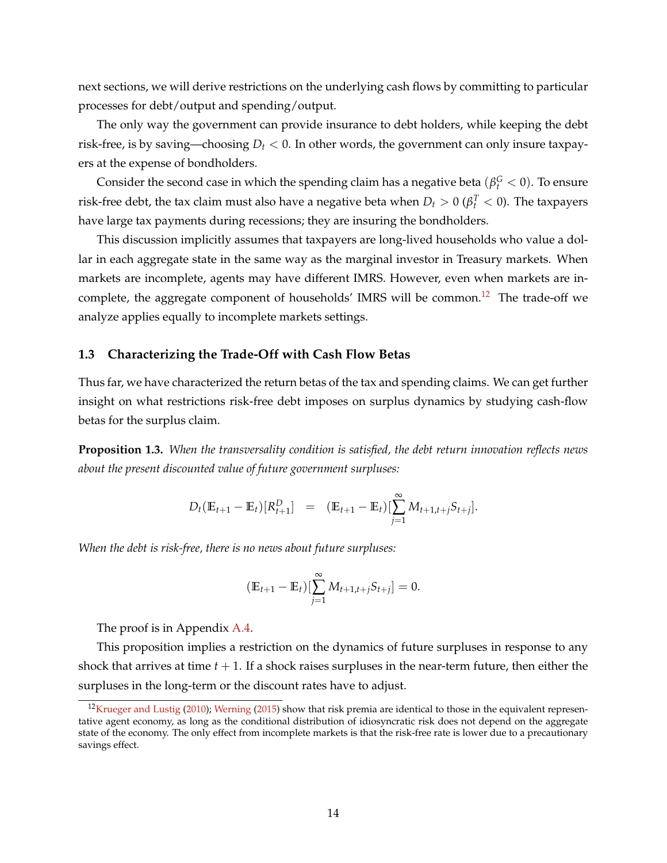next sections, we will derive restrictions on the underlying cash flows by committing to particular processes for debt/output and spending/output.

The only way the government can provide insurance to debt holders, while keeping the debt risk-free, is by saving—choosing  $D_t < 0$ . In other words, the government can only insure taxpayers at the expense of bondholders.

Consider the second case in which the spending claim has a negative beta  $(\beta_t^G < 0)$ . To ensure risk-free debt, the tax claim must also have a negative beta when  $D_t > 0$  ( $\beta_t^T < 0$ ). The taxpayers have large tax payments during recessions; they are insuring the bondholders.

This discussion implicitly assumes that taxpayers are long-lived households who value a dollar in each aggregate state in the same way as the marginal investor in Treasury markets. When markets are incomplete, agents may have different IMRS. However, even when markets are in-complete, the aggregate component of households' IMRS will be common.<sup>[12](#page-14-0)</sup> The trade-off we analyze applies equally to incomplete markets settings.

# <span id="page-14-1"></span>**1.3 Characterizing the Trade-Off with Cash Flow Betas**

Thus far, we have characterized the return betas of the tax and spending claims. We can get further insight on what restrictions risk-free debt imposes on surplus dynamics by studying cash-flow betas for the surplus claim.

**Proposition 1.3.** *When the transversality condition is satisfied, the debt return innovation reflects news about the present discounted value of future government surpluses:*

$$
D_t(\mathbb{E}_{t+1} - \mathbb{E}_t)[R_{t+1}^D] = (\mathbb{E}_{t+1} - \mathbb{E}_t)[\sum_{j=1}^{\infty} M_{t+1,t+j} S_{t+j}].
$$

*When the debt is risk-free, there is no news about future surpluses:*

$$
(\mathbb{E}_{t+1} - \mathbb{E}_t)[\sum_{j=1}^{\infty} M_{t+1,t+j} S_{t+j}] = 0.
$$

The proof is in Appendix [A.4.](#page-53-0)

This proposition implies a restriction on the dynamics of future surpluses in response to any shock that arrives at time  $t + 1$ . If a shock raises surpluses in the near-term future, then either the surpluses in the long-term or the discount rates have to adjust.

<span id="page-14-0"></span><sup>&</sup>lt;sup>12</sup>[Krueger and Lustig](#page-50-13) [\(2010\)](#page-50-13); [Werning](#page-51-3) [\(2015\)](#page-51-3) show that risk premia are identical to those in the equivalent representative agent economy, as long as the conditional distribution of idiosyncratic risk does not depend on the aggregate state of the economy. The only effect from incomplete markets is that the risk-free rate is lower due to a precautionary savings effect.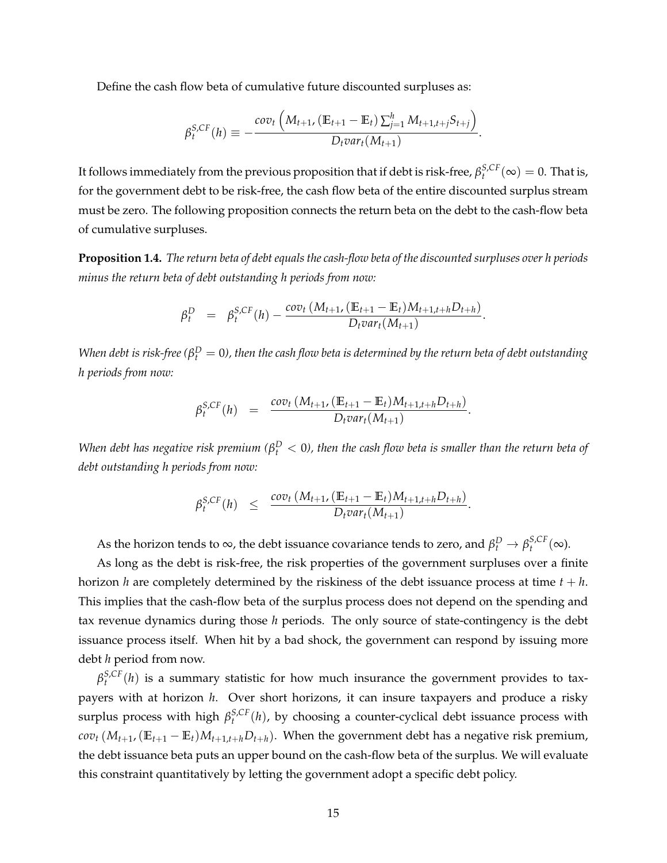Define the cash flow beta of cumulative future discounted surpluses as:

$$
\beta_t^{S,CF}(h) \equiv -\frac{cov_t\left(M_{t+1}, \left(\mathbb{E}_{t+1} - \mathbb{E}_t\right) \sum_{j=1}^h M_{t+1,t+j} S_{t+j}\right)}{D_t var_t(M_{t+1})}.
$$

It follows immediately from the previous proposition that if debt is risk-free,  $\beta_t^{S,CF}(\infty) = 0$ . That is, for the government debt to be risk-free, the cash flow beta of the entire discounted surplus stream must be zero. The following proposition connects the return beta on the debt to the cash-flow beta of cumulative surpluses.

<span id="page-15-0"></span>**Proposition 1.4.** *The return beta of debt equals the cash-flow beta of the discounted surpluses over h periods minus the return beta of debt outstanding h periods from now:*

$$
\beta_t^D = \beta_t^{S,CF}(h) - \frac{cov_t(M_{t+1}, (E_{t+1} - E_t)M_{t+1,t+h}D_{t+h})}{D_t var_t(M_{t+1})}.
$$

*When debt is risk-free (* $\beta_t^D=0$ *), then the cash flow beta is determined by the return beta of debt outstanding h periods from now:*

$$
\beta_t^{S,CF}(h) = \frac{cov_t(M_{t+1}, (\mathbb{E}_{t+1} - \mathbb{E}_t)M_{t+1,t+h}D_{t+h})}{D_t var_t(M_{t+1})}.
$$

*When debt has negative risk premium (* $\beta_t^D < 0$ *), then the cash flow beta is smaller than the return beta of debt outstanding h periods from now:*

$$
\beta_t^{S,CF}(h) \leq \frac{cov_t(M_{t+1}, (\mathbb{E}_{t+1} - \mathbb{E}_t)M_{t+1,t+h}D_{t+h})}{D_t var_t(M_{t+1})}.
$$

As the horizon tends to  $\infty$ , the debt issuance covariance tends to zero, and  $\beta_t^D \to \beta_t^{S,CF}(\infty)$ .

As long as the debt is risk-free, the risk properties of the government surpluses over a finite horizon *h* are completely determined by the riskiness of the debt issuance process at time  $t + h$ . This implies that the cash-flow beta of the surplus process does not depend on the spending and tax revenue dynamics during those *h* periods. The only source of state-contingency is the debt issuance process itself. When hit by a bad shock, the government can respond by issuing more debt *h* period from now.

 $\beta_t^{S,CF}(h)$  is a summary statistic for how much insurance the government provides to taxpayers with at horizon *h*. Over short horizons, it can insure taxpayers and produce a risky surplus process with high  $\beta_t^{S,CF}(h)$ , by choosing a counter-cyclical debt issuance process with *cov*<sup>*t*</sup> ( $M$ <sup>*t*+1</sub>, ( $E$ <sup>*t*+1</sub> −  $E$ *t*) $M$ <sup>*t*+1,*t*+*h*</sub> $D$ *t*+*h*). When the government debt has a negative risk premium,</sup></sup></sup> the debt issuance beta puts an upper bound on the cash-flow beta of the surplus. We will evaluate this constraint quantitatively by letting the government adopt a specific debt policy.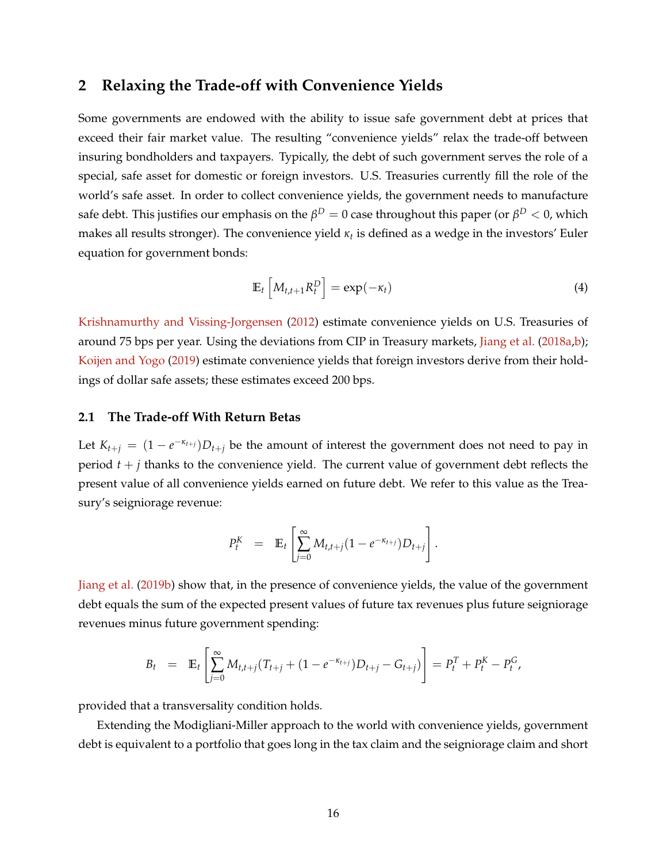# <span id="page-16-0"></span>**2 Relaxing the Trade-off with Convenience Yields**

Some governments are endowed with the ability to issue safe government debt at prices that exceed their fair market value. The resulting "convenience yields" relax the trade-off between insuring bondholders and taxpayers. Typically, the debt of such government serves the role of a special, safe asset for domestic or foreign investors. U.S. Treasuries currently fill the role of the world's safe asset. In order to collect convenience yields, the government needs to manufacture safe debt. This justifies our emphasis on the  $\beta^D=0$  case throughout this paper (or  $\beta^D< 0$ , which makes all results stronger). The convenience yield *κ<sup>t</sup>* is defined as a wedge in the investors' Euler equation for government bonds:

$$
\mathbb{E}_t \left[ M_{t,t+1} R_t^D \right] = \exp(-\kappa_t) \tag{4}
$$

[Krishnamurthy and Vissing-Jorgensen](#page-50-1) [\(2012\)](#page-50-1) estimate convenience yields on U.S. Treasuries of around 75 bps per year. Using the deviations from CIP in Treasury markets, [Jiang et al.](#page-49-0) [\(2018a,](#page-49-0)[b\)](#page-49-1); [Koijen and Yogo](#page-50-2) [\(2019\)](#page-50-2) estimate convenience yields that foreign investors derive from their holdings of dollar safe assets; these estimates exceed 200 bps.

#### **2.1 The Trade-off With Return Betas**

Let  $K_{t+j} = (1 - e^{-\kappa_{t+j}})D_{t+j}$  be the amount of interest the government does not need to pay in period  $t + j$  thanks to the convenience yield. The current value of government debt reflects the present value of all convenience yields earned on future debt. We refer to this value as the Treasury's seigniorage revenue:

$$
P_t^K = \mathbb{E}_t \left[ \sum_{j=0}^{\infty} M_{t,t+j} (1 - e^{-\kappa_{t+j}}) D_{t+j} \right].
$$

[Jiang et al.](#page-49-10) [\(2019b\)](#page-49-10) show that, in the presence of convenience yields, the value of the government debt equals the sum of the expected present values of future tax revenues plus future seigniorage revenues minus future government spending:

$$
B_t = \mathbb{E}_t \left[ \sum_{j=0}^{\infty} M_{t,t+j} (T_{t+j} + (1 - e^{-\kappa_{t+j}}) D_{t+j} - G_{t+j}) \right] = P_t^T + P_t^K - P_t^G,
$$

provided that a transversality condition holds.

Extending the Modigliani-Miller approach to the world with convenience yields, government debt is equivalent to a portfolio that goes long in the tax claim and the seigniorage claim and short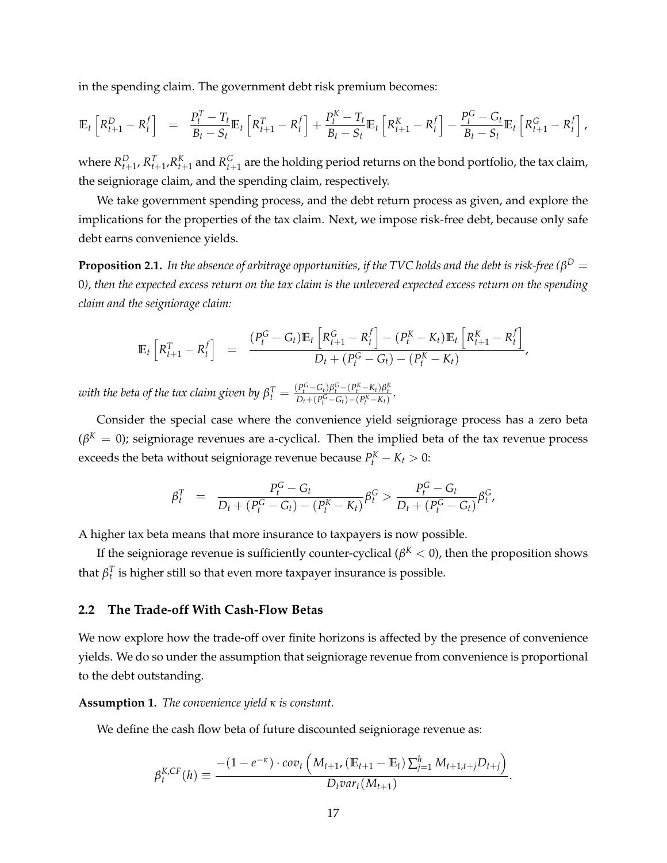in the spending claim. The government debt risk premium becomes:

$$
\mathbb{E}_{t}\left[R_{t+1}^{D} - R_{t}^{f}\right] = \frac{P_{t}^{T} - T_{t}}{B_{t} - S_{t}}\mathbb{E}_{t}\left[R_{t+1}^{T} - R_{t}^{f}\right] + \frac{P_{t}^{K} - T_{t}}{B_{t} - S_{t}}\mathbb{E}_{t}\left[R_{t+1}^{K} - R_{t}^{f}\right] - \frac{P_{t}^{G} - G_{t}}{B_{t} - S_{t}}\mathbb{E}_{t}\left[R_{t+1}^{G} - R_{t}^{f}\right],
$$

where  $R_{t+1}^D$ ,  $R_{t+1}^T$ , $R_{t+1}^K$  and  $R_{t+1}^G$  are the holding period returns on the bond portfolio, the tax claim, the seigniorage claim, and the spending claim, respectively.

We take government spending process, and the debt return process as given, and explore the implications for the properties of the tax claim. Next, we impose risk-free debt, because only safe debt earns convenience yields.

 ${\bf Proposition~2.1.}$  *In the absence of arbitrage opportunities, if the TVC holds and the debt is risk-free (* $\beta^D=0$ 0*), then the expected excess return on the tax claim is the unlevered expected excess return on the spending claim and the seigniorage claim:*

$$
\mathbb{E}_{t}\left[R_{t+1}^{T}-R_{t}^{f}\right] = \frac{(P_{t}^{G}-G_{t})\mathbb{E}_{t}\left[R_{t+1}^{G}-R_{t}^{f}\right] - (P_{t}^{K}-K_{t})\mathbb{E}_{t}\left[R_{t+1}^{K}-R_{t}^{f}\right]}{D_{t}+(P_{t}^{G}-G_{t})-(P_{t}^{K}-K_{t})},
$$

with the beta of the tax claim given by  $\beta_t^T = \frac{(P_t^G - G_t)\beta_t^G - (P_t^K - K_t)\beta_t^K}{D_t + (P_t^G - G_t) - (P_t^K - K_t)}.$ 

Consider the special case where the convenience yield seigniorage process has a zero beta  $(\beta^{K}=0)$ ; seigniorage revenues are a-cyclical. Then the implied beta of the tax revenue process exceeds the beta without seigniorage revenue because  $P_t^K - K_t > 0$ :

$$
\beta_t^T = \frac{P_t^G - G_t}{D_t + (P_t^G - G_t) - (P_t^K - K_t)} \beta_t^G > \frac{P_t^G - G_t}{D_t + (P_t^G - G_t)} \beta_t^G,
$$

A higher tax beta means that more insurance to taxpayers is now possible.

If the seigniorage revenue is sufficiently counter-cyclical ( $\beta^K < 0$ ), then the proposition shows that  $\beta_t^T$  is higher still so that even more taxpayer insurance is possible.

# **2.2 The Trade-off With Cash-Flow Betas**

We now explore how the trade-off over finite horizons is affected by the presence of convenience yields. We do so under the assumption that seigniorage revenue from convenience is proportional to the debt outstanding.

**Assumption 1.** *The convenience yield κ is constant.*

We define the cash flow beta of future discounted seigniorage revenue as:

$$
\beta_t^{K,CF}(h) \equiv \frac{-(1 - e^{-\kappa}) \cdot cov_t \left(M_{t+1}, \left(\mathbb{E}_{t+1} - \mathbb{E}_t\right) \sum_{j=1}^h M_{t+1,t+j} D_{t+j}\right)}{D_t var_t(M_{t+1})}
$$

.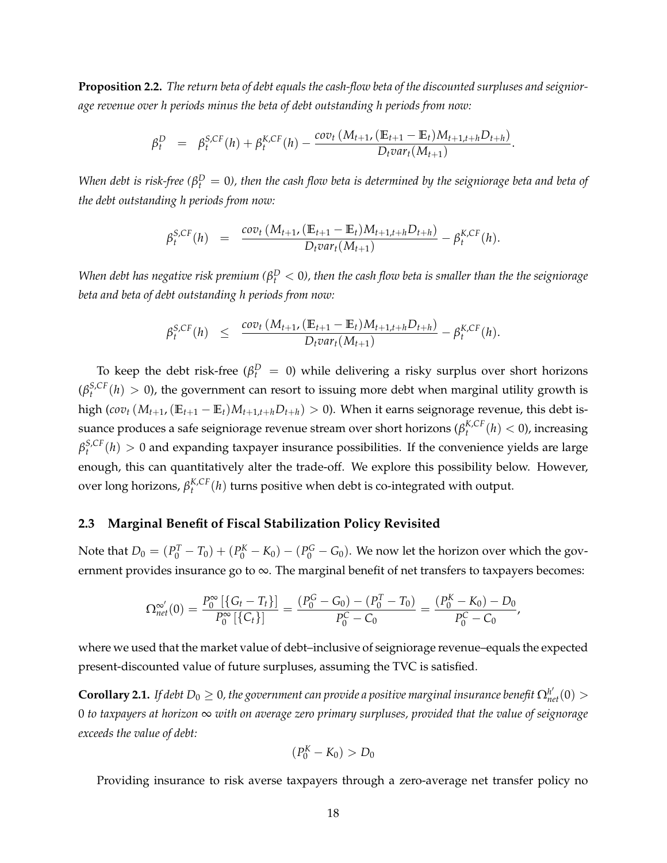**Proposition 2.2.** *The return beta of debt equals the cash-flow beta of the discounted surpluses and seigniorage revenue over h periods minus the beta of debt outstanding h periods from now:*

$$
\beta_t^D = \beta_t^{S,CF}(h) + \beta_t^{K,CF}(h) - \frac{cov_t(M_{t+1}, (\mathbb{E}_{t+1} - \mathbb{E}_t)M_{t+1,t+h}D_{t+h})}{D_t var_t(M_{t+1})}.
$$

*When debt is risk-free (* $\beta_t^D=0$ *), then the cash flow beta is determined by the seigniorage beta and beta of the debt outstanding h periods from now:*

$$
\beta_t^{S,CF}(h) = \frac{cov_t(M_{t+1}, (E_{t+1} - E_t)M_{t+1,t+h}D_{t+h})}{D_t var_t(M_{t+1})} - \beta_t^{K,CF}(h).
$$

*When debt has negative risk premium (* $\beta_t^D < 0$ *), then the cash flow beta is smaller than the the seigniorage beta and beta of debt outstanding h periods from now:*

$$
\beta_t^{S,CF}(h) \leq \frac{\text{cov}_t(M_{t+1}, (\mathbb{E}_{t+1} - \mathbb{E}_t)M_{t+1,t+h}D_{t+h})}{D_t \text{var}_t(M_{t+1})} - \beta_t^{K,CF}(h).
$$

To keep the debt risk-free ( $\beta_t^D = 0$ ) while delivering a risky surplus over short horizons  $(\beta_t^{S,CF}(h) > 0)$ , the government can resort to issuing more debt when marginal utility growth is high (*cov*<sub>t</sub> ( $M$ <sub>t+1</sub>, ( $\mathbb{E}_{t+1} - \mathbb{E}_t$ ) $M$ <sub>t+1,t+h</sub> $D$ <sub>t+h</sub>) > 0). When it earns seignorage revenue, this debt issuance produces a safe seigniorage revenue stream over short horizons ( $\beta_t^{K,CF}(h) < 0$ ), increasing  $\beta_t^{S,CF}(h) > 0$  and expanding taxpayer insurance possibilities. If the convenience yields are large enough, this can quantitatively alter the trade-off. We explore this possibility below. However, over long horizons,  $\beta_t^{K,CF}(h)$  turns positive when debt is co-integrated with output.

### **2.3 Marginal Benefit of Fiscal Stabilization Policy Revisited**

Note that  $D_0 = (P_0^T - T_0) + (P_0^K - K_0) - (P_0^G - G_0)$ . We now let the horizon over which the government provides insurance go to ∞. The marginal benefit of net transfers to taxpayers becomes:

$$
\Omega_{net}^{\infty'}(0) = \frac{P_0^{\infty}[\{G_t - T_t\}]}{P_0^{\infty}[\{C_t\}]} = \frac{(P_0^G - G_0) - (P_0^T - T_0)}{P_0^C - C_0} = \frac{(P_0^K - K_0) - D_0}{P_0^C - C_0},
$$

where we used that the market value of debt–inclusive of seigniorage revenue–equals the expected present-discounted value of future surpluses, assuming the TVC is satisfied.

 ${\bf Corollary 2.1.}$  If debt  $D_0\geq 0$ , the government can provide a positive marginal insurance benefit  $\Omega^{h'}_{net}(0)>0$ 0 *to taxpayers at horizon* ∞ *with on average zero primary surpluses, provided that the value of seignorage exceeds the value of debt:*

$$
(P_0^K-K_0)>D_0
$$

Providing insurance to risk averse taxpayers through a zero-average net transfer policy no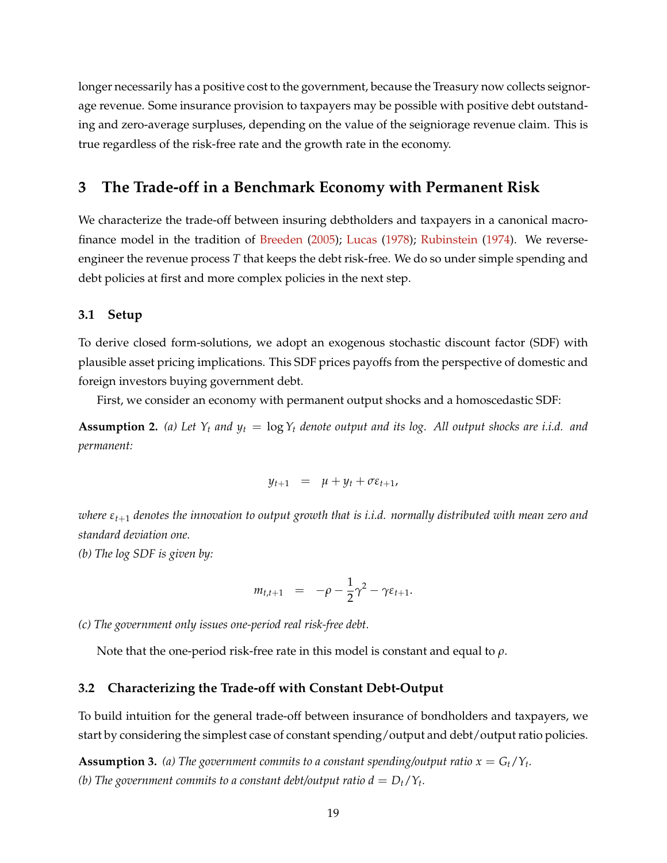longer necessarily has a positive cost to the government, because the Treasury now collects seignorage revenue. Some insurance provision to taxpayers may be possible with positive debt outstanding and zero-average surpluses, depending on the value of the seigniorage revenue claim. This is true regardless of the risk-free rate and the growth rate in the economy.

# <span id="page-19-0"></span>**3 The Trade-off in a Benchmark Economy with Permanent Risk**

We characterize the trade-off between insuring debtholders and taxpayers in a canonical macrofinance model in the tradition of [Breeden](#page-47-11) [\(2005\)](#page-47-11); [Lucas](#page-50-14) [\(1978\)](#page-50-14); [Rubinstein](#page-50-15) [\(1974\)](#page-50-15). We reverseengineer the revenue process *T* that keeps the debt risk-free. We do so under simple spending and debt policies at first and more complex policies in the next step.

#### **3.1 Setup**

To derive closed form-solutions, we adopt an exogenous stochastic discount factor (SDF) with plausible asset pricing implications. This SDF prices payoffs from the perspective of domestic and foreign investors buying government debt.

First, we consider an economy with permanent output shocks and a homoscedastic SDF:

<span id="page-19-2"></span>**Assumption 2.** (a) Let  $Y_t$  and  $y_t = \log Y_t$  denote output and its log. All output shocks are i.i.d. and *permanent:*

$$
y_{t+1} = \mu + y_t + \sigma \varepsilon_{t+1},
$$

*where εt*+<sup>1</sup> *denotes the innovation to output growth that is i.i.d. normally distributed with mean zero and standard deviation one.*

*(b) The log SDF is given by:*

$$
m_{t,t+1} = -\rho - \frac{1}{2}\gamma^2 - \gamma \varepsilon_{t+1}.
$$

*(c) The government only issues one-period real risk-free debt.*

Note that the one-period risk-free rate in this model is constant and equal to *ρ*.

### **3.2 Characterizing the Trade-off with Constant Debt-Output**

To build intuition for the general trade-off between insurance of bondholders and taxpayers, we start by considering the simplest case of constant spending/output and debt/output ratio policies.

<span id="page-19-1"></span>**Assumption 3.** (a) The government commits to a constant spending/output ratio  $x = G_t/Y_t$ . *(b)* The government commits to a constant debt/output ratio  $d = D_t/Y_t$ .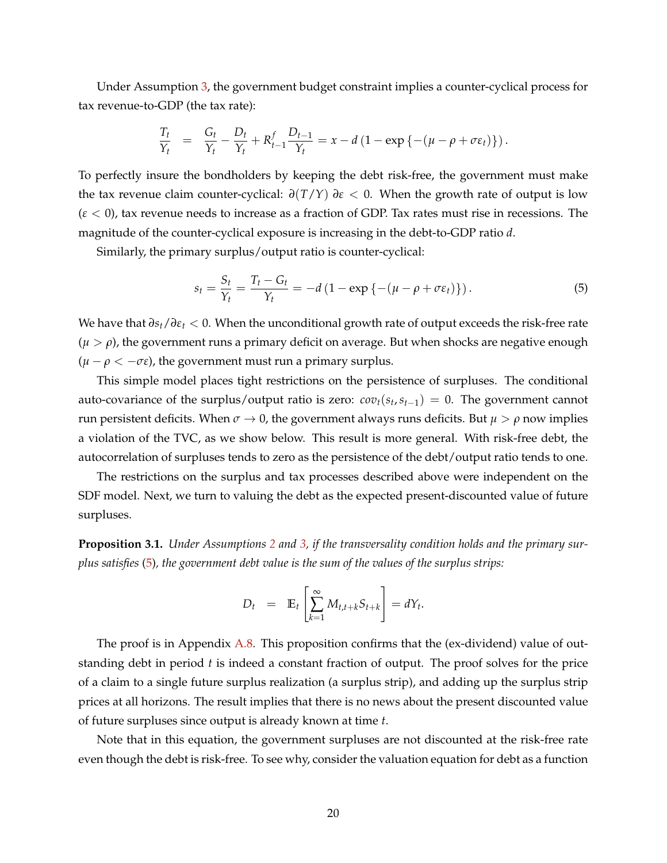Under Assumption [3,](#page-19-1) the government budget constraint implies a counter-cyclical process for tax revenue-to-GDP (the tax rate):

$$
\frac{T_t}{Y_t} = \frac{G_t}{Y_t} - \frac{D_t}{Y_t} + R_{t-1}^f \frac{D_{t-1}}{Y_t} = x - d \left( 1 - \exp \left\{ - (\mu - \rho + \sigma \varepsilon_t) \right\} \right).
$$

To perfectly insure the bondholders by keeping the debt risk-free, the government must make the tax revenue claim counter-cyclical:  $\frac{\partial (T/Y)}{\partial \varepsilon}$  *∂*. When the growth rate of output is low (*ε* < 0), tax revenue needs to increase as a fraction of GDP. Tax rates must rise in recessions. The magnitude of the counter-cyclical exposure is increasing in the debt-to-GDP ratio *d*.

Similarly, the primary surplus/output ratio is counter-cyclical:

<span id="page-20-0"></span>
$$
s_t = \frac{S_t}{Y_t} = \frac{T_t - G_t}{Y_t} = -d\left(1 - \exp\left\{-\left(\mu - \rho + \sigma \varepsilon_t\right)\right\}\right). \tag{5}
$$

We have that *∂st*/*∂ε<sup>t</sup>* < 0. When the unconditional growth rate of output exceeds the risk-free rate  $(\mu > \rho)$ , the government runs a primary deficit on average. But when shocks are negative enough  $(\mu - \rho < -\sigma \epsilon)$ , the government must run a primary surplus.

This simple model places tight restrictions on the persistence of surpluses. The conditional auto-covariance of the surplus/output ratio is zero:  $cov_t(s_t, s_{t-1}) = 0$ . The government cannot run persistent deficits. When  $σ \rightarrow 0$ , the government always runs deficits. But  $μ > ρ$  now implies a violation of the TVC, as we show below. This result is more general. With risk-free debt, the autocorrelation of surpluses tends to zero as the persistence of the debt/output ratio tends to one.

The restrictions on the surplus and tax processes described above were independent on the SDF model. Next, we turn to valuing the debt as the expected present-discounted value of future surpluses.

**Proposition 3.1.** *Under Assumptions [2](#page-19-2) and [3,](#page-19-1) if the transversality condition holds and the primary surplus satisfies* [\(5\)](#page-20-0)*, the government debt value is the sum of the values of the surplus strips:*

$$
D_t = \mathbb{E}_t \left[ \sum_{k=1}^{\infty} M_{t,t+k} S_{t+k} \right] = dY_t.
$$

The proof is in Appendix [A.8.](#page-55-0) This proposition confirms that the (ex-dividend) value of outstanding debt in period *t* is indeed a constant fraction of output. The proof solves for the price of a claim to a single future surplus realization (a surplus strip), and adding up the surplus strip prices at all horizons. The result implies that there is no news about the present discounted value of future surpluses since output is already known at time *t*.

Note that in this equation, the government surpluses are not discounted at the risk-free rate even though the debt is risk-free. To see why, consider the valuation equation for debt as a function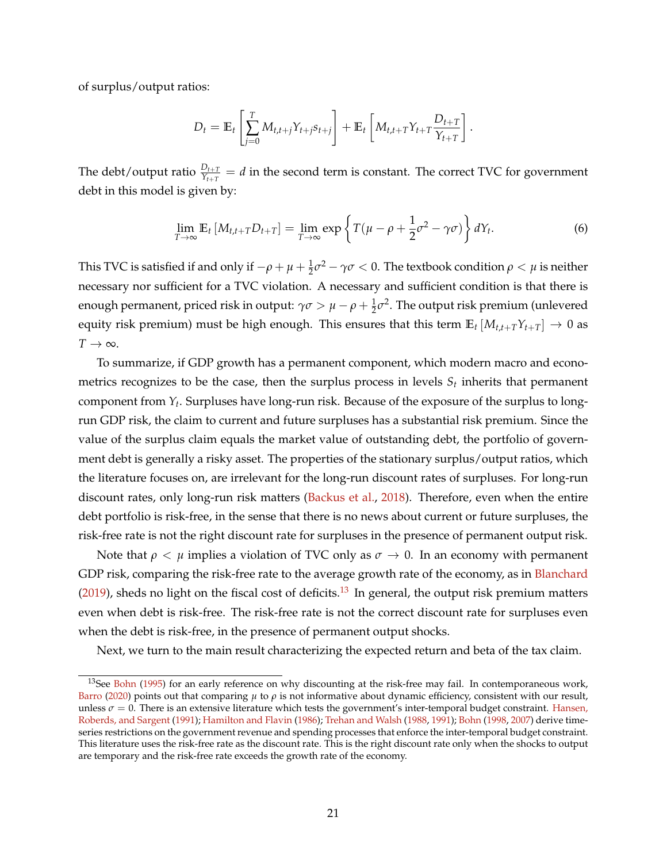of surplus/output ratios:

$$
D_t = \mathbb{E}_t \left[ \sum_{j=0}^T M_{t,t+j} Y_{t+j} s_{t+j} \right] + \mathbb{E}_t \left[ M_{t,t+T} Y_{t+T} \frac{D_{t+T}}{Y_{t+T}} \right].
$$

The debt/output ratio  $\frac{D_{t+T}}{Y_{t+T}} = d$  in the second term is constant. The correct TVC for government debt in this model is given by:

$$
\lim_{T \to \infty} \mathbb{E}_t \left[ M_{t,t+T} D_{t+T} \right] = \lim_{T \to \infty} \exp \left\{ T(\mu - \rho + \frac{1}{2} \sigma^2 - \gamma \sigma) \right\} dY_t.
$$
 (6)

This TVC is satisfied if and only if  $-\rho+\mu+\frac{1}{2}\sigma^2-\gamma\sigma< 0.$  The textbook condition  $\rho<\mu$  is neither necessary nor sufficient for a TVC violation. A necessary and sufficient condition is that there is enough permanent, priced risk in output:  $\gamma\sigma > \mu - \rho + \frac{1}{2}\sigma^2$ . The output risk premium (unlevered equity risk premium) must be high enough. This ensures that this term  $\mathbb{E}_t [M_{t,t+T}Y_{t+T}] \to 0$  as  $T \rightarrow \infty$ .

To summarize, if GDP growth has a permanent component, which modern macro and econometrics recognizes to be the case, then the surplus process in levels  $S_t$  inherits that permanent component from *Y<sup>t</sup>* . Surpluses have long-run risk. Because of the exposure of the surplus to longrun GDP risk, the claim to current and future surpluses has a substantial risk premium. Since the value of the surplus claim equals the market value of outstanding debt, the portfolio of government debt is generally a risky asset. The properties of the stationary surplus/output ratios, which the literature focuses on, are irrelevant for the long-run discount rates of surpluses. For long-run discount rates, only long-run risk matters [\(Backus et al.,](#page-46-2) [2018\)](#page-46-2). Therefore, even when the entire debt portfolio is risk-free, in the sense that there is no news about current or future surpluses, the risk-free rate is not the right discount rate for surpluses in the presence of permanent output risk.

Note that  $\rho < \mu$  implies a violation of TVC only as  $\sigma \to 0$ . In an economy with permanent GDP risk, comparing the risk-free rate to the average growth rate of the economy, as in [Blanchard](#page-47-12) [\(2019\)](#page-47-12), sheds no light on the fiscal cost of deficits.<sup>[13](#page-21-0)</sup> In general, the output risk premium matters even when debt is risk-free. The risk-free rate is not the correct discount rate for surpluses even when the debt is risk-free, in the presence of permanent output shocks.

Next, we turn to the main result characterizing the expected return and beta of the tax claim.

<span id="page-21-0"></span><sup>&</sup>lt;sup>13</sup>See [Bohn](#page-47-13) [\(1995\)](#page-47-13) for an early reference on why discounting at the risk-free may fail. In contemporaneous work, [Barro](#page-47-8) [\(2020\)](#page-47-8) points out that comparing  $\mu$  to  $\rho$  is not informative about dynamic efficiency, consistent with our result, unless  $\sigma = 0$ . There is an extensive literature which tests the government's inter-temporal budget constraint. [Hansen,](#page-49-12) [Roberds, and Sargent](#page-49-12) [\(1991\)](#page-49-12); [Hamilton and Flavin](#page-49-13) [\(1986\)](#page-49-13); [Trehan and Walsh](#page-51-4) [\(1988,](#page-51-4) [1991\)](#page-51-5); [Bohn](#page-47-14) [\(1998,](#page-47-14) [2007\)](#page-47-15) derive timeseries restrictions on the government revenue and spending processes that enforce the inter-temporal budget constraint. This literature uses the risk-free rate as the discount rate. This is the right discount rate only when the shocks to output are temporary and the risk-free rate exceeds the growth rate of the economy.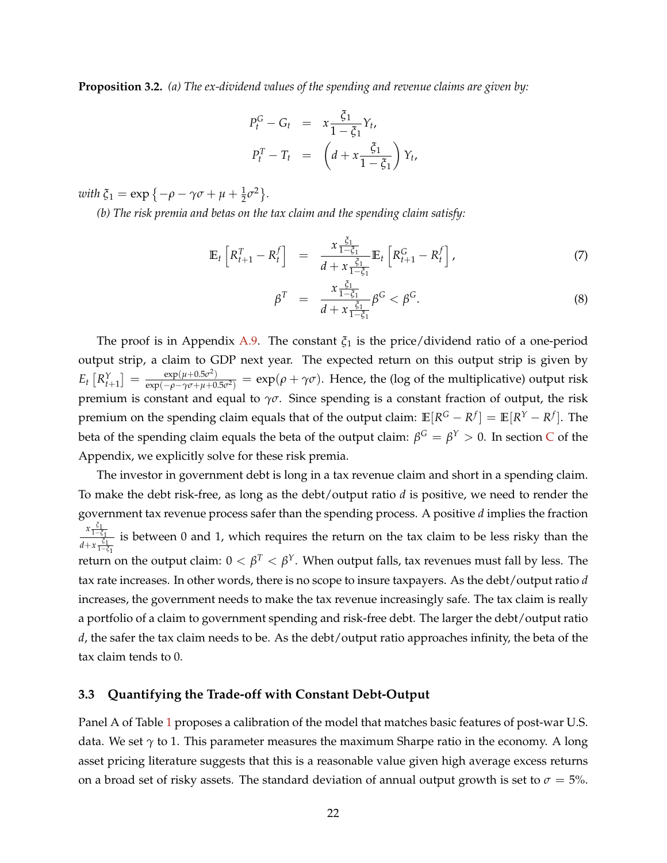<span id="page-22-0"></span>**Proposition 3.2.** *(a) The ex-dividend values of the spending and revenue claims are given by:*

$$
P_t^G - G_t = x \frac{\xi_1}{1 - \xi_1} Y_t,
$$
  

$$
P_t^T - T_t = \left( d + x \frac{\xi_1}{1 - \xi_1} \right) Y_t,
$$

 $\omega$ *ith*  $\xi_1 = \exp\{-\rho - \gamma\sigma + \mu + \frac{1}{2}\sigma^2\}.$ 

*(b) The risk premia and betas on the tax claim and the spending claim satisfy:*

<span id="page-22-1"></span>
$$
\mathbb{E}_t \left[ R_{t+1}^T - R_t^f \right] = \frac{x \frac{\xi_1}{1 - \xi_1}}{d + x \frac{\xi_1}{1 - \xi_1}} \mathbb{E}_t \left[ R_{t+1}^G - R_t^f \right], \tag{7}
$$

$$
\beta^T = \frac{x \frac{\xi_1}{1 - \xi_1}}{d + x \frac{\xi_1}{1 - \xi_1}} \beta^G < \beta^G. \tag{8}
$$

The proof is in Appendix [A.9.](#page-56-0) The constant  $\xi_1$  is the price/dividend ratio of a one-period output strip, a claim to GDP next year. The expected return on this output strip is given by  $E_t\left[R_{t+1}^Y\right] = \frac{\exp(\mu + 0.5\sigma^2)}{\exp(-\rho - \gamma \sigma + \mu + 0)}$  $\frac{\exp(\mu+0.5\sigma^2)}{\exp(-\rho-\gamma\sigma+\mu+0.5\sigma^2)} = \exp(\rho+\gamma\sigma)$ . Hence, the (log of the multiplicative) output risk premium is constant and equal to  $\gamma\sigma$ . Since spending is a constant fraction of output, the risk premium on the spending claim equals that of the output claim:  $\mathbb{E}[R^G - R^f] = \mathbb{E}[R^Y - R^f].$  The beta of the spending claim equals the beta of the output claim:  $β^G = β^Y > 0$ . In section [C](#page-69-1) of the Appendix, we explicitly solve for these risk premia.

The investor in government debt is long in a tax revenue claim and short in a spending claim. To make the debt risk-free, as long as the debt/output ratio *d* is positive, we need to render the government tax revenue process safer than the spending process. A positive *d* implies the fraction *x ξ*1 <sup>1</sup>−*ξ*<sup>1</sup>  $\frac{1-\epsilon_1}{d+x\frac{\epsilon_1}{1-x}}$  is between 0 and 1, which requires the return on the tax claim to be less risky than the <sup>1</sup>−*ξ*<sup>1</sup> return on the output claim:  $0 < \beta^T < \beta^\text{Y}$ . When output falls, tax revenues must fall by less. The tax rate increases. In other words, there is no scope to insure taxpayers. As the debt/output ratio *d* increases, the government needs to make the tax revenue increasingly safe. The tax claim is really a portfolio of a claim to government spending and risk-free debt. The larger the debt/output ratio *d*, the safer the tax claim needs to be. As the debt/output ratio approaches infinity, the beta of the tax claim tends to 0.

# **3.3 Quantifying the Trade-off with Constant Debt-Output**

Panel A of Table [1](#page-23-0) proposes a calibration of the model that matches basic features of post-war U.S. data. We set *γ* to 1. This parameter measures the maximum Sharpe ratio in the economy. A long asset pricing literature suggests that this is a reasonable value given high average excess returns on a broad set of risky assets. The standard deviation of annual output growth is set to  $\sigma = 5\%$ .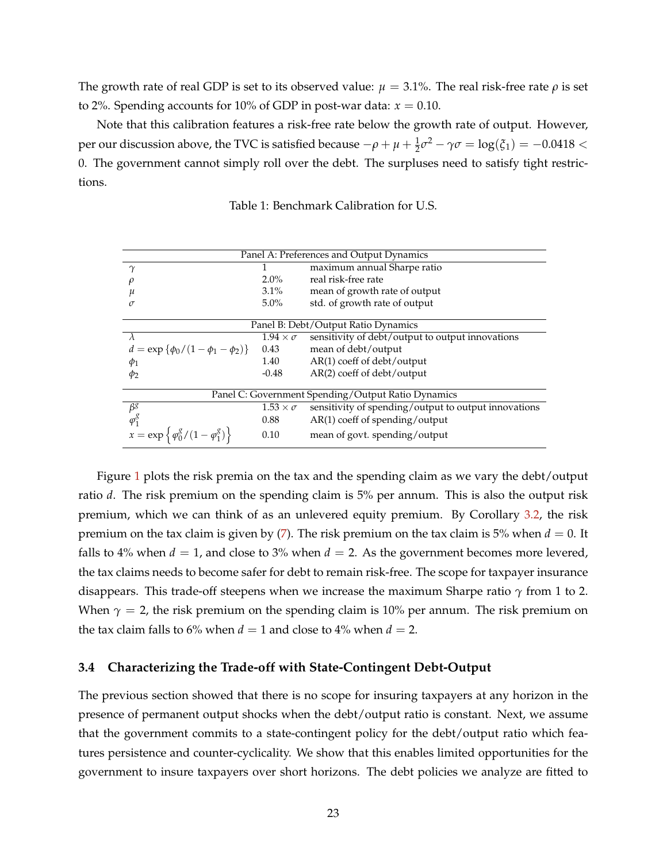The growth rate of real GDP is set to its observed value:  $\mu = 3.1\%$ . The real risk-free rate  $\rho$  is set to 2%. Spending accounts for 10% of GDP in post-war data:  $x = 0.10$ .

<span id="page-23-0"></span>Note that this calibration features a risk-free rate below the growth rate of output. However, per our discussion above, the TVC is satisfied because  $-\rho + \mu + \frac{1}{2}\sigma^2 - \gamma\sigma = \log(\xi_1) = -0.0418 <$ 0. The government cannot simply roll over the debt. The surpluses need to satisfy tight restrictions.

| Panel A: Preferences and Output Dynamics                  |                      |                                                      |
|-----------------------------------------------------------|----------------------|------------------------------------------------------|
| $\gamma$                                                  | 1                    | maximum annual Sharpe ratio                          |
| $\rho$                                                    | $2.0\%$              | real risk-free rate                                  |
| $\mu$                                                     | $3.1\%$              | mean of growth rate of output                        |
| $\sigma$                                                  | $5.0\%$              | std. of growth rate of output                        |
|                                                           |                      |                                                      |
| Panel B: Debt/Output Ratio Dynamics                       |                      |                                                      |
| $\lambda$                                                 | $1.94 \times \sigma$ | sensitivity of debt/output to output innovations     |
| $d = \exp \{\phi_0/(1-\phi_1-\phi_2)\}\$                  | 0.43                 | mean of debt/output                                  |
| $\phi_1$                                                  | 1.40                 | $AR(1)$ coeff of debt/output                         |
| $\phi_2$                                                  | $-0.48$              | $AR(2)$ coeff of debt/output                         |
|                                                           |                      |                                                      |
| Panel C: Government Spending/Output Ratio Dynamics        |                      |                                                      |
| $\beta^g$                                                 | $1.53 \times \sigma$ | sensitivity of spending/output to output innovations |
| $\varphi_1^g$                                             | 0.88                 | $AR(1)$ coeff of spending/output                     |
| $x = \exp \left\{ \frac{\phi_0^g}{1 - \phi_1^g} \right\}$ | 0.10                 | mean of govt. spending/output                        |

Table 1: Benchmark Calibration for U.S.

Figure [1](#page-24-0) plots the risk premia on the tax and the spending claim as we vary the debt/output ratio *d*. The risk premium on the spending claim is 5% per annum. This is also the output risk premium, which we can think of as an unlevered equity premium. By Corollary [3.2,](#page-22-0) the risk premium on the tax claim is given by  $(7)$ . The risk premium on the tax claim is 5% when  $d = 0$ . It falls to 4% when  $d = 1$ , and close to 3% when  $d = 2$ . As the government becomes more levered, the tax claims needs to become safer for debt to remain risk-free. The scope for taxpayer insurance disappears. This trade-off steepens when we increase the maximum Sharpe ratio *γ* from 1 to 2. When  $\gamma = 2$ , the risk premium on the spending claim is 10% per annum. The risk premium on the tax claim falls to 6% when  $d = 1$  and close to 4% when  $d = 2$ .

#### **3.4 Characterizing the Trade-off with State-Contingent Debt-Output**

The previous section showed that there is no scope for insuring taxpayers at any horizon in the presence of permanent output shocks when the debt/output ratio is constant. Next, we assume that the government commits to a state-contingent policy for the debt/output ratio which features persistence and counter-cyclicality. We show that this enables limited opportunities for the government to insure taxpayers over short horizons. The debt policies we analyze are fitted to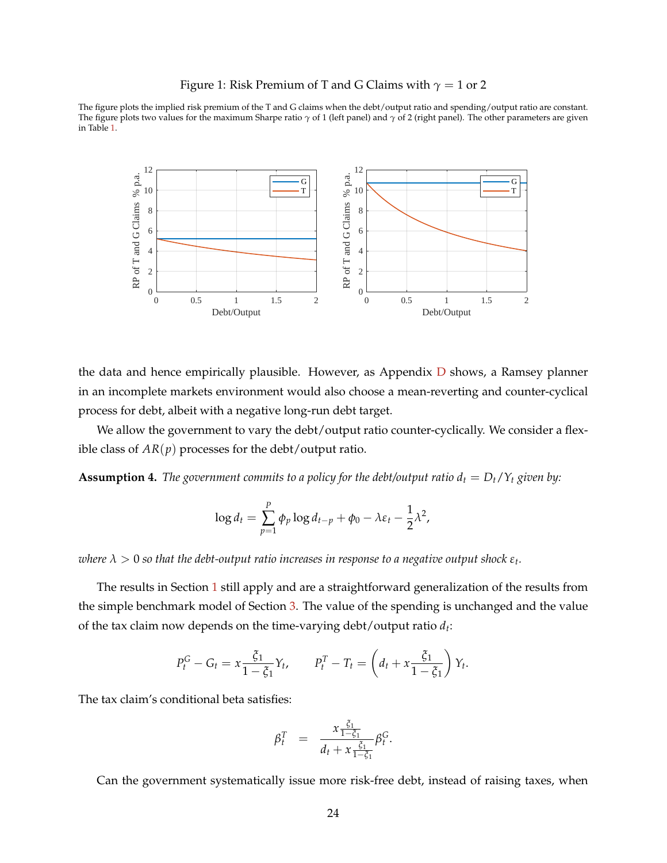#### Figure 1: Risk Premium of T and G Claims with  $\gamma = 1$  or 2

<span id="page-24-0"></span>The figure plots the implied risk premium of the T and G claims when the debt/output ratio and spending/output ratio are constant. The figure plots two values for the maximum Sharpe ratio *γ* of 1 (left panel) and *γ* of 2 (right panel). The other parameters are given in Table [1.](#page-23-0)



the data and hence empirically plausible. However, as Appendix  $D$  shows, a Ramsey planner in an incomplete markets environment would also choose a mean-reverting and counter-cyclical process for debt, albeit with a negative long-run debt target.

We allow the government to vary the debt/output ratio counter-cyclically. We consider a flexible class of  $AR(p)$  processes for the debt/output ratio.

<span id="page-24-1"></span>**Assumption 4.** *The government commits to a policy for the debt/output ratio*  $d_t = D_t/Y_t$  *given by:* 

$$
\log d_t = \sum_{p=1}^P \phi_p \log d_{t-p} + \phi_0 - \lambda \varepsilon_t - \frac{1}{2} \lambda^2,
$$

 $\alpha$  *λ*  $>$  0 so that the debt-output ratio increases in response to a negative output shock  $\varepsilon_t.$ 

The results in Section [1](#page-7-0) still apply and are a straightforward generalization of the results from the simple benchmark model of Section [3.](#page-19-0) The value of the spending is unchanged and the value of the tax claim now depends on the time-varying debt/output ratio *d<sup>t</sup>* :

$$
P_t^G - G_t = x \frac{\xi_1}{1 - \xi_1} Y_t, \qquad P_t^T - T_t = \left( d_t + x \frac{\xi_1}{1 - \xi_1} \right) Y_t.
$$

The tax claim's conditional beta satisfies:

$$
\beta_t^T = \frac{x \frac{\xi_1}{1-\xi_1}}{d_t + x \frac{\xi_1}{1-\xi_1}} \beta_t^G.
$$

Can the government systematically issue more risk-free debt, instead of raising taxes, when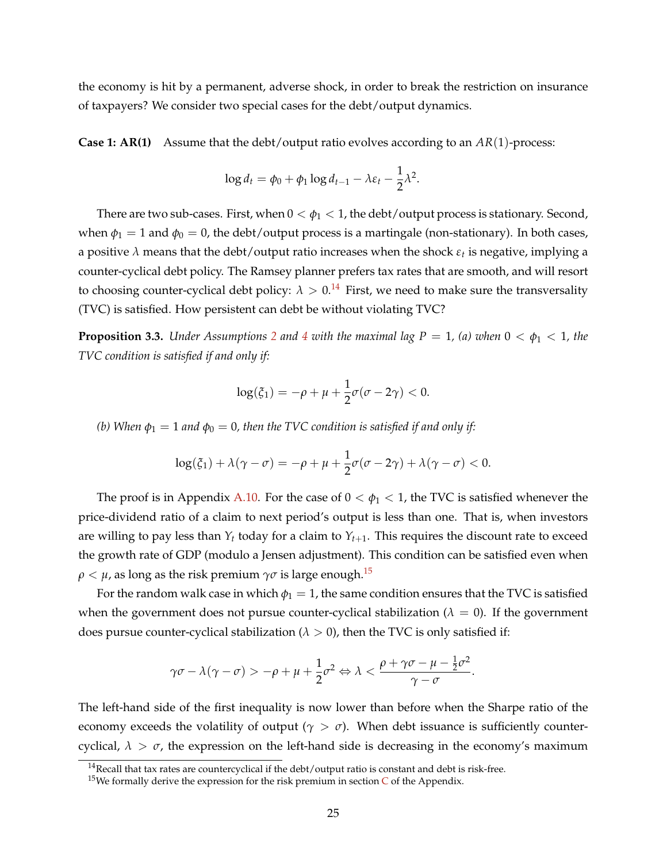the economy is hit by a permanent, adverse shock, in order to break the restriction on insurance of taxpayers? We consider two special cases for the debt/output dynamics.

**Case 1: AR(1)** Assume that the debt/output ratio evolves according to an *AR*(1)-process:

$$
\log d_t = \phi_0 + \phi_1 \log d_{t-1} - \lambda \varepsilon_t - \frac{1}{2} \lambda^2.
$$

There are two sub-cases. First, when  $0 < \phi_1 < 1$ , the debt/output process is stationary. Second, when  $\phi_1 = 1$  and  $\phi_0 = 0$ , the debt/output process is a martingale (non-stationary). In both cases, a positive *λ* means that the debt/output ratio increases when the shock *ε<sup>t</sup>* is negative, implying a counter-cyclical debt policy. The Ramsey planner prefers tax rates that are smooth, and will resort to choosing counter-cyclical debt policy:  $\lambda > 0.14$  $\lambda > 0.14$  First, we need to make sure the transversality (TVC) is satisfied. How persistent can debt be without violating TVC?

<span id="page-25-2"></span>**Proposition 3.3.** *Under Assumptions* [2](#page-19-2) *and* [4](#page-24-1) *with the maximal lag P = 1, (a) when*  $0 < \phi_1 < 1$ *, the TVC condition is satisfied if and only if:*

$$
\log(\xi_1) = -\rho + \mu + \frac{1}{2}\sigma(\sigma - 2\gamma) < 0.
$$

*(b)* When  $\phi_1 = 1$  *and*  $\phi_0 = 0$ *, then the TVC condition is satisfied if and only if:* 

$$
\log(\xi_1) + \lambda(\gamma - \sigma) = -\rho + \mu + \frac{1}{2}\sigma(\sigma - 2\gamma) + \lambda(\gamma - \sigma) < 0.
$$

The proof is in Appendix [A.10.](#page-56-1) For the case of  $0 < \phi_1 < 1$ , the TVC is satisfied whenever the price-dividend ratio of a claim to next period's output is less than one. That is, when investors are willing to pay less than  $Y_t$  today for a claim to  $Y_{t+1}$ . This requires the discount rate to exceed the growth rate of GDP (modulo a Jensen adjustment). This condition can be satisfied even when  $\rho < \mu$ , as long as the risk premium  $\gamma \sigma$  is large enough.<sup>[15](#page-25-1)</sup>

For the random walk case in which  $\phi_1 = 1$ , the same condition ensures that the TVC is satisfied when the government does not pursue counter-cyclical stabilization ( $\lambda = 0$ ). If the government does pursue counter-cyclical stabilization ( $\lambda > 0$ ), then the TVC is only satisfied if:

$$
\gamma \sigma - \lambda (\gamma - \sigma) > -\rho + \mu + \frac{1}{2} \sigma^2 \Leftrightarrow \lambda < \frac{\rho + \gamma \sigma - \mu - \frac{1}{2} \sigma^2}{\gamma - \sigma}.
$$

The left-hand side of the first inequality is now lower than before when the Sharpe ratio of the economy exceeds the volatility of output ( $\gamma > \sigma$ ). When debt issuance is sufficiently countercyclical,  $\lambda > \sigma$ , the expression on the left-hand side is decreasing in the economy's maximum

<span id="page-25-0"></span> $14$ Recall that tax rates are countercyclical if the debt/output ratio is constant and debt is risk-free.

<span id="page-25-1"></span><sup>&</sup>lt;sup>15</sup>We formally derive the expression for the risk premium in section  $C$  of the Appendix.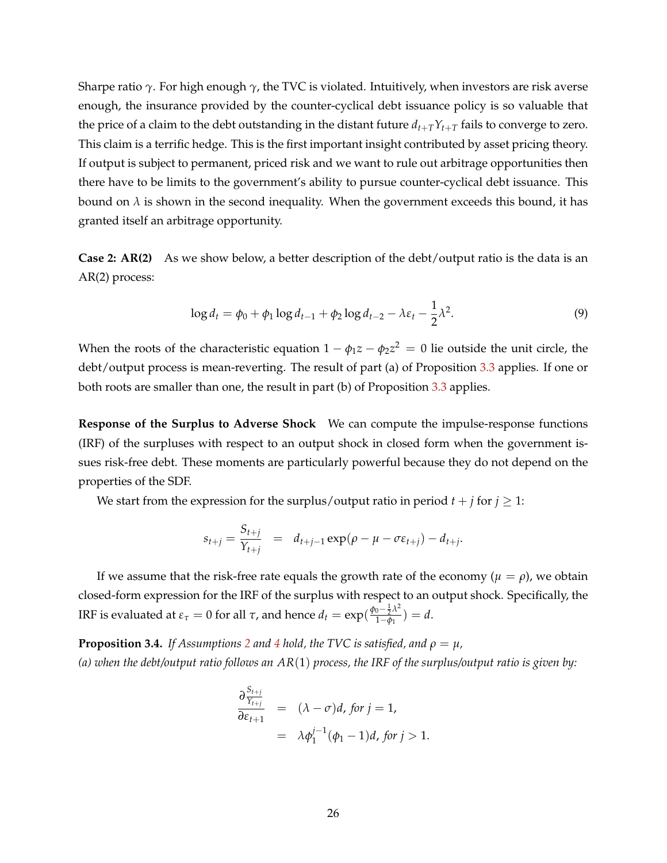Sharpe ratio *γ*. For high enough *γ*, the TVC is violated. Intuitively, when investors are risk averse enough, the insurance provided by the counter-cyclical debt issuance policy is so valuable that the price of a claim to the debt outstanding in the distant future  $d_{t+T}Y_{t+T}$  fails to converge to zero. This claim is a terrific hedge. This is the first important insight contributed by asset pricing theory. If output is subject to permanent, priced risk and we want to rule out arbitrage opportunities then there have to be limits to the government's ability to pursue counter-cyclical debt issuance. This bound on  $\lambda$  is shown in the second inequality. When the government exceeds this bound, it has granted itself an arbitrage opportunity.

**Case 2: AR(2)** As we show below, a better description of the debt/output ratio is the data is an AR(2) process:

<span id="page-26-1"></span>
$$
\log d_t = \phi_0 + \phi_1 \log d_{t-1} + \phi_2 \log d_{t-2} - \lambda \varepsilon_t - \frac{1}{2} \lambda^2. \tag{9}
$$

When the roots of the characteristic equation  $1 - \phi_1 z - \phi_2 z^2 \,=\, 0$  lie outside the unit circle, the debt/output process is mean-reverting. The result of part (a) of Proposition [3.3](#page-25-2) applies. If one or both roots are smaller than one, the result in part (b) of Proposition [3.3](#page-25-2) applies.

**Response of the Surplus to Adverse Shock** We can compute the impulse-response functions (IRF) of the surpluses with respect to an output shock in closed form when the government issues risk-free debt. These moments are particularly powerful because they do not depend on the properties of the SDF.

We start from the expression for the surplus/output ratio in period  $t + j$  for  $j \geq 1$ :

$$
s_{t+j} = \frac{S_{t+j}}{Y_{t+j}} = d_{t+j-1} \exp(\rho - \mu - \sigma \varepsilon_{t+j}) - d_{t+j}.
$$

If we assume that the risk-free rate equals the growth rate of the economy ( $\mu = \rho$ ), we obtain closed-form expression for the IRF of the surplus with respect to an output shock. Specifically, the IRF is evaluated at  $ε_τ = 0$  for all  $τ$ , and hence  $d_t = \exp(\frac{\phi_0 - \frac{1}{2} \lambda^2}{1 - \phi_1})$  $\frac{1-\bar{p}^{(1)}(1-\phi_1)}{1-\phi_1} = d.$ 

<span id="page-26-0"></span>**Proposition 3.[4](#page-24-1).** *If Assumptions* [2](#page-19-2) *and* 4 *hold, the TVC is satisfied, and*  $\rho = \mu$ *, (a) when the debt/output ratio follows an AR*(1) *process, the IRF of the surplus/output ratio is given by:*

$$
\frac{\partial \frac{S_{t+j}}{S_{t+j}}}{\partial \varepsilon_{t+1}} = (\lambda - \sigma)d, \text{ for } j = 1,
$$
  
=  $\lambda \phi_1^{j-1}(\phi_1 - 1)d, \text{ for } j > 1.$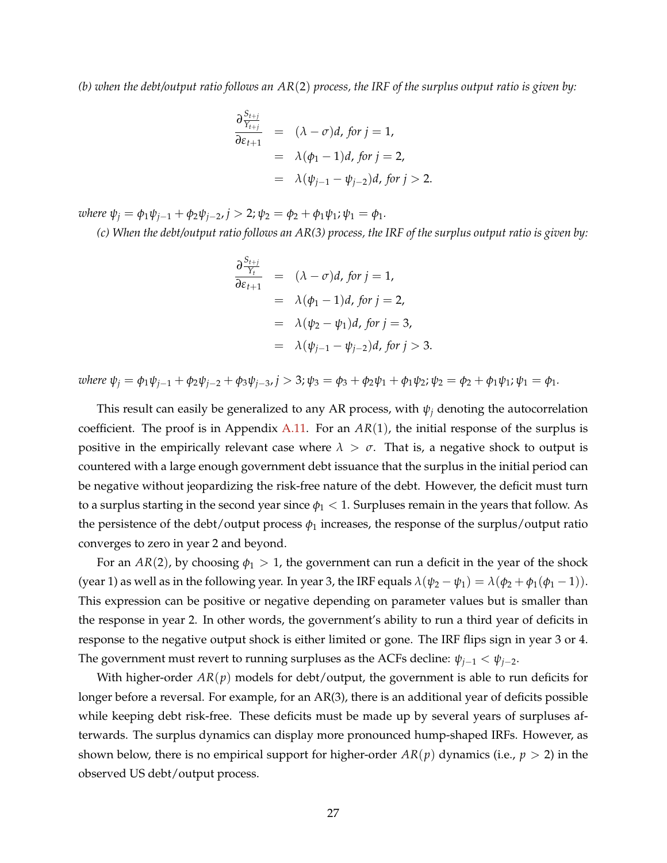*(b) when the debt/output ratio follows an AR*(2) *process, the IRF of the surplus output ratio is given by:*

$$
\frac{\partial \frac{S_{t+j}}{S_{t+1}}}{\partial \varepsilon_{t+1}} = (\lambda - \sigma)d, \text{ for } j = 1,
$$
  
=  $\lambda(\phi_1 - 1)d, \text{ for } j = 2,$   
=  $\lambda(\psi_{j-1} - \psi_{j-2})d, \text{ for } j > 2.$ 

 $w$ *here*  $\psi_j = \phi_1 \psi_{j-1} + \phi_2 \psi_{j-2}$ ,  $j > 2$ ;  $\psi_2 = \phi_2 + \phi_1 \psi_1$ ;  $\psi_1 = \phi_1$ .

*(c) When the debt/output ratio follows an AR(3) process, the IRF of the surplus output ratio is given by:*

$$
\frac{\partial \frac{S_{t+j}}{Y_t}}{\partial \varepsilon_{t+1}} = (\lambda - \sigma)d, \text{ for } j = 1,
$$
  
\n
$$
= \lambda(\phi_1 - 1)d, \text{ for } j = 2,
$$
  
\n
$$
= \lambda(\psi_2 - \psi_1)d, \text{ for } j = 3,
$$
  
\n
$$
= \lambda(\psi_{j-1} - \psi_{j-2})d, \text{ for } j > 3.
$$

where  $\psi_i = \phi_1 \psi_{i-1} + \phi_2 \psi_{i-2} + \phi_3 \psi_{i-3}$ ,  $j > 3$ ;  $\psi_3 = \phi_3 + \phi_2 \psi_1 + \phi_1 \psi_2$ ;  $\psi_2 = \phi_2 + \phi_1 \psi_1$ ;  $\psi_1 = \phi_1$ .

This result can easily be generalized to any AR process, with  $\psi_i$  denoting the autocorrelation coefficient. The proof is in Appendix [A.11.](#page-60-0) For an *AR*(1), the initial response of the surplus is positive in the empirically relevant case where  $\lambda > \sigma$ . That is, a negative shock to output is countered with a large enough government debt issuance that the surplus in the initial period can be negative without jeopardizing the risk-free nature of the debt. However, the deficit must turn to a surplus starting in the second year since  $\phi_1 < 1$ . Surpluses remain in the years that follow. As the persistence of the debt/output process  $\phi_1$  increases, the response of the surplus/output ratio converges to zero in year 2 and beyond.

For an  $AR(2)$ , by choosing  $\phi_1 > 1$ , the government can run a deficit in the year of the shock (year 1) as well as in the following year. In year 3, the IRF equals  $\lambda(\psi_2 - \psi_1) = \lambda(\phi_2 + \phi_1(\phi_1 - 1))$ . This expression can be positive or negative depending on parameter values but is smaller than the response in year 2. In other words, the government's ability to run a third year of deficits in response to the negative output shock is either limited or gone. The IRF flips sign in year 3 or 4. The government must revert to running surpluses as the ACFs decline:  $\psi_{i-1} < \psi_{i-2}$ .

With higher-order  $AR(p)$  models for debt/output, the government is able to run deficits for longer before a reversal. For example, for an AR(3), there is an additional year of deficits possible while keeping debt risk-free. These deficits must be made up by several years of surpluses afterwards. The surplus dynamics can display more pronounced hump-shaped IRFs. However, as shown below, there is no empirical support for higher-order  $AR(p)$  dynamics (i.e.,  $p > 2$ ) in the observed US debt/output process.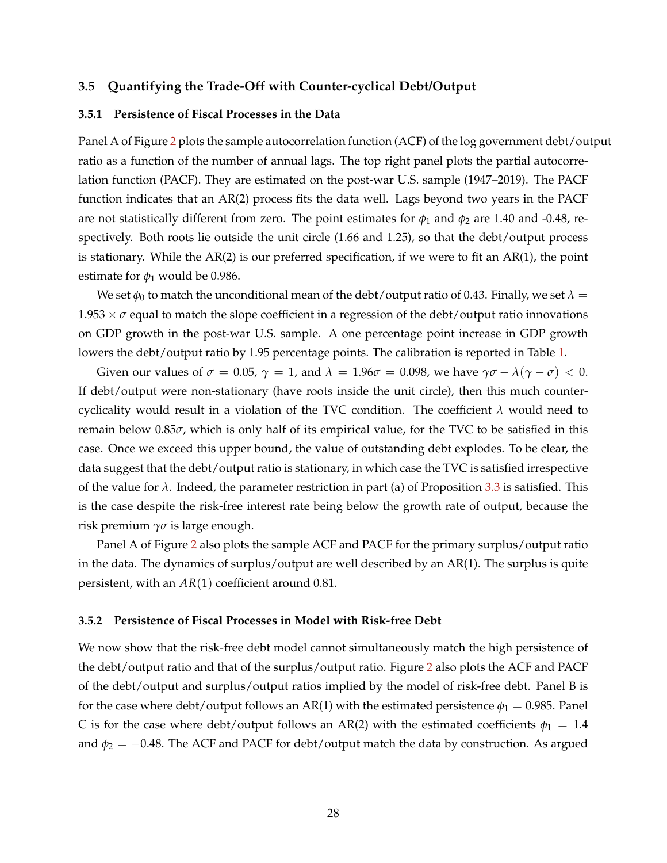#### **3.5 Quantifying the Trade-Off with Counter-cyclical Debt/Output**

### **3.5.1 Persistence of Fiscal Processes in the Data**

Panel A of Figure [2](#page-29-0) plots the sample autocorrelation function (ACF) of the log government debt/output ratio as a function of the number of annual lags. The top right panel plots the partial autocorrelation function (PACF). They are estimated on the post-war U.S. sample (1947–2019). The PACF function indicates that an AR(2) process fits the data well. Lags beyond two years in the PACF are not statistically different from zero. The point estimates for  $\phi_1$  and  $\phi_2$  are 1.40 and -0.48, respectively. Both roots lie outside the unit circle (1.66 and 1.25), so that the debt/output process is stationary. While the AR(2) is our preferred specification, if we were to fit an AR(1), the point estimate for  $\phi_1$  would be 0.986.

We set  $\phi_0$  to match the unconditional mean of the debt/output ratio of 0.43. Finally, we set  $\lambda =$  $1.953 \times \sigma$  equal to match the slope coefficient in a regression of the debt/output ratio innovations on GDP growth in the post-war U.S. sample. A one percentage point increase in GDP growth lowers the debt/output ratio by 1.95 percentage points. The calibration is reported in Table [1.](#page-23-0)

Given our values of  $\sigma = 0.05$ ,  $\gamma = 1$ , and  $\lambda = 1.96\sigma = 0.098$ , we have  $\gamma\sigma - \lambda(\gamma - \sigma) < 0$ . If debt/output were non-stationary (have roots inside the unit circle), then this much countercyclicality would result in a violation of the TVC condition. The coefficient *λ* would need to remain below 0.85*σ*, which is only half of its empirical value, for the TVC to be satisfied in this case. Once we exceed this upper bound, the value of outstanding debt explodes. To be clear, the data suggest that the debt/output ratio is stationary, in which case the TVC is satisfied irrespective of the value for  $\lambda$ . Indeed, the parameter restriction in part (a) of Proposition [3.3](#page-25-2) is satisfied. This is the case despite the risk-free interest rate being below the growth rate of output, because the risk premium *γσ* is large enough.

Panel A of Figure [2](#page-29-0) also plots the sample ACF and PACF for the primary surplus/output ratio in the data. The dynamics of surplus/output are well described by an AR(1). The surplus is quite persistent, with an *AR*(1) coefficient around 0.81.

#### **3.5.2 Persistence of Fiscal Processes in Model with Risk-free Debt**

We now show that the risk-free debt model cannot simultaneously match the high persistence of the debt/output ratio and that of the surplus/output ratio. Figure [2](#page-29-0) also plots the ACF and PACF of the debt/output and surplus/output ratios implied by the model of risk-free debt. Panel B is for the case where debt/output follows an AR(1) with the estimated persistence  $\phi_1 = 0.985$ . Panel C is for the case where debt/output follows an AR(2) with the estimated coefficients  $\phi_1 = 1.4$ and  $\phi_2 = -0.48$ . The ACF and PACF for debt/output match the data by construction. As argued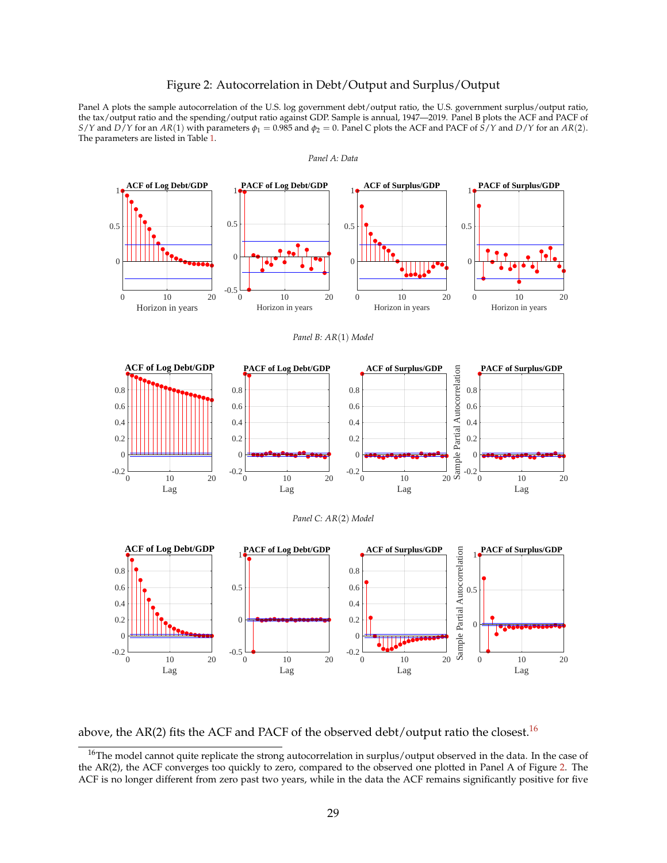#### Figure 2: Autocorrelation in Debt/Output and Surplus/Output

<span id="page-29-0"></span>Panel A plots the sample autocorrelation of the U.S. log government debt/output ratio, the U.S. government surplus/output ratio, the tax/output ratio and the spending/output ratio against GDP. Sample is annual, 1947—2019. Panel B plots the ACF and PACF of *S*/*Y* and *D*/*Y* for an *AR*(1) with parameters  $\phi_1 = 0.985$  and  $\phi_2 = 0$ . Panel C plots the ACF and PACF of *S*/*Y* and *D*/*Y* for an *AR*(2). The parameters are listed in Table [1.](#page-23-0)



above, the AR(2) fits the ACF and PACF of the observed debt/output ratio the closest.<sup>[16](#page-29-1)</sup>

<span id="page-29-1"></span><sup>16</sup>The model cannot quite replicate the strong autocorrelation in surplus/output observed in the data. In the case of the AR(2), the ACF converges too quickly to zero, compared to the observed one plotted in Panel A of Figure [2.](#page-29-0) The ACF is no longer different from zero past two years, while in the data the ACF remains significantly positive for five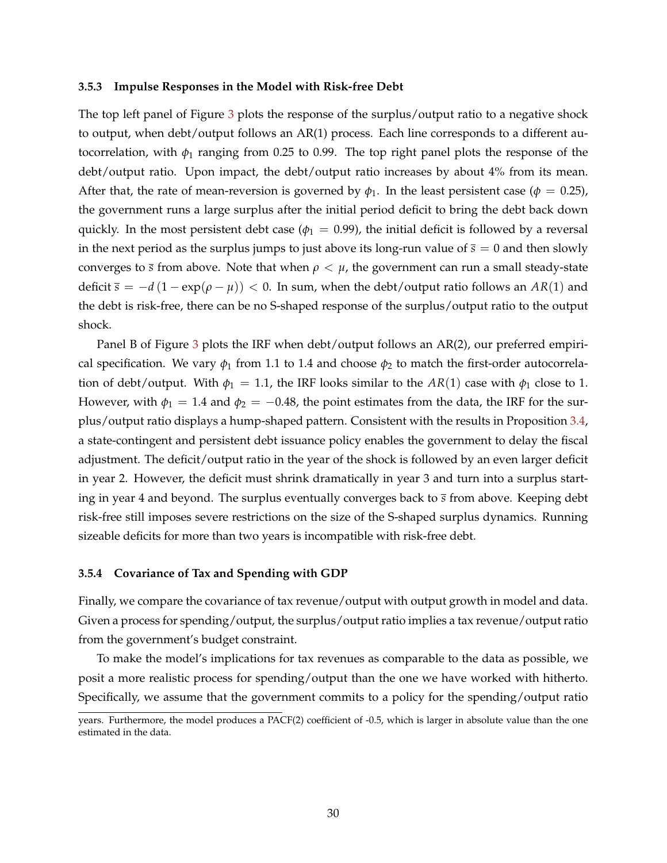#### **3.5.3 Impulse Responses in the Model with Risk-free Debt**

The top left panel of Figure [3](#page-31-0) plots the response of the surplus/output ratio to a negative shock to output, when debt/output follows an AR(1) process. Each line corresponds to a different autocorrelation, with  $\phi_1$  ranging from 0.25 to 0.99. The top right panel plots the response of the debt/output ratio. Upon impact, the debt/output ratio increases by about 4% from its mean. After that, the rate of mean-reversion is governed by  $\phi_1$ . In the least persistent case ( $\phi = 0.25$ ), the government runs a large surplus after the initial period deficit to bring the debt back down quickly. In the most persistent debt case ( $\phi_1 = 0.99$ ), the initial deficit is followed by a reversal in the next period as the surplus jumps to just above its long-run value of  $\bar{s} = 0$  and then slowly converges to  $\bar{s}$  from above. Note that when  $\rho < \mu$ , the government can run a small steady-state deficit  $\bar{s} = -d(1 - \exp(\rho - \mu)) < 0$ . In sum, when the debt/output ratio follows an AR(1) and the debt is risk-free, there can be no S-shaped response of the surplus/output ratio to the output shock.

Panel B of Figure [3](#page-31-0) plots the IRF when debt/output follows an AR(2), our preferred empirical specification. We vary  $\phi_1$  from 1.1 to 1.4 and choose  $\phi_2$  to match the first-order autocorrelation of debt/output. With  $\phi_1 = 1.1$ , the IRF looks similar to the  $AR(1)$  case with  $\phi_1$  close to 1. However, with  $\phi_1 = 1.4$  and  $\phi_2 = -0.48$ , the point estimates from the data, the IRF for the surplus/output ratio displays a hump-shaped pattern. Consistent with the results in Proposition [3.4,](#page-26-0) a state-contingent and persistent debt issuance policy enables the government to delay the fiscal adjustment. The deficit/output ratio in the year of the shock is followed by an even larger deficit in year 2. However, the deficit must shrink dramatically in year 3 and turn into a surplus starting in year 4 and beyond. The surplus eventually converges back to *s* from above. Keeping debt risk-free still imposes severe restrictions on the size of the S-shaped surplus dynamics. Running sizeable deficits for more than two years is incompatible with risk-free debt.

#### **3.5.4 Covariance of Tax and Spending with GDP**

Finally, we compare the covariance of tax revenue/output with output growth in model and data. Given a process for spending/output, the surplus/output ratio implies a tax revenue/output ratio from the government's budget constraint.

To make the model's implications for tax revenues as comparable to the data as possible, we posit a more realistic process for spending/output than the one we have worked with hitherto. Specifically, we assume that the government commits to a policy for the spending/output ratio

years. Furthermore, the model produces a PACF(2) coefficient of -0.5, which is larger in absolute value than the one estimated in the data.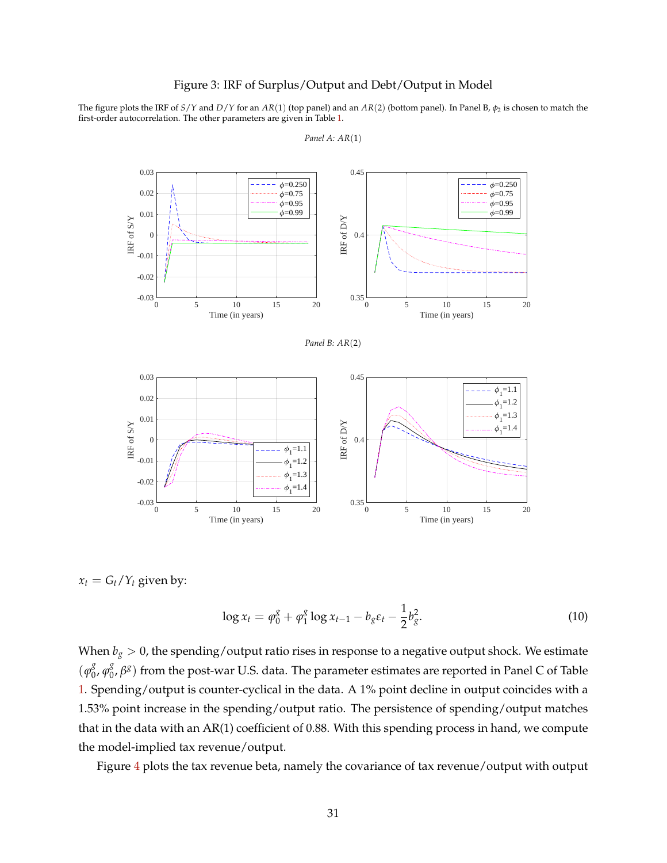### Figure 3: IRF of Surplus/Output and Debt/Output in Model

<span id="page-31-0"></span>The figure plots the IRF of *S*/*Y* and *D*/*Y* for an *AR*(1) (top panel) and an *AR*(2) (bottom panel). In Panel B, *φ*<sup>2</sup> is chosen to match the first-order autocorrelation. The other parameters are given in Table [1.](#page-23-0)



*Panel A: AR*(1)

 $x_t = G_t/Y_t$  given by:

<span id="page-31-1"></span>
$$
\log x_t = \varphi_0^g + \varphi_1^g \log x_{t-1} - b_g \varepsilon_t - \frac{1}{2} b_g^2. \tag{10}
$$

When  $b_g > 0$ , the spending/output ratio rises in response to a negative output shock. We estimate  $(\varphi_0^g)$  $\frac{g}{0}$ ,  $\varphi_0^g$ 0 , *β g* ) from the post-war U.S. data. The parameter estimates are reported in Panel C of Table [1.](#page-23-0) Spending/output is counter-cyclical in the data. A 1% point decline in output coincides with a 1.53% point increase in the spending/output ratio. The persistence of spending/output matches that in the data with an AR(1) coefficient of 0.88. With this spending process in hand, we compute the model-implied tax revenue/output.

Figure [4](#page-32-0) plots the tax revenue beta, namely the covariance of tax revenue/output with output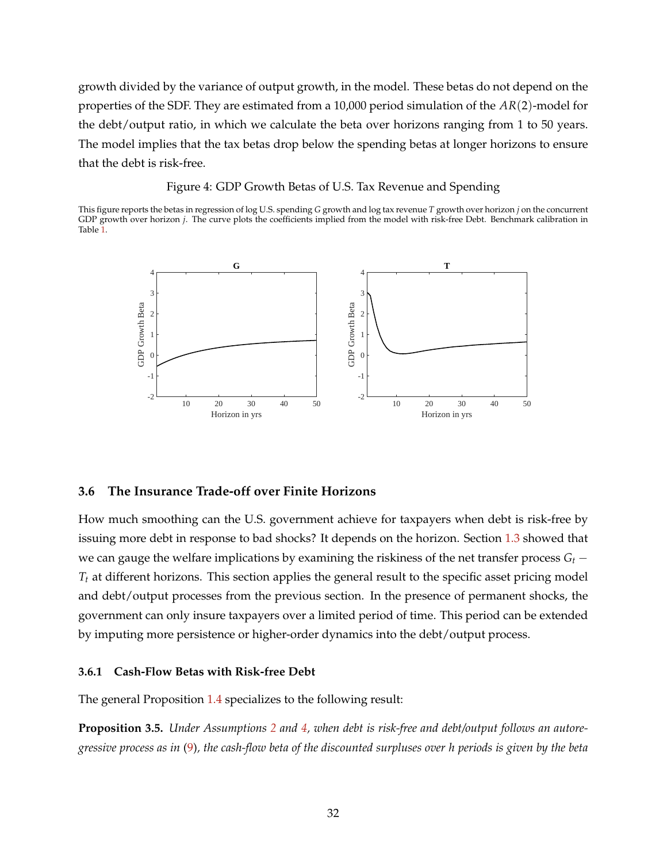growth divided by the variance of output growth, in the model. These betas do not depend on the properties of the SDF. They are estimated from a 10,000 period simulation of the *AR*(2)-model for the debt/output ratio, in which we calculate the beta over horizons ranging from 1 to 50 years. The model implies that the tax betas drop below the spending betas at longer horizons to ensure that the debt is risk-free.

#### Figure 4: GDP Growth Betas of U.S. Tax Revenue and Spending

<span id="page-32-0"></span>This figure reports the betas in regression of log U.S. spending *G* growth and log tax revenue *T* growth over horizon *j* on the concurrent GDP growth over horizon *j*. The curve plots the coefficients implied from the model with risk-free Debt. Benchmark calibration in Table [1.](#page-23-0)



# **3.6 The Insurance Trade-off over Finite Horizons**

How much smoothing can the U.S. government achieve for taxpayers when debt is risk-free by issuing more debt in response to bad shocks? It depends on the horizon. Section [1.3](#page-14-1) showed that we can gauge the welfare implications by examining the riskiness of the net transfer process  $G_t$  −  $T_t$  at different horizons. This section applies the general result to the specific asset pricing model and debt/output processes from the previous section. In the presence of permanent shocks, the government can only insure taxpayers over a limited period of time. This period can be extended by imputing more persistence or higher-order dynamics into the debt/output process.

# **3.6.1 Cash-Flow Betas with Risk-free Debt**

The general Proposition [1.4](#page-15-0) specializes to the following result:

<span id="page-32-1"></span>**Proposition 3.5.** *Under Assumptions [2](#page-19-2) and [4,](#page-24-1) when debt is risk-free and debt/output follows an autoregressive process as in* [\(9\)](#page-26-1)*, the cash-flow beta of the discounted surpluses over h periods is given by the beta*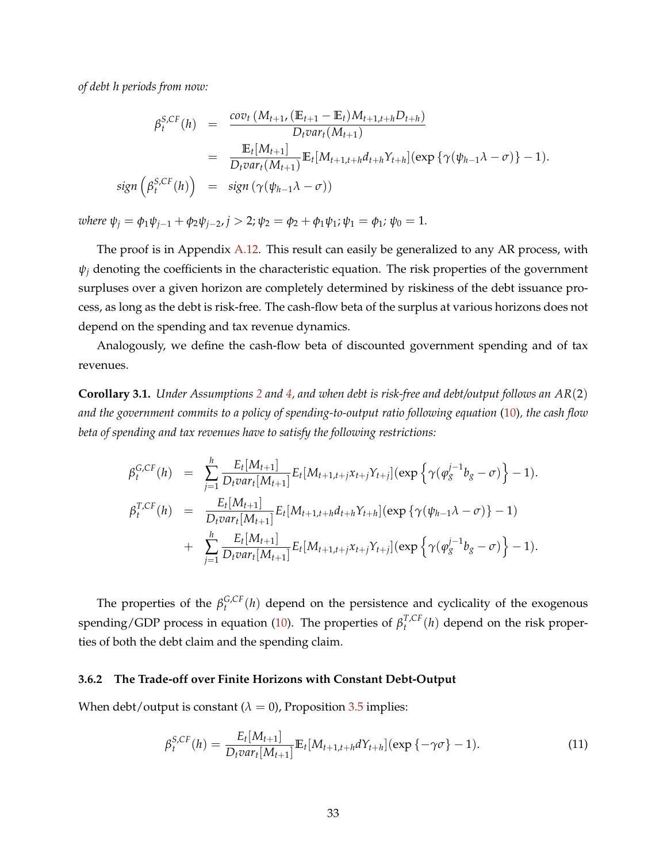*of debt h periods from now:*

$$
\beta_t^{S,CF}(h) = \frac{\text{cov}_t(M_{t+1}, (\mathbb{E}_{t+1} - \mathbb{E}_t)M_{t+1,t+h}D_{t+h})}{D_t \text{var}_t(M_{t+1})}
$$
\n
$$
= \frac{\mathbb{E}_t[M_{t+1}]}{D_t \text{var}_t(M_{t+1})} \mathbb{E}_t[M_{t+1,t+h}d_{t+h}Y_{t+h}](\exp{\{\gamma(\psi_{h-1}\lambda - \sigma)\}} - 1).
$$
\n
$$
\text{sign}\left(\beta_t^{S,CF}(h)\right) = \text{sign}\left(\gamma(\psi_{h-1}\lambda - \sigma)\right)
$$

*where*  $\psi_j = \phi_1 \psi_{j-1} + \phi_2 \psi_{j-2}, j > 2; \psi_2 = \phi_2 + \phi_1 \psi_1; \psi_1 = \phi_1; \psi_0 = 1.$ 

The proof is in Appendix [A.12.](#page-63-0) This result can easily be generalized to any AR process, with  $\psi$ <sup>*j*</sup> denoting the coefficients in the characteristic equation. The risk properties of the government surpluses over a given horizon are completely determined by riskiness of the debt issuance process, as long as the debt is risk-free. The cash-flow beta of the surplus at various horizons does not depend on the spending and tax revenue dynamics.

Analogously, we define the cash-flow beta of discounted government spending and of tax revenues.

**Corollary 3.1.** *Under Assumptions [2](#page-19-2) and [4,](#page-24-1) and when debt is risk-free and debt/output follows an AR*(2) *and the government commits to a policy of spending-to-output ratio following equation* [\(10\)](#page-31-1)*, the cash flow beta of spending and tax revenues have to satisfy the following restrictions:*

$$
\beta_t^{G,CF}(h) = \sum_{j=1}^h \frac{E_t[M_{t+1}]}{D_t var_t[M_{t+1}]} E_t[M_{t+1,t+j}x_{t+j}Y_{t+j}](\exp\left\{\gamma(\varphi_g^{j-1}b_g - \sigma)\right\} - 1).
$$
  
\n
$$
\beta_t^{T,CF}(h) = \frac{E_t[M_{t+1}]}{D_t var_t[M_{t+1}]} E_t[M_{t+1,t+h}d_{t+h}Y_{t+h}](\exp\left\{\gamma(\psi_{h-1}\lambda - \sigma)\right\} - 1)
$$
  
\n
$$
+ \sum_{j=1}^h \frac{E_t[M_{t+1}]}{D_t var_t[M_{t+1}]} E_t[M_{t+1,t+j}x_{t+j}Y_{t+j}](\exp\left\{\gamma(\varphi_g^{j-1}b_g - \sigma)\right\} - 1).
$$

The properties of the  $\beta_t^{G,CF}(h)$  depend on the persistence and cyclicality of the exogenous spending/GDP process in equation [\(10\)](#page-31-1). The properties of  $\beta_t^{T,CF}(h)$  depend on the risk properties of both the debt claim and the spending claim.

#### **3.6.2 The Trade-off over Finite Horizons with Constant Debt-Output**

When debt/output is constant  $(\lambda = 0)$ , Proposition [3.5](#page-32-1) implies:

$$
\beta_t^{S,CF}(h) = \frac{E_t[M_{t+1}]}{D_t var_t[M_{t+1}]} \mathbb{E}_t[M_{t+1,t+h} dY_{t+h}](\exp\{-\gamma \sigma\} - 1).
$$
\n(11)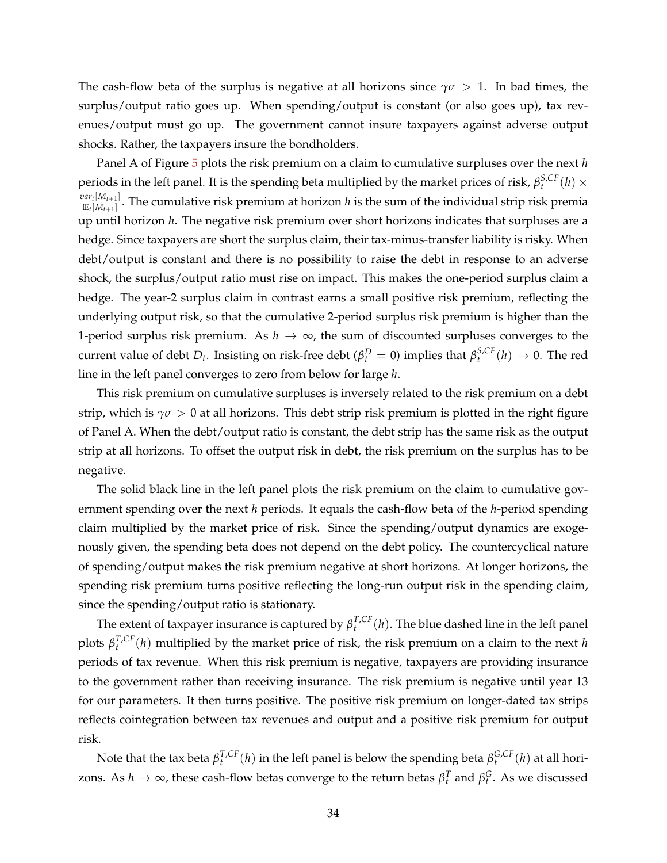The cash-flow beta of the surplus is negative at all horizons since  $\gamma\sigma > 1$ . In bad times, the surplus/output ratio goes up. When spending/output is constant (or also goes up), tax revenues/output must go up. The government cannot insure taxpayers against adverse output shocks. Rather, the taxpayers insure the bondholders.

Panel A of Figure [5](#page-35-0) plots the risk premium on a claim to cumulative surpluses over the next *h* periods in the left panel. It is the spending beta multiplied by the market prices of risk,  $\beta_t^{S,CF}(h) \times$  $var_t[M_{t+1}]$  $\frac{u(t)[M_t+1]}{\mathbb{E}_t[M_{t+1}]}$ . The cumulative risk premium at horizon *h* is the sum of the individual strip risk premia up until horizon *h*. The negative risk premium over short horizons indicates that surpluses are a hedge. Since taxpayers are short the surplus claim, their tax-minus-transfer liability is risky. When debt/output is constant and there is no possibility to raise the debt in response to an adverse shock, the surplus/output ratio must rise on impact. This makes the one-period surplus claim a hedge. The year-2 surplus claim in contrast earns a small positive risk premium, reflecting the underlying output risk, so that the cumulative 2-period surplus risk premium is higher than the 1-period surplus risk premium. As  $h \to \infty$ , the sum of discounted surpluses converges to the current value of debt  $D_t$ . Insisting on risk-free debt ( $\beta_t^D = 0$ ) implies that  $\beta_t^{S,CF}(h) \to 0$ . The red line in the left panel converges to zero from below for large *h*.

This risk premium on cumulative surpluses is inversely related to the risk premium on a debt strip, which is  $\gamma \sigma > 0$  at all horizons. This debt strip risk premium is plotted in the right figure of Panel A. When the debt/output ratio is constant, the debt strip has the same risk as the output strip at all horizons. To offset the output risk in debt, the risk premium on the surplus has to be negative.

The solid black line in the left panel plots the risk premium on the claim to cumulative government spending over the next *h* periods. It equals the cash-flow beta of the *h*-period spending claim multiplied by the market price of risk. Since the spending/output dynamics are exogenously given, the spending beta does not depend on the debt policy. The countercyclical nature of spending/output makes the risk premium negative at short horizons. At longer horizons, the spending risk premium turns positive reflecting the long-run output risk in the spending claim, since the spending/output ratio is stationary.

The extent of taxpayer insurance is captured by  $\beta_t^{T,CF}(h)$ . The blue dashed line in the left panel plots  $\beta_t^{T,CF}(h)$  multiplied by the market price of risk, the risk premium on a claim to the next *h* periods of tax revenue. When this risk premium is negative, taxpayers are providing insurance to the government rather than receiving insurance. The risk premium is negative until year 13 for our parameters. It then turns positive. The positive risk premium on longer-dated tax strips reflects cointegration between tax revenues and output and a positive risk premium for output risk.

Note that the tax beta  $\beta_t^{T,CF}(h)$  in the left panel is below the spending beta  $\beta_t^{G,CF}(h)$  at all horizons. As  $h \to \infty$ , these cash-flow betas converge to the return betas  $\beta_t^T$  and  $\beta_t^G$ . As we discussed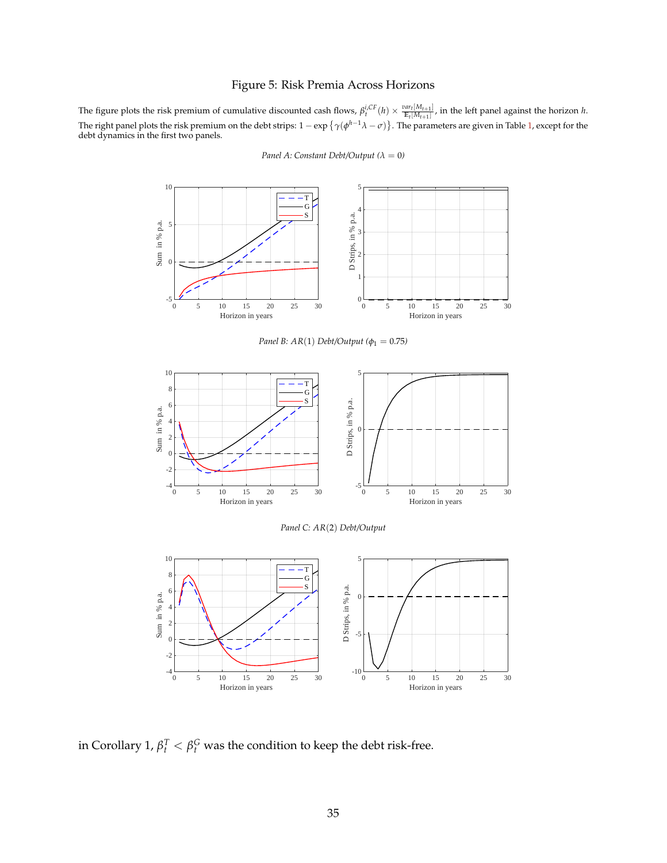# Figure 5: Risk Premia Across Horizons

<span id="page-35-0"></span>The figure plots the risk premium of cumulative discounted cash flows,  $\beta_t^{i,CF}(h) \times \frac{var_t[M_{t+1}]}{E_t[M_{t+1}]}$ , in the left panel against the horizon h. The right panel plots the risk premium on the debt strips:  $1 - \exp\{\gamma(\phi^{h-1}\lambda - \sigma)\}$ . The parameters are given in Table [1,](#page-23-0) except for the debt dynamics in the first two panels.



*Panel A: Constant Debt/Output*  $(\lambda = 0)$ 

*Panel B: AR(1) Debt/Output (* $φ$ *<sub>1</sub> = 0.75)* 



*Panel C: AR*(2) *Debt/Output*



in Corollary 1,  $\beta_t^T < \beta_t^G$  was the condition to keep the debt risk-free.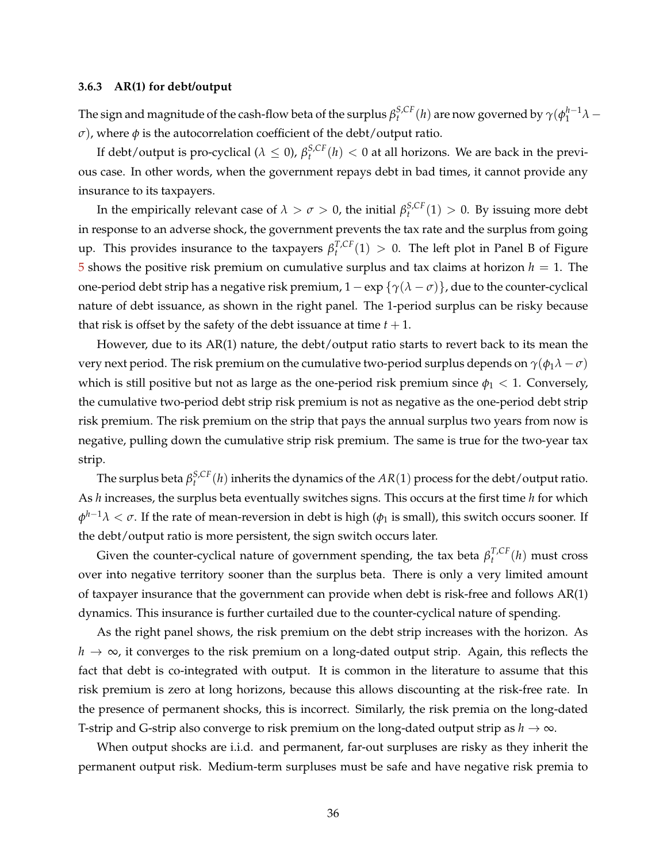### **3.6.3 AR(1) for debt/output**

The sign and magnitude of the cash-flow beta of the surplus  $\beta_t^{S,CF}(h)$  are now governed by  $\gamma(\phi_1^{h-1}\lambda-1)$ *σ*), where  $φ$  is the autocorrelation coefficient of the debt/output ratio.

If debt/output is pro-cyclical ( $\lambda \leq 0$ ),  $\beta_t^{S,CF}(h) < 0$  at all horizons. We are back in the previous case. In other words, when the government repays debt in bad times, it cannot provide any insurance to its taxpayers.

In the empirically relevant case of  $\lambda > \sigma > 0$ , the initial  $\beta_t^{S,CF}(1) > 0$ . By issuing more debt in response to an adverse shock, the government prevents the tax rate and the surplus from going up. This provides insurance to the taxpayers *β T*,*CF t* (1) > 0. The left plot in Panel B of Figure [5](#page-35-0) shows the positive risk premium on cumulative surplus and tax claims at horizon  $h = 1$ . The one-period debt strip has a negative risk premium,  $1 - \exp{\{\gamma(\lambda - \sigma)\}}$ , due to the counter-cyclical nature of debt issuance, as shown in the right panel. The 1-period surplus can be risky because that risk is offset by the safety of the debt issuance at time  $t + 1$ .

However, due to its AR(1) nature, the debt/output ratio starts to revert back to its mean the very next period. The risk premium on the cumulative two-period surplus depends on  $\gamma(\phi_1 \lambda - \sigma)$ which is still positive but not as large as the one-period risk premium since  $\phi_1 < 1$ . Conversely, the cumulative two-period debt strip risk premium is not as negative as the one-period debt strip risk premium. The risk premium on the strip that pays the annual surplus two years from now is negative, pulling down the cumulative strip risk premium. The same is true for the two-year tax strip.

The surplus beta  $\beta_t^{S,CF}(h)$  inherits the dynamics of the  $AR(1)$  process for the debt/output ratio. As *h* increases, the surplus beta eventually switches signs. This occurs at the first time *h* for which  $\phi^{h-1}\lambda<\sigma.$  If the rate of mean-reversion in debt is high ( $\phi_1$  is small), this switch occurs sooner. If the debt/output ratio is more persistent, the sign switch occurs later.

Given the counter-cyclical nature of government spending, the tax beta  $\beta_t^{T,CF}(h)$  must cross over into negative territory sooner than the surplus beta. There is only a very limited amount of taxpayer insurance that the government can provide when debt is risk-free and follows AR(1) dynamics. This insurance is further curtailed due to the counter-cyclical nature of spending.

As the right panel shows, the risk premium on the debt strip increases with the horizon. As *h* → ∞, it converges to the risk premium on a long-dated output strip. Again, this reflects the fact that debt is co-integrated with output. It is common in the literature to assume that this risk premium is zero at long horizons, because this allows discounting at the risk-free rate. In the presence of permanent shocks, this is incorrect. Similarly, the risk premia on the long-dated T-strip and G-strip also converge to risk premium on the long-dated output strip as  $h \to \infty$ .

When output shocks are i.i.d. and permanent, far-out surpluses are risky as they inherit the permanent output risk. Medium-term surpluses must be safe and have negative risk premia to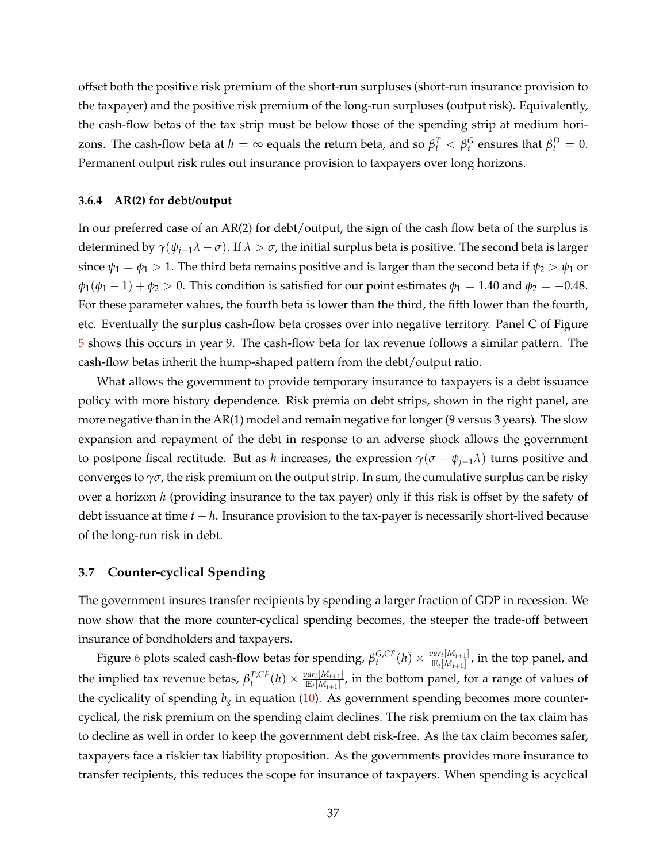offset both the positive risk premium of the short-run surpluses (short-run insurance provision to the taxpayer) and the positive risk premium of the long-run surpluses (output risk). Equivalently, the cash-flow betas of the tax strip must be below those of the spending strip at medium horizons. The cash-flow beta at  $h = \infty$  equals the return beta, and so  $β_t^T < β_t^G$  ensures that  $β_t^D = 0$ . Permanent output risk rules out insurance provision to taxpayers over long horizons.

#### **3.6.4 AR(2) for debt/output**

In our preferred case of an AR(2) for debt/output, the sign of the cash flow beta of the surplus is determined by  $\gamma(\psi_{i-1}\lambda - \sigma)$ . If  $\lambda > \sigma$ , the initial surplus beta is positive. The second beta is larger since  $\psi_1 = \phi_1 > 1$ . The third beta remains positive and is larger than the second beta if  $\psi_2 > \psi_1$  or  $\phi_1(\phi_1 - 1) + \phi_2 > 0$ . This condition is satisfied for our point estimates  $\phi_1 = 1.40$  and  $\phi_2 = -0.48$ . For these parameter values, the fourth beta is lower than the third, the fifth lower than the fourth, etc. Eventually the surplus cash-flow beta crosses over into negative territory. Panel C of Figure [5](#page-35-0) shows this occurs in year 9. The cash-flow beta for tax revenue follows a similar pattern. The cash-flow betas inherit the hump-shaped pattern from the debt/output ratio.

What allows the government to provide temporary insurance to taxpayers is a debt issuance policy with more history dependence. Risk premia on debt strips, shown in the right panel, are more negative than in the AR(1) model and remain negative for longer (9 versus 3 years). The slow expansion and repayment of the debt in response to an adverse shock allows the government to postpone fiscal rectitude. But as *h* increases, the expression  $\gamma(\sigma - \psi_{i-1}\lambda)$  turns positive and converges to  $\gamma\sigma$ , the risk premium on the output strip. In sum, the cumulative surplus can be risky over a horizon *h* (providing insurance to the tax payer) only if this risk is offset by the safety of debt issuance at time  $t + h$ . Insurance provision to the tax-payer is necessarily short-lived because of the long-run risk in debt.

### **3.7 Counter-cyclical Spending**

The government insures transfer recipients by spending a larger fraction of GDP in recession. We now show that the more counter-cyclical spending becomes, the steeper the trade-off between insurance of bondholders and taxpayers.

Figure [6](#page-38-0) plots scaled cash-flow betas for spending,  $\beta_t^{G,CF}(h) \times \frac{var_t[M_{t+1}]}{\mathbb{E}_t[M_{t+1}]}$  $\frac{m_{t} [M_{t+1}]}{\mathbb{E}_{t}[M_{t+1}]}$ , in the top panel, and the implied tax revenue betas,  $\beta_t^{T,CF}(h) \times \frac{var_t[M_{t+1}]}{\mathbb{E}_t[M_{t+1}]}$  $\frac{m_t[\{M_t+1\}]}{\mathbb{E}_t[M_{t+1}]}$ , in the bottom panel, for a range of values of the cyclicality of spending  $b_g$  in equation [\(10\)](#page-31-0). As government spending becomes more countercyclical, the risk premium on the spending claim declines. The risk premium on the tax claim has to decline as well in order to keep the government debt risk-free. As the tax claim becomes safer, taxpayers face a riskier tax liability proposition. As the governments provides more insurance to transfer recipients, this reduces the scope for insurance of taxpayers. When spending is acyclical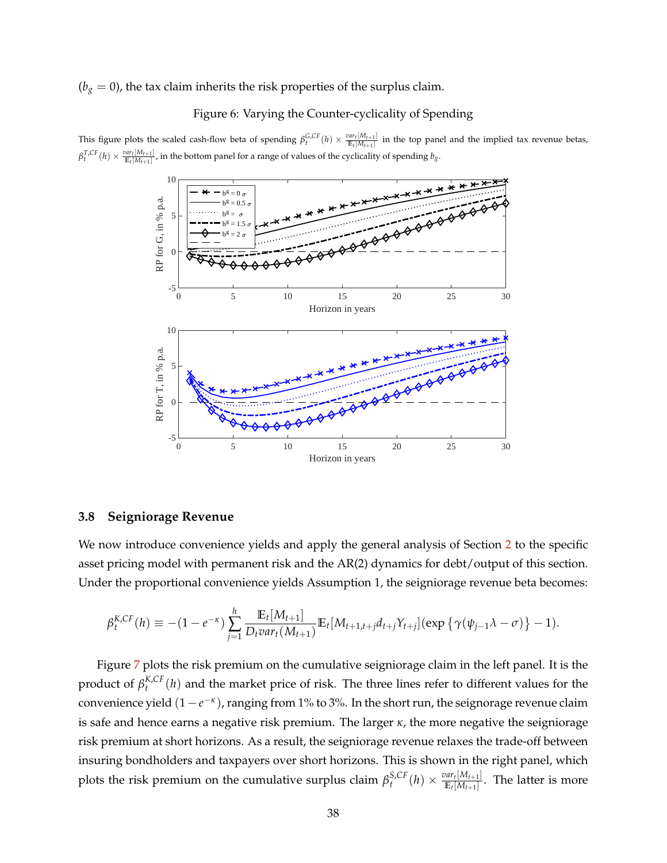### <span id="page-38-0"></span> $(b<sub>g</sub> = 0)$ , the tax claim inherits the risk properties of the surplus claim.

### Figure 6: Varying the Counter-cyclicality of Spending

This figure plots the scaled cash-flow beta of spending  $\beta_t^{G,CF}(h) \times \frac{var_t[M_{t+1}]}{E_t[M_{t+1}]}$  in the top panel and the implied tax revenue betas,  $\beta_t^{T,CF}(h) \times \frac{var_t[M_{t+1}]}{E_t[M_{t+1}]}$ , in the bottom panel for a range of values of the cyclicality of spending  $b_g$ .



### **3.8 Seigniorage Revenue**

We now introduce convenience yields and apply the general analysis of Section [2](#page-16-0) to the specific asset pricing model with permanent risk and the AR(2) dynamics for debt/output of this section. Under the proportional convenience yields Assumption 1, the seigniorage revenue beta becomes:

$$
\beta_t^{K,CF}(h) \equiv -(1-e^{-\kappa})\sum_{j=1}^h \frac{\mathbb{E}_t[M_{t+1}]}{D_t \text{var}_t(M_{t+1})} \mathbb{E}_t[M_{t+1,t+j}d_{t+j}Y_{t+j}](\exp\left\{\gamma(\psi_{j-1}\lambda-\sigma)\right\}-1).
$$

Figure [7](#page-39-0) plots the risk premium on the cumulative seigniorage claim in the left panel. It is the product of  $\beta_t^{K,CF}(h)$  and the market price of risk. The three lines refer to different values for the convenience yield (1 −  $e^{-\kappa}$ ), ranging from 1% to 3%. In the short run, the seignorage revenue claim is safe and hence earns a negative risk premium. The larger *κ*, the more negative the seigniorage risk premium at short horizons. As a result, the seigniorage revenue relaxes the trade-off between insuring bondholders and taxpayers over short horizons. This is shown in the right panel, which plots the risk premium on the cumulative surplus claim  $\beta_t^{S,CF}(h) \times \frac{var_t[M_{t+1}]}{\mathbb{E}_t[M_{t+1}]}$  $\frac{m_{t} [M_{t+1}]}{\mathbb{E}_{t}[M_{t+1}]}$ . The latter is more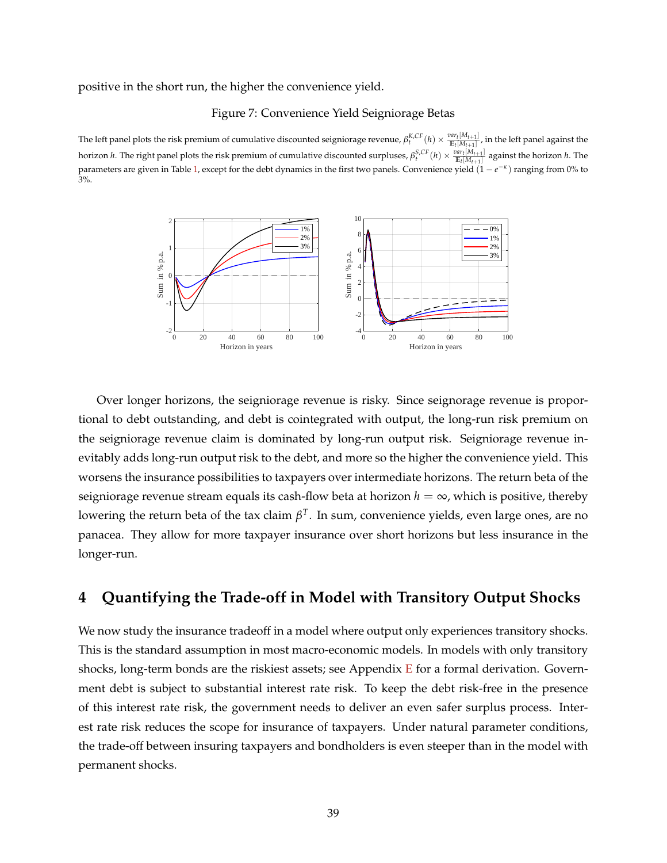<span id="page-39-0"></span>positive in the short run, the higher the convenience yield.

#### Figure 7: Convenience Yield Seigniorage Betas

The left panel plots the risk premium of cumulative discounted seigniorage revenue,  $\beta_t^{K,CF}(h) \times \frac{var_t[M_{t+1}]}{E_t[M_{t+1}]}$ , in the left panel against the horizon *h*. The right panel plots the risk premium of cumulative discounted surpluses,  $\beta_t^{S,CF}(h) \times \frac{var_t[M_{t+1}]}{E_t[M_{t+1}]}$  against the horizon *h*. The parameters are given in Table [1,](#page-23-0) except for the debt dynamics in the first two panels. Convenience yield (1 − *e* −*κ* ) ranging from 0% to 3%.



Over longer horizons, the seigniorage revenue is risky. Since seignorage revenue is proportional to debt outstanding, and debt is cointegrated with output, the long-run risk premium on the seigniorage revenue claim is dominated by long-run output risk. Seigniorage revenue inevitably adds long-run output risk to the debt, and more so the higher the convenience yield. This worsens the insurance possibilities to taxpayers over intermediate horizons. The return beta of the seigniorage revenue stream equals its cash-flow beta at horizon  $h = \infty$ , which is positive, thereby lowering the return beta of the tax claim *β T* . In sum, convenience yields, even large ones, are no panacea. They allow for more taxpayer insurance over short horizons but less insurance in the longer-run.

# **4 Quantifying the Trade-off in Model with Transitory Output Shocks**

We now study the insurance tradeoff in a model where output only experiences transitory shocks. This is the standard assumption in most macro-economic models. In models with only transitory shocks, long-term bonds are the riskiest assets; see Appendix  $E$  for a formal derivation. Government debt is subject to substantial interest rate risk. To keep the debt risk-free in the presence of this interest rate risk, the government needs to deliver an even safer surplus process. Interest rate risk reduces the scope for insurance of taxpayers. Under natural parameter conditions, the trade-off between insuring taxpayers and bondholders is even steeper than in the model with permanent shocks.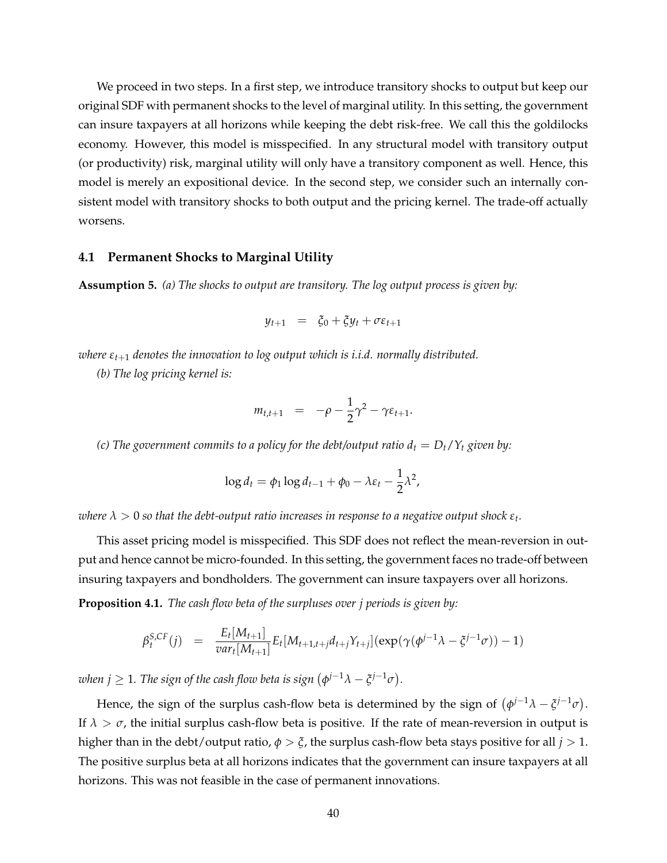We proceed in two steps. In a first step, we introduce transitory shocks to output but keep our original SDF with permanent shocks to the level of marginal utility. In this setting, the government can insure taxpayers at all horizons while keeping the debt risk-free. We call this the goldilocks economy. However, this model is misspecified. In any structural model with transitory output (or productivity) risk, marginal utility will only have a transitory component as well. Hence, this model is merely an expositional device. In the second step, we consider such an internally consistent model with transitory shocks to both output and the pricing kernel. The trade-off actually worsens.

### **4.1 Permanent Shocks to Marginal Utility**

**Assumption 5.** *(a) The shocks to output are transitory. The log output process is given by:*

$$
y_{t+1} = \xi_0 + \xi y_t + \sigma \varepsilon_{t+1}
$$

*where εt*+<sup>1</sup> *denotes the innovation to log output which is i.i.d. normally distributed.*

*(b) The log pricing kernel is:*

$$
m_{t,t+1} = -\rho - \frac{1}{2}\gamma^2 - \gamma \varepsilon_{t+1}.
$$

*(c) The government commits to a policy for the debt/output ratio*  $d_t = D_t/Y_t$  *given by:* 

$$
\log d_t = \phi_1 \log d_{t-1} + \phi_0 - \lambda \varepsilon_t - \frac{1}{2} \lambda^2,
$$

 $\alpha$  *λ*  $>$  0 so that the debt-output ratio increases in response to a negative output shock  $\varepsilon_t.$ 

This asset pricing model is misspecified. This SDF does not reflect the mean-reversion in output and hence cannot be micro-founded. In this setting, the government faces no trade-off between insuring taxpayers and bondholders. The government can insure taxpayers over all horizons.

<span id="page-40-0"></span>**Proposition 4.1.** *The cash flow beta of the surpluses over j periods is given by:*

$$
\beta_t^{S,CF}(j) = \frac{E_t[M_{t+1}]}{\text{var}_t[M_{t+1}]} E_t[M_{t+1,t+j}d_{t+j}Y_{t+j}](\exp(\gamma(\phi^{j-1}\lambda - \xi^{j-1}\sigma)) - 1)
$$

when  $j \geq 1$ . The sign of the cash flow beta is sign  $(\phi^{j-1}\lambda - \xi^{j-1}\sigma)$ .

Hence, the sign of the surplus cash-flow beta is determined by the sign of  $(\phi^{j-1}\lambda - \tilde{\zeta}^{j-1}\sigma)$ . If  $\lambda > \sigma$ , the initial surplus cash-flow beta is positive. If the rate of mean-reversion in output is higher than in the debt/output ratio, *φ* > *ξ*, the surplus cash-flow beta stays positive for all *j* > 1. The positive surplus beta at all horizons indicates that the government can insure taxpayers at all horizons. This was not feasible in the case of permanent innovations.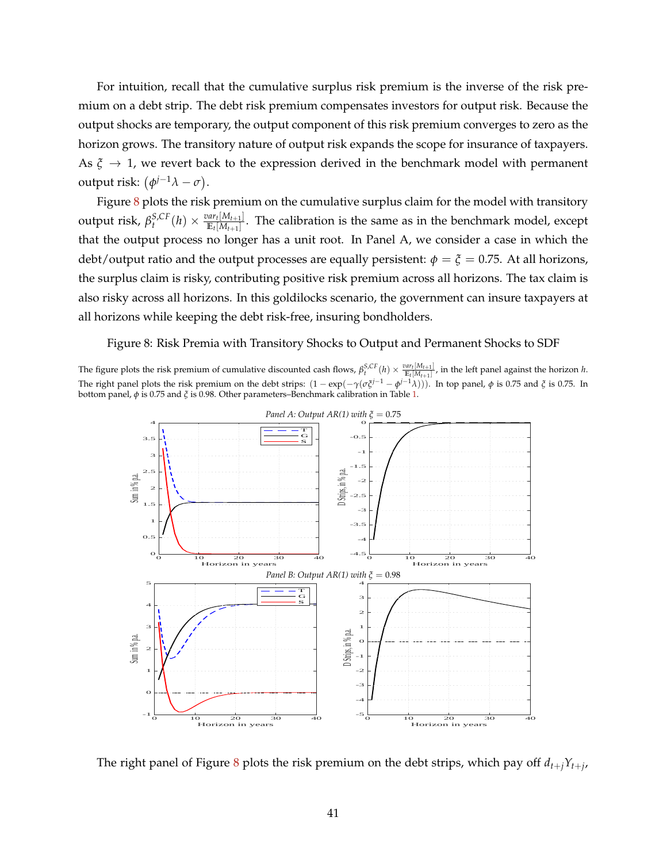For intuition, recall that the cumulative surplus risk premium is the inverse of the risk premium on a debt strip. The debt risk premium compensates investors for output risk. Because the output shocks are temporary, the output component of this risk premium converges to zero as the horizon grows. The transitory nature of output risk expands the scope for insurance of taxpayers. As  $\xi \rightarrow 1$ , we revert back to the expression derived in the benchmark model with permanent output risk:  $(\phi^{j-1}\lambda - \sigma)$ .

Figure [8](#page-41-0) plots the risk premium on the cumulative surplus claim for the model with transitory  $\text{output risk, } \beta_t^{S,CF}(h) \times \frac{var_t[M_{t+1}]}{\mathbb{E}_t[M_{t+1}]}$  $\frac{m_t(n_{t+1})}{\mathbb{E}_t[M_{t+1}]}$ . The calibration is the same as in the benchmark model, except that the output process no longer has a unit root. In Panel A, we consider a case in which the debt/output ratio and the output processes are equally persistent:  $\phi = \xi = 0.75$ . At all horizons, the surplus claim is risky, contributing positive risk premium across all horizons. The tax claim is also risky across all horizons. In this goldilocks scenario, the government can insure taxpayers at all horizons while keeping the debt risk-free, insuring bondholders.

<span id="page-41-0"></span>Figure 8: Risk Premia with Transitory Shocks to Output and Permanent Shocks to SDF

The figure plots the risk premium of cumulative discounted cash flows,  $\beta_t^{S,CF}(h) \times \frac{var_t[M_{t+1}]}{E_t[M_{t+1}]}$ , in the left panel against the horizon h. The right panel plots the risk premium on the debt strips:  $(1 - \exp(-\gamma(\sigma \xi^{j-1} - \phi^{j-1}\lambda)))$ . In top panel,  $\phi$  is 0.75 and  $\xi$  is 0.75. In bottom panel, *φ* is 0.75 and *ξ* is 0.98. Other parameters–Benchmark calibration in Table [1.](#page-23-0)



The right panel of Figure [8](#page-41-0) plots the risk premium on the debt strips, which pay off *dt*+*jYt*+*<sup>j</sup>* ,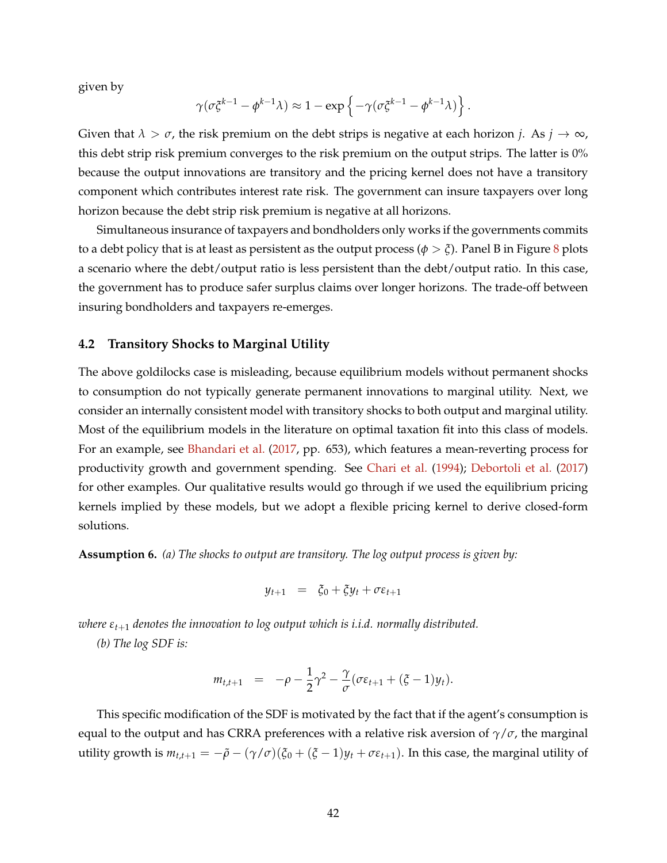given by

$$
\gamma(\sigma \xi^{k-1} - \phi^{k-1} \lambda) \approx 1 - \exp \left\{ -\gamma (\sigma \xi^{k-1} - \phi^{k-1} \lambda) \right\}.
$$

Given that  $\lambda > \sigma$ , the risk premium on the debt strips is negative at each horizon *j*. As  $j \to \infty$ , this debt strip risk premium converges to the risk premium on the output strips. The latter is 0% because the output innovations are transitory and the pricing kernel does not have a transitory component which contributes interest rate risk. The government can insure taxpayers over long horizon because the debt strip risk premium is negative at all horizons.

Simultaneous insurance of taxpayers and bondholders only works if the governments commits to a debt policy that is at least as persistent as the output process ( $\phi > \xi$ ). Panel B in Figure [8](#page-41-0) plots a scenario where the debt/output ratio is less persistent than the debt/output ratio. In this case, the government has to produce safer surplus claims over longer horizons. The trade-off between insuring bondholders and taxpayers re-emerges.

### **4.2 Transitory Shocks to Marginal Utility**

The above goldilocks case is misleading, because equilibrium models without permanent shocks to consumption do not typically generate permanent innovations to marginal utility. Next, we consider an internally consistent model with transitory shocks to both output and marginal utility. Most of the equilibrium models in the literature on optimal taxation fit into this class of models. For an example, see [Bhandari et al.](#page-47-0) [\(2017,](#page-47-0) pp. 653), which features a mean-reverting process for productivity growth and government spending. See [Chari et al.](#page-48-0) [\(1994\)](#page-48-0); [Debortoli et al.](#page-48-1) [\(2017\)](#page-48-1) for other examples. Our qualitative results would go through if we used the equilibrium pricing kernels implied by these models, but we adopt a flexible pricing kernel to derive closed-form solutions.

**Assumption 6.** *(a) The shocks to output are transitory. The log output process is given by:*

$$
y_{t+1} = \xi_0 + \xi y_t + \sigma \varepsilon_{t+1}
$$

*where εt*+<sup>1</sup> *denotes the innovation to log output which is i.i.d. normally distributed.*

*(b) The log SDF is:*

$$
m_{t,t+1} = -\rho - \frac{1}{2}\gamma^2 - \frac{\gamma}{\sigma}(\sigma \varepsilon_{t+1} + (\xi - 1)y_t).
$$

This specific modification of the SDF is motivated by the fact that if the agent's consumption is equal to the output and has CRRA preferences with a relative risk aversion of  $\gamma/\sigma$ , the marginal utility growth is  $m_{t,t+1} = -\tilde{\rho} - (\gamma/\sigma)(\xi_0 + (\xi - 1)y_t + \sigma \epsilon_{t+1})$ . In this case, the marginal utility of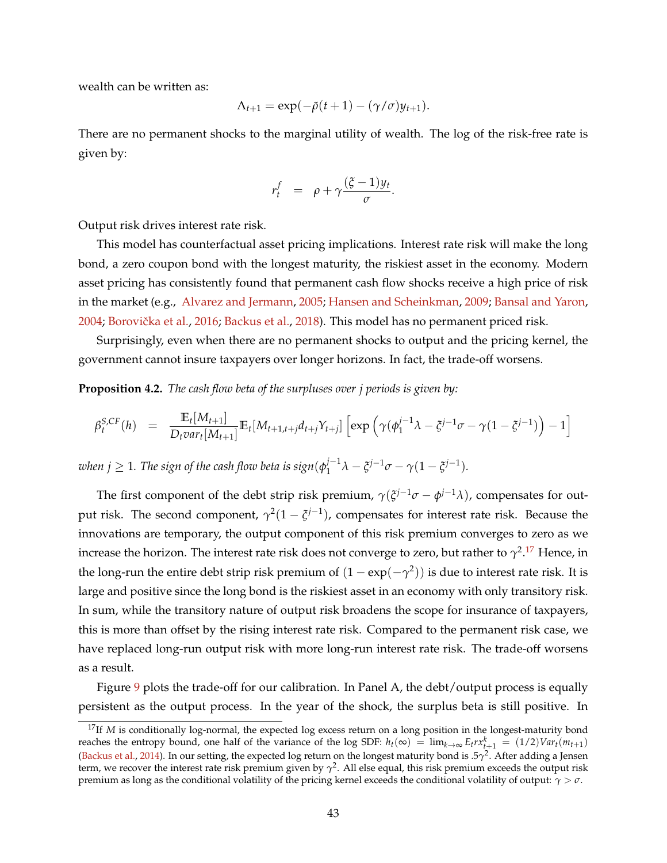wealth can be written as:

$$
\Lambda_{t+1} = \exp(-\tilde{\rho}(t+1) - (\gamma/\sigma)y_{t+1}).
$$

There are no permanent shocks to the marginal utility of wealth. The log of the risk-free rate is given by:

$$
r_t^f = \rho + \gamma \frac{(\xi - 1)y_t}{\sigma}.
$$

Output risk drives interest rate risk.

This model has counterfactual asset pricing implications. Interest rate risk will make the long bond, a zero coupon bond with the longest maturity, the riskiest asset in the economy. Modern asset pricing has consistently found that permanent cash flow shocks receive a high price of risk in the market (e.g., [Alvarez and Jermann,](#page-46-0) [2005;](#page-46-0) [Hansen and Scheinkman,](#page-49-0) [2009;](#page-49-0) [Bansal and Yaron,](#page-47-1) [2004;](#page-47-1) Borovička et al., [2016;](#page-47-2) [Backus et al.,](#page-46-1) [2018\)](#page-46-1). This model has no permanent priced risk.

Surprisingly, even when there are no permanent shocks to output and the pricing kernel, the government cannot insure taxpayers over longer horizons. In fact, the trade-off worsens.

<span id="page-43-1"></span>**Proposition 4.2.** *The cash flow beta of the surpluses over j periods is given by:*

$$
\beta_t^{S,CF}(h) = \frac{\mathbb{E}_t[M_{t+1}]}{D_t var_t[M_{t+1}]} \mathbb{E}_t[M_{t+1,t+j}d_{t+j}Y_{t+j}] \left[ exp \left( \gamma(\phi_1^{j-1}\lambda - \xi^{j-1}\sigma - \gamma(1 - \xi^{j-1})) - 1 \right) \right]
$$

 $\omega$ hen  $j\geq 1$ . The sign of the cash flow beta is sign $(\phi_1^{j-1})$  $j^{-1}\lambda - \xi^{j-1}\sigma - \gamma(1-\xi^{j-1}).$ 

The first component of the debt strip risk premium,  $\gamma(\xi^{j-1}\sigma - \phi^{j-1}\lambda)$ , compensates for output risk. The second component,  $\gamma^2(1-\tilde{\zeta}^{j-1})$ , compensates for interest rate risk. Because the innovations are temporary, the output component of this risk premium converges to zero as we increase the horizon. The interest rate risk does not converge to zero, but rather to  $\gamma^{2.17}$  $\gamma^{2.17}$  $\gamma^{2.17}$  Hence, in the long-run the entire debt strip risk premium of  $(1 - \exp(-\gamma^2))$  is due to interest rate risk. It is large and positive since the long bond is the riskiest asset in an economy with only transitory risk. In sum, while the transitory nature of output risk broadens the scope for insurance of taxpayers, this is more than offset by the rising interest rate risk. Compared to the permanent risk case, we have replaced long-run output risk with more long-run interest rate risk. The trade-off worsens as a result.

Figure [9](#page-44-0) plots the trade-off for our calibration. In Panel A, the debt/output process is equally persistent as the output process. In the year of the shock, the surplus beta is still positive. In

<span id="page-43-0"></span><sup>&</sup>lt;sup>17</sup>If *M* is conditionally log-normal, the expected log excess return on a long position in the longest-maturity bond reaches the entropy bound, one half of the variance of the log SDF:  $h_t(\infty) = \lim_{k \to \infty} E_t r x_{t+1}^k = (1/2)Var_t(m_{t+1})$ [\(Backus et al.,](#page-46-2) [2014\)](#page-46-2). In our setting, the expected log return on the longest maturity bond is .5*γ* 2 . After adding a Jensen term, we recover the interest rate risk premium given by *γ* 2 . All else equal, this risk premium exceeds the output risk premium as long as the conditional volatility of the pricing kernel exceeds the conditional volatility of output: *γ* > *σ*.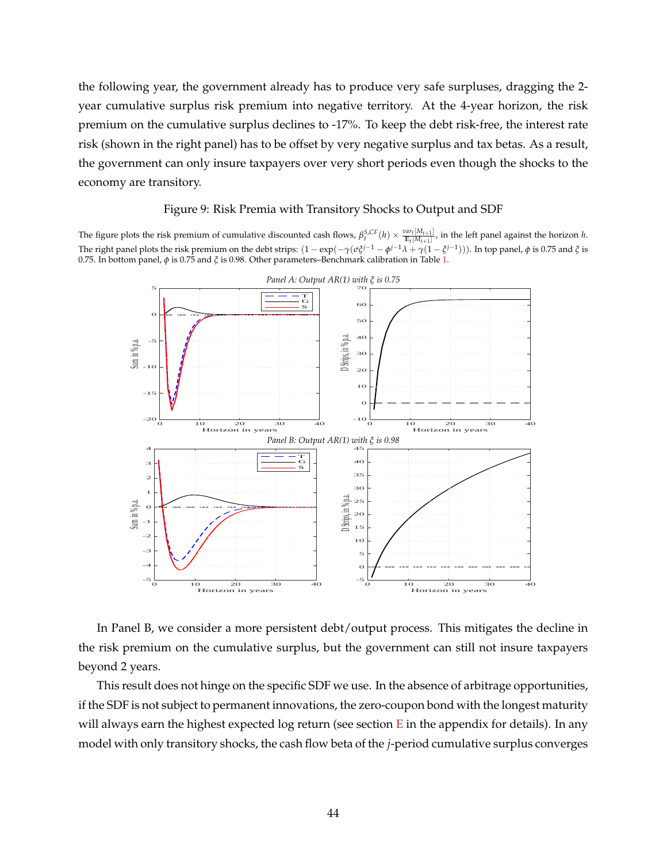the following year, the government already has to produce very safe surpluses, dragging the 2 year cumulative surplus risk premium into negative territory. At the 4-year horizon, the risk premium on the cumulative surplus declines to -17%. To keep the debt risk-free, the interest rate risk (shown in the right panel) has to be offset by very negative surplus and tax betas. As a result, the government can only insure taxpayers over very short periods even though the shocks to the economy are transitory.

### Figure 9: Risk Premia with Transitory Shocks to Output and SDF

<span id="page-44-0"></span>The figure plots the risk premium of cumulative discounted cash flows,  $\beta_t^{S,CF}(h) \times \frac{var_t[M_{t+1}]}{E_t[M_{t+1}]}$ , in the left panel against the horizon h. The right panel plots the risk premium on the debt strips:  $(1 - \exp(-\gamma(\sigma \xi^{j-1} - \phi^{j-1} \lambda + \gamma(1 - \xi^{j-1}))).$  In top panel, φ is 0.75 and  $\xi$  is 0.75. In bottom panel, *φ* is 0.75 and *ξ* is 0.98. Other parameters–Benchmark calibration in Table [1.](#page-23-0)



In Panel B, we consider a more persistent debt/output process. This mitigates the decline in the risk premium on the cumulative surplus, but the government can still not insure taxpayers beyond 2 years.

This result does not hinge on the specific SDF we use. In the absence of arbitrage opportunities, if the SDF is not subject to permanent innovations, the zero-coupon bond with the longest maturity will always earn the highest expected log return (see section  $E$  in the appendix for details). In any model with only transitory shocks, the cash flow beta of the *j*-period cumulative surplus converges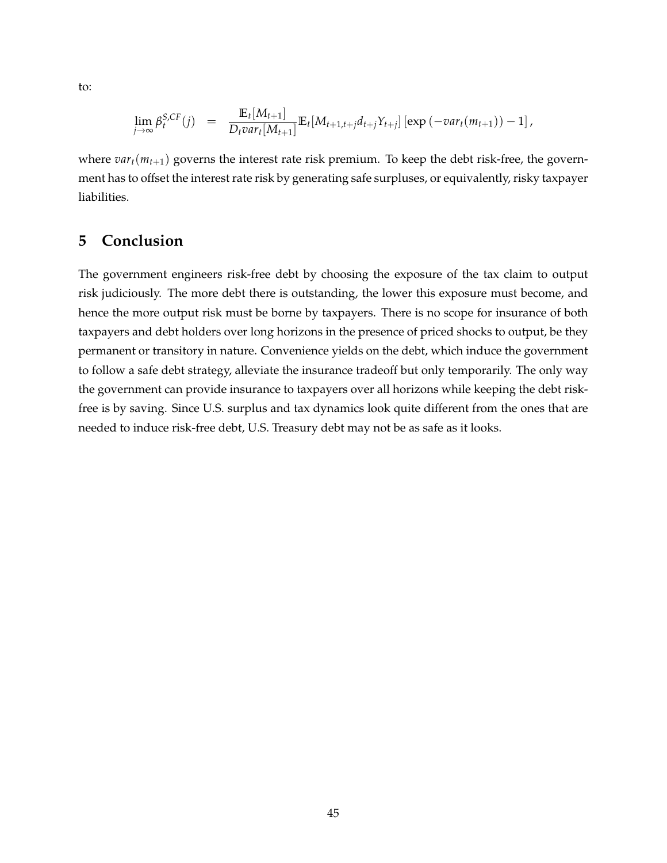to:

$$
\lim_{j\to\infty} \beta_t^{S,CF}(j) = \frac{\mathbb{E}_t[M_{t+1}]}{D_t \text{var}_t[M_{t+1}]} \mathbb{E}_t[M_{t+1,t+j}d_{t+j}Y_{t+j}] [\exp(-\text{var}_t(m_{t+1}))-1],
$$

where  $var_t(m_{t+1})$  governs the interest rate risk premium. To keep the debt risk-free, the government has to offset the interest rate risk by generating safe surpluses, or equivalently, risky taxpayer liabilities.

# **5 Conclusion**

The government engineers risk-free debt by choosing the exposure of the tax claim to output risk judiciously. The more debt there is outstanding, the lower this exposure must become, and hence the more output risk must be borne by taxpayers. There is no scope for insurance of both taxpayers and debt holders over long horizons in the presence of priced shocks to output, be they permanent or transitory in nature. Convenience yields on the debt, which induce the government to follow a safe debt strategy, alleviate the insurance tradeoff but only temporarily. The only way the government can provide insurance to taxpayers over all horizons while keeping the debt riskfree is by saving. Since U.S. surplus and tax dynamics look quite different from the ones that are needed to induce risk-free debt, U.S. Treasury debt may not be as safe as it looks.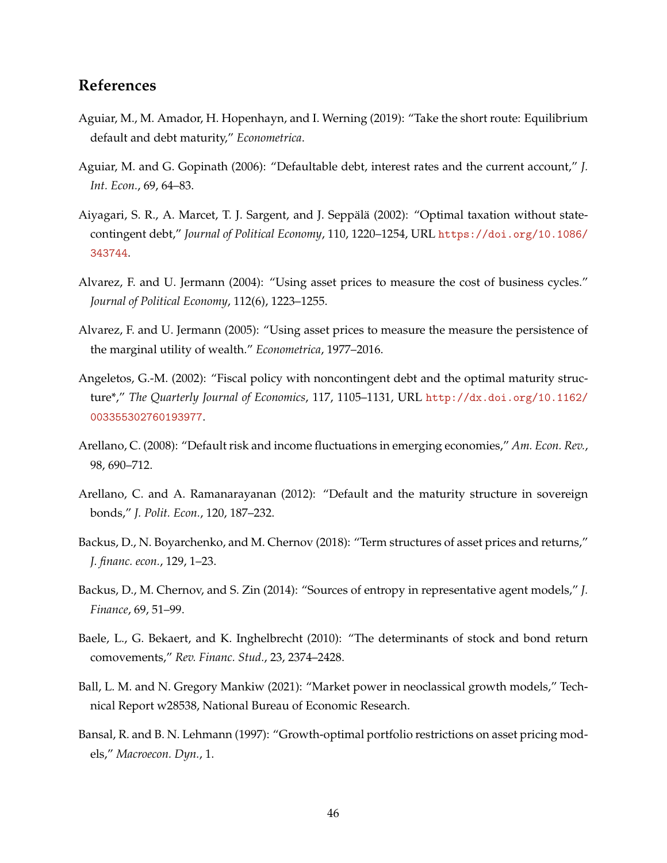# **References**

- Aguiar, M., M. Amador, H. Hopenhayn, and I. Werning (2019): "Take the short route: Equilibrium default and debt maturity," *Econometrica*.
- Aguiar, M. and G. Gopinath (2006): "Defaultable debt, interest rates and the current account," *J. Int. Econ.*, 69, 64–83.
- <span id="page-46-5"></span>Aiyagari, S. R., A. Marcet, T. J. Sargent, and J. Seppälä (2002): "Optimal taxation without statecontingent debt," *Journal of Political Economy*, 110, 1220–1254, URL [https://doi.org/10.1086/](https://doi.org/10.1086/343744) [343744](https://doi.org/10.1086/343744).
- <span id="page-46-3"></span>Alvarez, F. and U. Jermann (2004): "Using asset prices to measure the cost of business cycles." *Journal of Political Economy*, 112(6), 1223–1255.
- <span id="page-46-0"></span>Alvarez, F. and U. Jermann (2005): "Using asset prices to measure the measure the persistence of the marginal utility of wealth." *Econometrica*, 1977–2016.
- <span id="page-46-4"></span>Angeletos, G.-M. (2002): "Fiscal policy with noncontingent debt and the optimal maturity structure\*," *The Quarterly Journal of Economics*, 117, 1105–1131, URL [http://dx.doi.org/10.1162/](http://dx.doi.org/10.1162/003355302760193977) [003355302760193977](http://dx.doi.org/10.1162/003355302760193977).
- Arellano, C. (2008): "Default risk and income fluctuations in emerging economies," *Am. Econ. Rev.*, 98, 690–712.
- Arellano, C. and A. Ramanarayanan (2012): "Default and the maturity structure in sovereign bonds," *J. Polit. Econ.*, 120, 187–232.
- <span id="page-46-1"></span>Backus, D., N. Boyarchenko, and M. Chernov (2018): "Term structures of asset prices and returns," *J. financ. econ.*, 129, 1–23.
- <span id="page-46-2"></span>Backus, D., M. Chernov, and S. Zin (2014): "Sources of entropy in representative agent models," *J. Finance*, 69, 51–99.
- Baele, L., G. Bekaert, and K. Inghelbrecht (2010): "The determinants of stock and bond return comovements," *Rev. Financ. Stud.*, 23, 2374–2428.
- Ball, L. M. and N. Gregory Mankiw (2021): "Market power in neoclassical growth models," Technical Report w28538, National Bureau of Economic Research.
- Bansal, R. and B. N. Lehmann (1997): "Growth-optimal portfolio restrictions on asset pricing models," *Macroecon. Dyn.*, 1.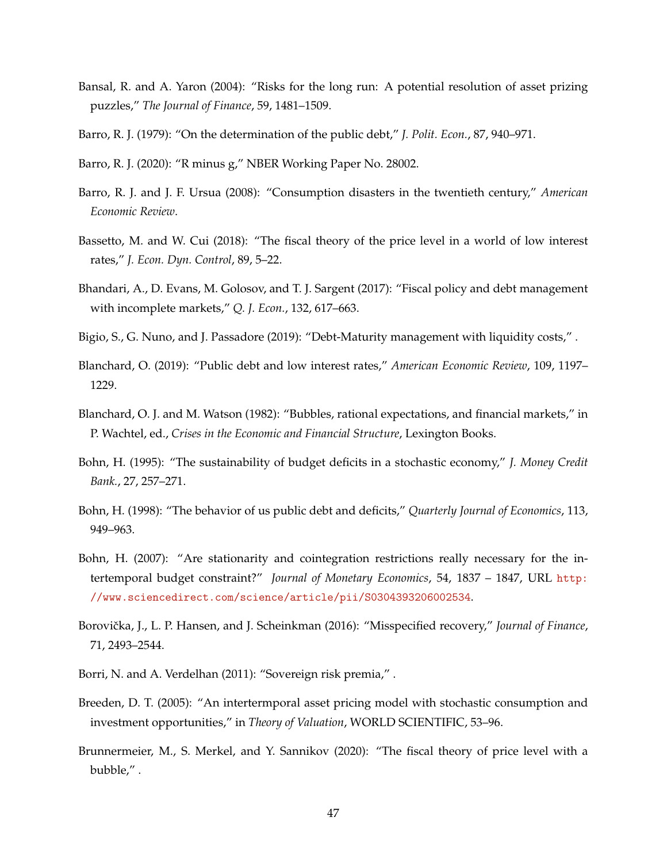- <span id="page-47-1"></span>Bansal, R. and A. Yaron (2004): "Risks for the long run: A potential resolution of asset prizing puzzles," *The Journal of Finance*, 59, 1481–1509.
- Barro, R. J. (1979): "On the determination of the public debt," *J. Polit. Econ.*, 87, 940–971.
- Barro, R. J. (2020): "R minus g," NBER Working Paper No. 28002.
- Barro, R. J. and J. F. Ursua (2008): "Consumption disasters in the twentieth century," *American Economic Review*.
- Bassetto, M. and W. Cui (2018): "The fiscal theory of the price level in a world of low interest rates," *J. Econ. Dyn. Control*, 89, 5–22.
- <span id="page-47-0"></span>Bhandari, A., D. Evans, M. Golosov, and T. J. Sargent (2017): "Fiscal policy and debt management with incomplete markets," *Q. J. Econ.*, 132, 617–663.
- Bigio, S., G. Nuno, and J. Passadore (2019): "Debt-Maturity management with liquidity costs," .
- Blanchard, O. (2019): "Public debt and low interest rates," *American Economic Review*, 109, 1197– 1229.
- Blanchard, O. J. and M. Watson (1982): "Bubbles, rational expectations, and financial markets," in P. Wachtel, ed., *Crises in the Economic and Financial Structure*, Lexington Books.
- Bohn, H. (1995): "The sustainability of budget deficits in a stochastic economy," *J. Money Credit Bank.*, 27, 257–271.
- Bohn, H. (1998): "The behavior of us public debt and deficits," *Quarterly Journal of Economics*, 113, 949–963.
- Bohn, H. (2007): "Are stationarity and cointegration restrictions really necessary for the intertemporal budget constraint?" *Journal of Monetary Economics*, 54, 1837 – 1847, URL [http:](http://www.sciencedirect.com/science/article/pii/S0304393206002534) [//www.sciencedirect.com/science/article/pii/S0304393206002534](http://www.sciencedirect.com/science/article/pii/S0304393206002534).
- <span id="page-47-2"></span>Borovička, J., L. P. Hansen, and J. Scheinkman (2016): "Misspecified recovery," *Journal of Finance*, 71, 2493–2544.
- Borri, N. and A. Verdelhan (2011): "Sovereign risk premia," .
- Breeden, D. T. (2005): "An intertermporal asset pricing model with stochastic consumption and investment opportunities," in *Theory of Valuation*, WORLD SCIENTIFIC, 53–96.
- Brunnermeier, M., S. Merkel, and Y. Sannikov (2020): "The fiscal theory of price level with a bubble," .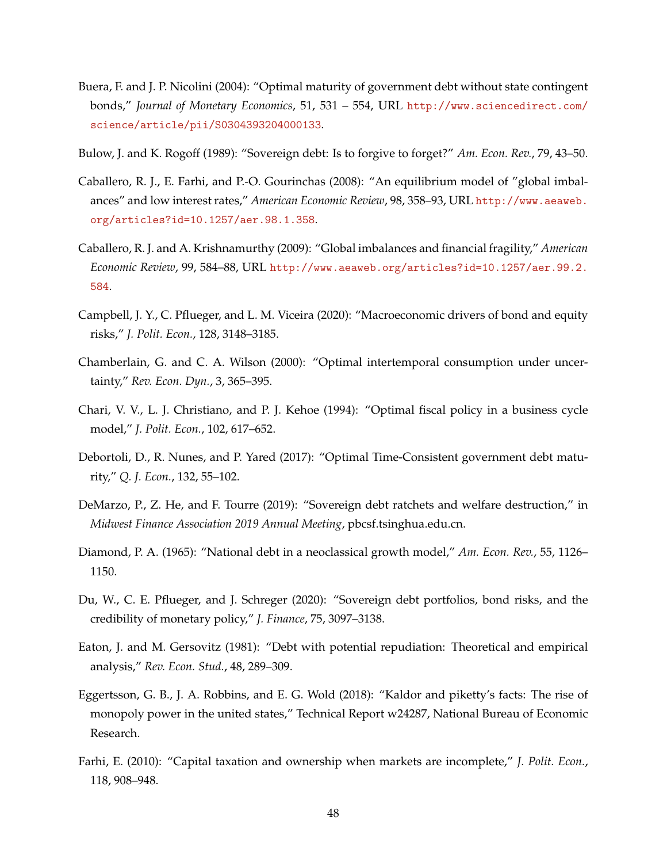- <span id="page-48-2"></span>Buera, F. and J. P. Nicolini (2004): "Optimal maturity of government debt without state contingent bonds," *Journal of Monetary Economics*, 51, 531 – 554, URL [http://www.sciencedirect.com/](http://www.sciencedirect.com/science/article/pii/S0304393204000133) [science/article/pii/S0304393204000133](http://www.sciencedirect.com/science/article/pii/S0304393204000133).
- Bulow, J. and K. Rogoff (1989): "Sovereign debt: Is to forgive to forget?" *Am. Econ. Rev.*, 79, 43–50.
- Caballero, R. J., E. Farhi, and P.-O. Gourinchas (2008): "An equilibrium model of "global imbalances" and low interest rates," *American Economic Review*, 98, 358–93, URL [http://www.aeaweb.](http://www.aeaweb.org/articles?id=10.1257/aer.98.1.358) [org/articles?id=10.1257/aer.98.1.358](http://www.aeaweb.org/articles?id=10.1257/aer.98.1.358).
- Caballero, R. J. and A. Krishnamurthy (2009): "Global imbalances and financial fragility," *American Economic Review*, 99, 584–88, URL [http://www.aeaweb.org/articles?id=10.1257/aer.99.2.](http://www.aeaweb.org/articles?id=10.1257/aer.99.2.584) [584](http://www.aeaweb.org/articles?id=10.1257/aer.99.2.584).
- Campbell, J. Y., C. Pflueger, and L. M. Viceira (2020): "Macroeconomic drivers of bond and equity risks," *J. Polit. Econ.*, 128, 3148–3185.
- Chamberlain, G. and C. A. Wilson (2000): "Optimal intertemporal consumption under uncertainty," *Rev. Econ. Dyn.*, 3, 365–395.
- <span id="page-48-0"></span>Chari, V. V., L. J. Christiano, and P. J. Kehoe (1994): "Optimal fiscal policy in a business cycle model," *J. Polit. Econ.*, 102, 617–652.
- <span id="page-48-1"></span>Debortoli, D., R. Nunes, and P. Yared (2017): "Optimal Time-Consistent government debt maturity," *Q. J. Econ.*, 132, 55–102.
- DeMarzo, P., Z. He, and F. Tourre (2019): "Sovereign debt ratchets and welfare destruction," in *Midwest Finance Association 2019 Annual Meeting*, pbcsf.tsinghua.edu.cn.
- Diamond, P. A. (1965): "National debt in a neoclassical growth model," *Am. Econ. Rev.*, 55, 1126– 1150.
- Du, W., C. E. Pflueger, and J. Schreger (2020): "Sovereign debt portfolios, bond risks, and the credibility of monetary policy," *J. Finance*, 75, 3097–3138.
- Eaton, J. and M. Gersovitz (1981): "Debt with potential repudiation: Theoretical and empirical analysis," *Rev. Econ. Stud.*, 48, 289–309.
- Eggertsson, G. B., J. A. Robbins, and E. G. Wold (2018): "Kaldor and piketty's facts: The rise of monopoly power in the united states," Technical Report w24287, National Bureau of Economic Research.
- Farhi, E. (2010): "Capital taxation and ownership when markets are incomplete," *J. Polit. Econ.*, 118, 908–948.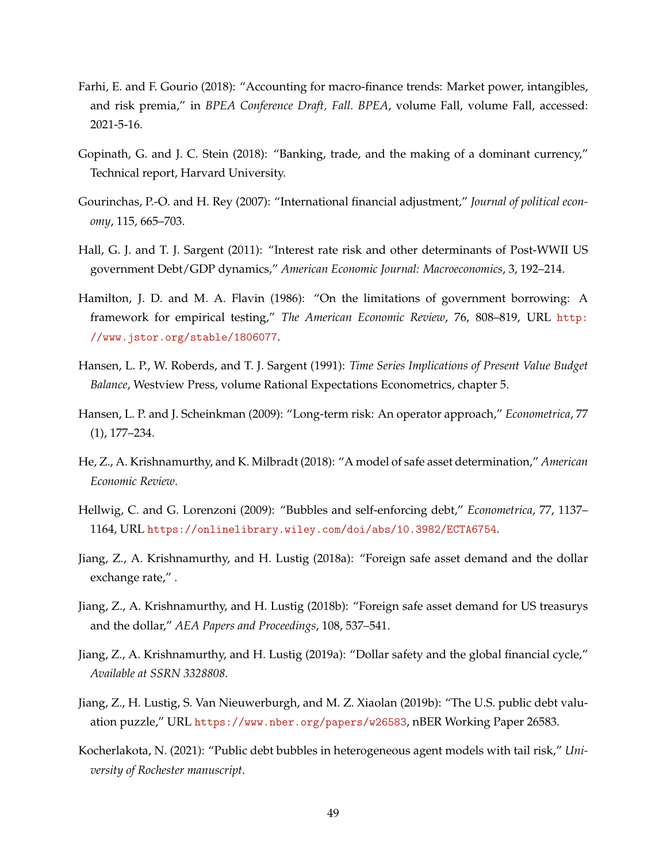- Farhi, E. and F. Gourio (2018): "Accounting for macro-finance trends: Market power, intangibles, and risk premia," in *BPEA Conference Draft, Fall. BPEA*, volume Fall, volume Fall, accessed: 2021-5-16.
- Gopinath, G. and J. C. Stein (2018): "Banking, trade, and the making of a dominant currency," Technical report, Harvard University.
- Gourinchas, P.-O. and H. Rey (2007): "International financial adjustment," *Journal of political economy*, 115, 665–703.
- Hall, G. J. and T. J. Sargent (2011): "Interest rate risk and other determinants of Post-WWII US government Debt/GDP dynamics," *American Economic Journal: Macroeconomics*, 3, 192–214.
- Hamilton, J. D. and M. A. Flavin (1986): "On the limitations of government borrowing: A framework for empirical testing," *The American Economic Review*, 76, 808–819, URL [http:](http://www.jstor.org/stable/1806077) [//www.jstor.org/stable/1806077](http://www.jstor.org/stable/1806077).
- Hansen, L. P., W. Roberds, and T. J. Sargent (1991): *Time Series Implications of Present Value Budget Balance*, Westview Press, volume Rational Expectations Econometrics, chapter 5.
- <span id="page-49-0"></span>Hansen, L. P. and J. Scheinkman (2009): "Long-term risk: An operator approach," *Econometrica*, 77 (1), 177–234.
- He, Z., A. Krishnamurthy, and K. Milbradt (2018): "A model of safe asset determination," *American Economic Review*.
- Hellwig, C. and G. Lorenzoni (2009): "Bubbles and self-enforcing debt," *Econometrica*, 77, 1137– 1164, URL <https://onlinelibrary.wiley.com/doi/abs/10.3982/ECTA6754>.
- Jiang, Z., A. Krishnamurthy, and H. Lustig (2018a): "Foreign safe asset demand and the dollar exchange rate," .
- Jiang, Z., A. Krishnamurthy, and H. Lustig (2018b): "Foreign safe asset demand for US treasurys and the dollar," *AEA Papers and Proceedings*, 108, 537–541.
- Jiang, Z., A. Krishnamurthy, and H. Lustig (2019a): "Dollar safety and the global financial cycle," *Available at SSRN 3328808*.
- Jiang, Z., H. Lustig, S. Van Nieuwerburgh, and M. Z. Xiaolan (2019b): "The U.S. public debt valuation puzzle," URL <https://www.nber.org/papers/w26583>, nBER Working Paper 26583.
- Kocherlakota, N. (2021): "Public debt bubbles in heterogeneous agent models with tail risk," *University of Rochester manuscript*.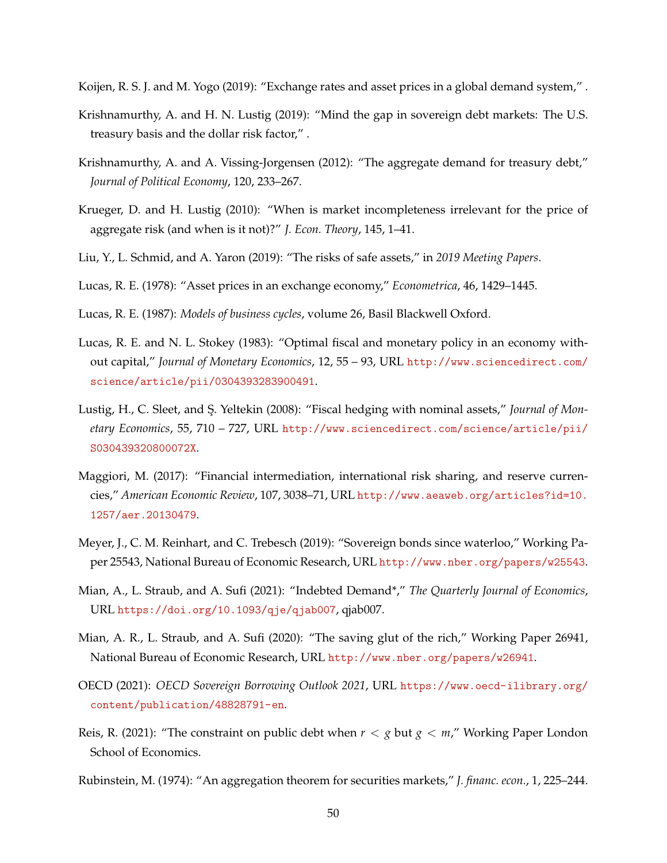Koijen, R. S. J. and M. Yogo (2019): "Exchange rates and asset prices in a global demand system," .

- Krishnamurthy, A. and H. N. Lustig (2019): "Mind the gap in sovereign debt markets: The U.S. treasury basis and the dollar risk factor," .
- Krishnamurthy, A. and A. Vissing-Jorgensen (2012): "The aggregate demand for treasury debt," *Journal of Political Economy*, 120, 233–267.
- Krueger, D. and H. Lustig (2010): "When is market incompleteness irrelevant for the price of aggregate risk (and when is it not)?" *J. Econ. Theory*, 145, 1–41.
- Liu, Y., L. Schmid, and A. Yaron (2019): "The risks of safe assets," in *2019 Meeting Papers*.
- Lucas, R. E. (1978): "Asset prices in an exchange economy," *Econometrica*, 46, 1429–1445.
- Lucas, R. E. (1987): *Models of business cycles*, volume 26, Basil Blackwell Oxford.
- <span id="page-50-0"></span>Lucas, R. E. and N. L. Stokey (1983): "Optimal fiscal and monetary policy in an economy without capital," *Journal of Monetary Economics*, 12, 55 – 93, URL [http://www.sciencedirect.com/](http://www.sciencedirect.com/science/article/pii/0304393283900491) [science/article/pii/0304393283900491](http://www.sciencedirect.com/science/article/pii/0304393283900491).
- <span id="page-50-1"></span>Lustig, H., C. Sleet, and S¸. Yeltekin (2008): "Fiscal hedging with nominal assets," *Journal of Monetary Economics*, 55, 710 – 727, URL [http://www.sciencedirect.com/science/article/pii/](http://www.sciencedirect.com/science/article/pii/S030439320800072X) [S030439320800072X](http://www.sciencedirect.com/science/article/pii/S030439320800072X).
- Maggiori, M. (2017): "Financial intermediation, international risk sharing, and reserve currencies," *American Economic Review*, 107, 3038–71, URL [http://www.aeaweb.org/articles?id=10.](http://www.aeaweb.org/articles?id=10.1257/aer.20130479) [1257/aer.20130479](http://www.aeaweb.org/articles?id=10.1257/aer.20130479).
- Meyer, J., C. M. Reinhart, and C. Trebesch (2019): "Sovereign bonds since waterloo," Working Paper 25543, National Bureau of Economic Research, URL <http://www.nber.org/papers/w25543>.
- Mian, A., L. Straub, and A. Sufi (2021): "Indebted Demand\*," *The Quarterly Journal of Economics*, URL <https://doi.org/10.1093/qje/qjab007>, qjab007.
- Mian, A. R., L. Straub, and A. Sufi (2020): "The saving glut of the rich," Working Paper 26941, National Bureau of Economic Research, URL <http://www.nber.org/papers/w26941>.
- OECD (2021): *OECD Sovereign Borrowing Outlook 2021*, URL [https://www.oecd-ilibrary.org/](https://www.oecd-ilibrary.org/content/publication/48828791-en) [content/publication/48828791-en](https://www.oecd-ilibrary.org/content/publication/48828791-en).
- Reis, R. (2021): "The constraint on public debt when *r* < *g* but *g* < *m*," Working Paper London School of Economics.
- Rubinstein, M. (1974): "An aggregation theorem for securities markets," *J. financ. econ.*, 1, 225–244.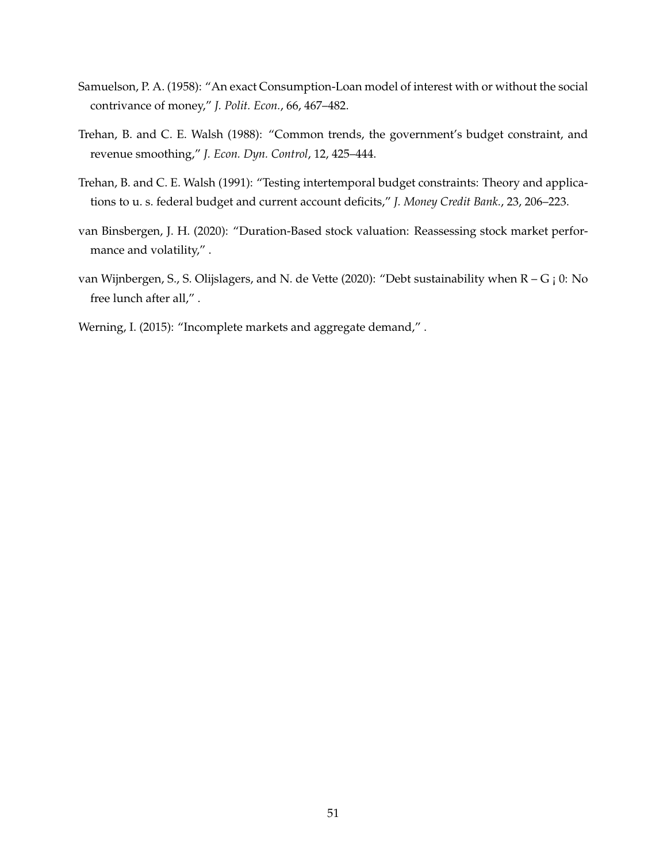- Samuelson, P. A. (1958): "An exact Consumption-Loan model of interest with or without the social contrivance of money," *J. Polit. Econ.*, 66, 467–482.
- Trehan, B. and C. E. Walsh (1988): "Common trends, the government's budget constraint, and revenue smoothing," *J. Econ. Dyn. Control*, 12, 425–444.
- Trehan, B. and C. E. Walsh (1991): "Testing intertemporal budget constraints: Theory and applications to u. s. federal budget and current account deficits," *J. Money Credit Bank.*, 23, 206–223.
- van Binsbergen, J. H. (2020): "Duration-Based stock valuation: Reassessing stock market performance and volatility," .
- van Wijnbergen, S., S. Olijslagers, and N. de Vette (2020): "Debt sustainability when R G ; 0: No free lunch after all," .
- Werning, I. (2015): "Incomplete markets and aggregate demand,".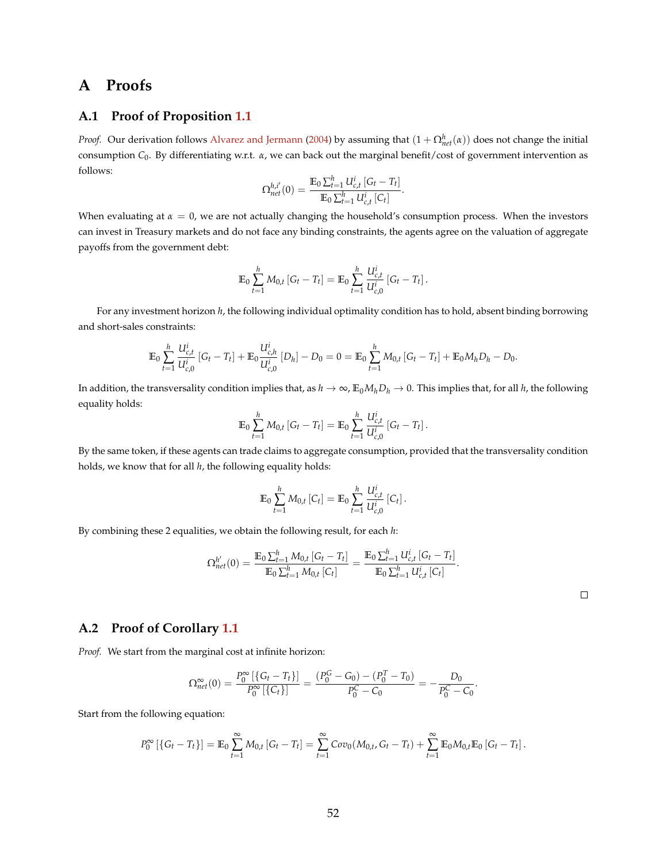# **A Proofs**

## **A.1 Proof of Proposition [1.1](#page-8-0)**

*Proof.* Our derivation follows [Alvarez and Jermann](#page-46-3) [\(2004\)](#page-46-3) by assuming that  $(1+\Omega_{net}^h(\alpha))$  does not change the initial consumption *C*0. By differentiating w.r.t. *α*, we can back out the marginal benefit/cost of government intervention as follows:

$$
\Omega_{net}^{h,i'}(0) = \frac{\mathbb{E}_0 \sum_{t=1}^h U_{c,t}^i [G_t - T_t]}{\mathbb{E}_0 \sum_{t=1}^h U_{c,t}^i [C_t]}.
$$

When evaluating at  $\alpha = 0$ , we are not actually changing the household's consumption process. When the investors can invest in Treasury markets and do not face any binding constraints, the agents agree on the valuation of aggregate payoffs from the government debt:

$$
\mathbb{E}_0 \sum_{t=1}^h M_{0,t} \left[ G_t - T_t \right] = \mathbb{E}_0 \sum_{t=1}^h \frac{U_{c,t}^i}{U_{c,0}^i} \left[ G_t - T_t \right].
$$

For any investment horizon *h*, the following individual optimality condition has to hold, absent binding borrowing and short-sales constraints:

$$
\mathbb{E}_0 \sum_{t=1}^h \frac{U_{c,t}^i}{U_{c,0}^i} \left[ G_t - T_t \right] + \mathbb{E}_0 \frac{U_{c,h}^i}{U_{c,0}^i} \left[ D_h \right] - D_0 = 0 = \mathbb{E}_0 \sum_{t=1}^h M_{0,t} \left[ G_t - T_t \right] + \mathbb{E}_0 M_h D_h - D_0.
$$

In addition, the transversality condition implies that, as  $h \to \infty$ ,  $E_0 M_h D_h \to 0$ . This implies that, for all *h*, the following equality holds:

$$
\mathbb{E}_0 \sum_{t=1}^h M_{0,t} \left[ G_t - T_t \right] = \mathbb{E}_0 \sum_{t=1}^h \frac{U_{c,t}^i}{U_{c,0}^i} \left[ G_t - T_t \right].
$$

By the same token, if these agents can trade claims to aggregate consumption, provided that the transversality condition holds, we know that for all *h*, the following equality holds:

$$
\mathbb{E}_0 \sum_{t=1}^h M_{0,t} [C_t] = \mathbb{E}_0 \sum_{t=1}^h \frac{U_{c,t}^i}{U_{c,0}^i} [C_t].
$$

By combining these 2 equalities, we obtain the following result, for each *h*:

$$
\Omega_{net}^{h'}(0) = \frac{\mathbb{E}_0 \sum_{t=1}^h M_{0,t} [G_t - T_t]}{\mathbb{E}_0 \sum_{t=1}^h M_{0,t} [C_t]} = \frac{\mathbb{E}_0 \sum_{t=1}^h U_{c,t}^i [G_t - T_t]}{\mathbb{E}_0 \sum_{t=1}^h U_{c,t}^i [C_t]}.
$$

.

### **A.2 Proof of Corollary [1.1](#page-11-0)**

*Proof.* We start from the marginal cost at infinite horizon:

$$
\Omega_{net}^{\infty}(0) = \frac{P_0^{\infty} \left[ \{ G_t - T_t \} \right]}{P_0^{\infty} \left[ \{ C_t \} \right]} = \frac{(P_0^G - G_0) - (P_0^T - T_0)}{P_0^C - C_0} = -\frac{D_0}{P_0^C - C_0}
$$

Start from the following equation:

$$
P_0^{\infty} [\{G_t - T_t\}] = \mathbb{E}_0 \sum_{t=1}^{\infty} M_{0,t} [G_t - T_t] = \sum_{t=1}^{\infty} Cov_0(M_{0,t}, G_t - T_t) + \sum_{t=1}^{\infty} \mathbb{E}_0 M_{0,t} \mathbb{E}_0 [G_t - T_t].
$$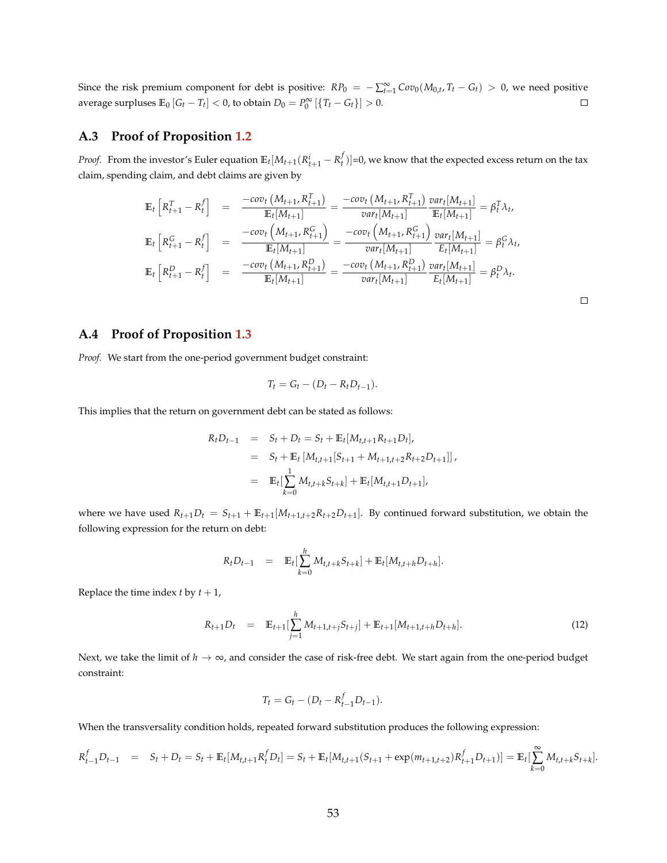Since the risk premium component for debt is positive:  $RP_0 = -\sum_{t=1}^{\infty} Cov_0(M_{0,t}, T_t - G_t) > 0$ , we need positive average surpluses  $\mathbb{E}_0[G_t - T_t] < 0$ , to obtain  $D_0 = P_0^{\infty}[\{T_t - G_t\}] > 0$ .  $\Box$ 

# **A.3 Proof of Proposition [1.2](#page-13-0)**

*Proof.* From the investor's Euler equation  $\mathbb{E}_t[M_{t+1}(R_{t+1}^i-R_t^f)]=0$ , we know that the expected excess return on the tax claim, spending claim, and debt claims are given by

$$
\mathbb{E}_{t}\left[R_{t+1}^{T} - R_{t}^{f}\right] = \frac{-cov_{t}\left(M_{t+1}, R_{t+1}^{T}\right)}{\mathbb{E}_{t}[M_{t+1}]} = \frac{-cov_{t}\left(M_{t+1}, R_{t+1}^{T}\right)}{var_{t}[M_{t+1}]} \frac{var_{t}[M_{t+1}]}{\mathbb{E}_{t}[M_{t+1}]} = \beta_{t}^{T} \lambda_{t},
$$
\n
$$
\mathbb{E}_{t}\left[R_{t+1}^{G} - R_{t}^{f}\right] = \frac{-cov_{t}\left(M_{t+1}, R_{t+1}^{G}\right)}{\mathbb{E}_{t}[M_{t+1}]} = \frac{-cov_{t}\left(M_{t+1}, R_{t+1}^{G}\right)}{var_{t}[M_{t+1}]} \frac{var_{t}[M_{t+1}]}{\mathbb{E}_{t}[M_{t+1}]} = \beta_{t}^{G} \lambda_{t},
$$
\n
$$
\mathbb{E}_{t}\left[R_{t+1}^{D} - R_{t}^{f}\right] = \frac{-cov_{t}\left(M_{t+1}, R_{t+1}^{D}\right)}{\mathbb{E}_{t}[M_{t+1}]} = \frac{-cov_{t}\left(M_{t+1}, R_{t+1}^{D}\right)}{var_{t}[M_{t+1}]} \frac{var_{t}[M_{t+1}]}{\mathbb{E}_{t}[M_{t+1}]} = \beta_{t}^{D} \lambda_{t}.
$$

 $\Box$ 

### **A.4 Proof of Proposition [1.3](#page-14-0)**

*Proof.* We start from the one-period government budget constraint:

$$
T_t = G_t - (D_t - R_t D_{t-1}).
$$

This implies that the return on government debt can be stated as follows:

$$
R_t D_{t-1} = S_t + D_t = S_t + \mathbb{E}_t [M_{t,t+1} R_{t+1} D_t],
$$
  
=  $S_t + \mathbb{E}_t [M_{t,t+1} [S_{t+1} + M_{t+1,t+2} R_{t+2} D_{t+1}]]$ ,  
=  $\mathbb{E}_t [\sum_{k=0}^1 M_{t,t+k} S_{t+k}] + \mathbb{E}_t [M_{t,t+1} D_{t+1}],$ 

where we have used  $R_{t+1}D_t = S_{t+1} + \mathbb{E}_{t+1}[M_{t+1,t+2}R_{t+2}D_{t+1}]$ . By continued forward substitution, we obtain the following expression for the return on debt:

$$
R_t D_{t-1} = \mathbb{E}_t \left[ \sum_{k=0}^h M_{t,t+k} S_{t+k} \right] + \mathbb{E}_t \left[ M_{t,t+h} D_{t+h} \right].
$$

Replace the time index  $t$  by  $t + 1$ ,

<span id="page-53-0"></span>
$$
R_{t+1}D_t = \mathbb{E}_{t+1} \left[ \sum_{j=1}^h M_{t+1,t+j} S_{t+j} \right] + \mathbb{E}_{t+1} [M_{t+1,t+h} D_{t+h}]. \tag{12}
$$

Next, we take the limit of  $h \to \infty$ , and consider the case of risk-free debt. We start again from the one-period budget constraint:

$$
T_t = G_t - (D_t - R_{t-1}^f D_{t-1}).
$$

When the transversality condition holds, repeated forward substitution produces the following expression:

$$
R_{t-1}^f D_{t-1} = S_t + D_t = S_t + \mathbb{E}_t[M_{t,t+1}R_t^f D_t] = S_t + \mathbb{E}_t[M_{t,t+1}(S_{t+1} + \exp(m_{t+1,t+2})R_{t+1}^f D_{t+1})] = \mathbb{E}_t[\sum_{k=0}^{\infty} M_{t,t+k}S_{t+k}].
$$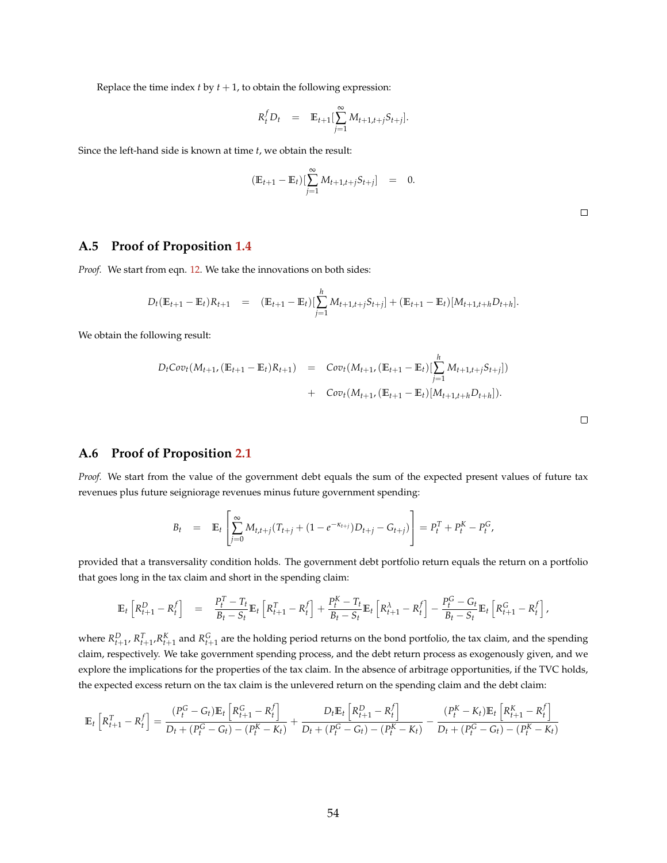Replace the time index  $t$  by  $t + 1$ , to obtain the following expression:

$$
R_t^f D_t = \mathbb{E}_{t+1} \left[ \sum_{j=1}^{\infty} M_{t+1,t+j} S_{t+j} \right].
$$

Since the left-hand side is known at time *t*, we obtain the result:

$$
(\mathbb{E}_{t+1} - \mathbb{E}_t) [\sum_{j=1}^{\infty} M_{t+1,t+j} S_{t+j}] = 0.
$$

 $\Box$ 

# **A.5 Proof of Proposition [1.4](#page-15-0)**

*Proof.* We start from eqn. [12.](#page-53-0) We take the innovations on both sides:

$$
D_t(\mathbb{E}_{t+1} - \mathbb{E}_t)R_{t+1} = (\mathbb{E}_{t+1} - \mathbb{E}_t) [\sum_{j=1}^h M_{t+1,t+j}S_{t+j}] + (\mathbb{E}_{t+1} - \mathbb{E}_t) [M_{t+1,t+h}D_{t+h}].
$$

We obtain the following result:

$$
D_t \text{Cov}_t(M_{t+1}, (\mathbb{E}_{t+1} - \mathbb{E}_t)R_{t+1}) = \text{Cov}_t(M_{t+1}, (\mathbb{E}_{t+1} - \mathbb{E}_t) [\sum_{j=1}^h M_{t+1,t+j}S_{t+j}]) + \text{Cov}_t(M_{t+1}, (\mathbb{E}_{t+1} - \mathbb{E}_t) [M_{t+1,t+h}D_{t+h}]).
$$

### **A.6 Proof of Proposition [2.1](#page-17-0)**

*Proof.* We start from the value of the government debt equals the sum of the expected present values of future tax revenues plus future seigniorage revenues minus future government spending:

$$
B_t = \mathbb{E}_t \left[ \sum_{j=0}^{\infty} M_{t,t+j} (T_{t+j} + (1 - e^{-\kappa_{t+j}}) D_{t+j} - G_{t+j}) \right] = P_t^T + P_t^K - P_t^G,
$$

provided that a transversality condition holds. The government debt portfolio return equals the return on a portfolio that goes long in the tax claim and short in the spending claim:

$$
\mathbb{E}_{t}\left[R_{t+1}^{D}-R_{t}^{f}\right] = \frac{P_{t}^{T}-T_{t}}{B_{t}-S_{t}}\mathbb{E}_{t}\left[R_{t+1}^{T}-R_{t}^{f}\right]+\frac{P_{t}^{K}-T_{t}}{B_{t}-S_{t}}\mathbb{E}_{t}\left[R_{t+1}^{\lambda}-R_{t}^{f}\right]-\frac{P_{t}^{G}-G_{t}}{B_{t}-S_{t}}\mathbb{E}_{t}\left[R_{t+1}^{G}-R_{t}^{f}\right],
$$

where  $R_{t+1}^D$ ,  $R_{t+1}^T$ ,  $R_{t+1}^K$  and  $R_{t+1}^G$  are the holding period returns on the bond portfolio, the tax claim, and the spending claim, respectively. We take government spending process, and the debt return process as exogenously given, and we explore the implications for the properties of the tax claim. In the absence of arbitrage opportunities, if the TVC holds, the expected excess return on the tax claim is the unlevered return on the spending claim and the debt claim:

$$
\mathbb{E}_{t}\left[R_{t+1}^{T} - R_{t}^{f}\right] = \frac{(P_{t}^{G} - G_{t})\mathbb{E}_{t}\left[R_{t+1}^{G} - R_{t}^{f}\right]}{D_{t} + (P_{t}^{G} - G_{t}) - (P_{t}^{K} - K_{t})} + \frac{D_{t}\mathbb{E}_{t}\left[R_{t+1}^{D} - R_{t}^{f}\right]}{D_{t} + (P_{t}^{G} - G_{t}) - (P_{t}^{K} - K_{t})} - \frac{(P_{t}^{K} - K_{t})\mathbb{E}_{t}\left[R_{t+1}^{K} - R_{t}^{f}\right]}{D_{t} + (P_{t}^{G} - G_{t}) - (P_{t}^{K} - K_{t})}
$$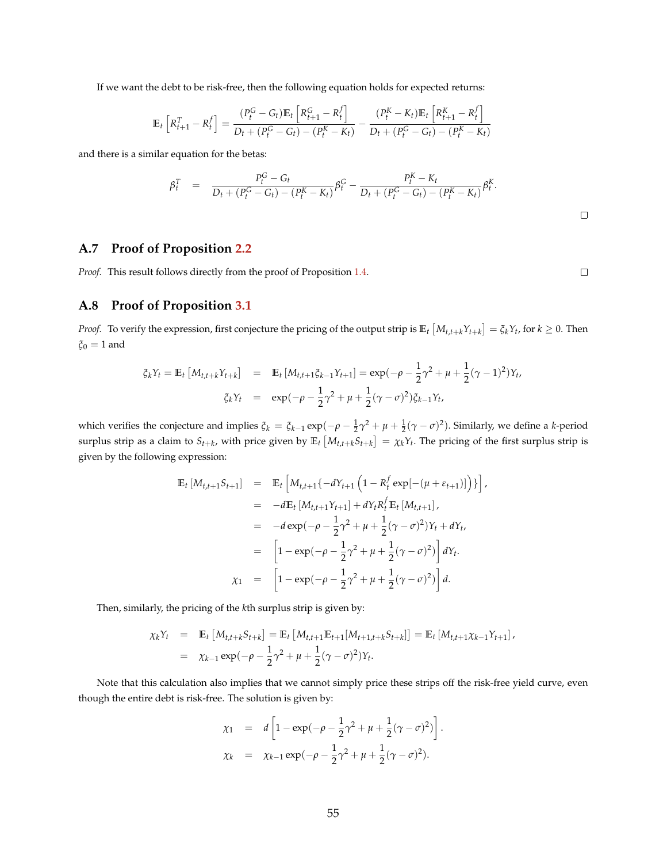If we want the debt to be risk-free, then the following equation holds for expected returns:

$$
\mathbb{E}_{t}\left[R_{t+1}^{T} - R_{t}^{f}\right] = \frac{(P_{t}^{G} - G_{t})\mathbb{E}_{t}\left[R_{t+1}^{G} - R_{t}^{f}\right]}{D_{t} + (P_{t}^{G} - G_{t}) - (P_{t}^{K} - K_{t})} - \frac{(P_{t}^{K} - K_{t})\mathbb{E}_{t}\left[R_{t+1}^{K} - R_{t}^{f}\right]}{D_{t} + (P_{t}^{G} - G_{t}) - (P_{t}^{K} - K_{t})}
$$

and there is a similar equation for the betas:

$$
\beta_t^T = \frac{P_t^G - G_t}{D_t + (P_t^G - G_t) - (P_t^K - K_t)} \beta_t^G - \frac{P_t^K - K_t}{D_t + (P_t^G - G_t) - (P_t^K - K_t)} \beta_t^K.
$$

## **A.7 Proof of Proposition [2.2](#page-18-0)**

*Proof.* This result follows directly from the proof of Proposition [1.4.](#page-15-0)

 $\Box$ 

# **A.8 Proof of Proposition [3.1](#page-20-0)**

*Proof.* To verify the expression, first conjecture the pricing of the output strip is  $\mathbb{E}_t\left[M_{t,t+k}Y_{t+k}\right]=\xi_kY_t$ , for  $k\geq 0$ . Then *ξ*<sup>0</sup> = 1 and

$$
\xi_k Y_t = \mathbb{E}_t \left[ M_{t,t+k} Y_{t+k} \right] = \mathbb{E}_t \left[ M_{t,t+1} \xi_{k-1} Y_{t+1} \right] = \exp(-\rho - \frac{1}{2} \gamma^2 + \mu + \frac{1}{2} (\gamma - 1)^2) Y_t,
$$
  

$$
\xi_k Y_t = \exp(-\rho - \frac{1}{2} \gamma^2 + \mu + \frac{1}{2} (\gamma - \sigma)^2) \xi_{k-1} Y_t,
$$

which verifies the conjecture and implies  $\xi_k = \xi_{k-1} \exp(-\rho - \frac{1}{2}\gamma^2 + \mu + \frac{1}{2}(\gamma - \sigma)^2)$ . Similarly, we define a *k*-period surplus strip as a claim to  $S_{t+k}$ , with price given by  $\mathbb{E}_t\left[M_{t,t+k}S_{t+k}\right]=\chi_kY_t$ . The pricing of the first surplus strip is given by the following expression:

$$
\begin{aligned}\n\mathbb{E}_{t} \left[ M_{t,t+1} S_{t+1} \right] &= \mathbb{E}_{t} \left[ M_{t,t+1} \{-dY_{t+1} \left( 1 - R_{t}^{f} \exp[-(\mu + \varepsilon_{t+1})] \right) \} \right], \\
&= -d \mathbb{E}_{t} \left[ M_{t,t+1} Y_{t+1} \right] + dY_{t} R_{t}^{f} \mathbb{E}_{t} \left[ M_{t,t+1} \right], \\
&= -d \exp(-\rho - \frac{1}{2} \gamma^{2} + \mu + \frac{1}{2} (\gamma - \sigma)^{2}) Y_{t} + dY_{t}, \\
&= \left[ 1 - \exp(-\rho - \frac{1}{2} \gamma^{2} + \mu + \frac{1}{2} (\gamma - \sigma)^{2}) \right] dY_{t}.\n\end{aligned}
$$
\n
$$
\chi_{1} = \left[ 1 - \exp(-\rho - \frac{1}{2} \gamma^{2} + \mu + \frac{1}{2} (\gamma - \sigma)^{2}) \right] d.
$$

Then, similarly, the pricing of the *k*th surplus strip is given by:

$$
\chi_k Y_t = \mathbb{E}_t \left[ M_{t,t+k} S_{t+k} \right] = \mathbb{E}_t \left[ M_{t,t+1} \mathbb{E}_{t+1} [M_{t+1,t+k} S_{t+k}] \right] = \mathbb{E}_t \left[ M_{t,t+1} \chi_{k-1} Y_{t+1} \right],
$$
  
=  $\chi_{k-1} \exp(-\rho - \frac{1}{2} \gamma^2 + \mu + \frac{1}{2} (\gamma - \sigma)^2) Y_t.$ 

Note that this calculation also implies that we cannot simply price these strips off the risk-free yield curve, even though the entire debt is risk-free. The solution is given by:

$$
\chi_1 = d \left[ 1 - \exp(-\rho - \frac{1}{2}\gamma^2 + \mu + \frac{1}{2}(\gamma - \sigma)^2) \right].
$$
  
\n
$$
\chi_k = \chi_{k-1} \exp(-\rho - \frac{1}{2}\gamma^2 + \mu + \frac{1}{2}(\gamma - \sigma)^2).
$$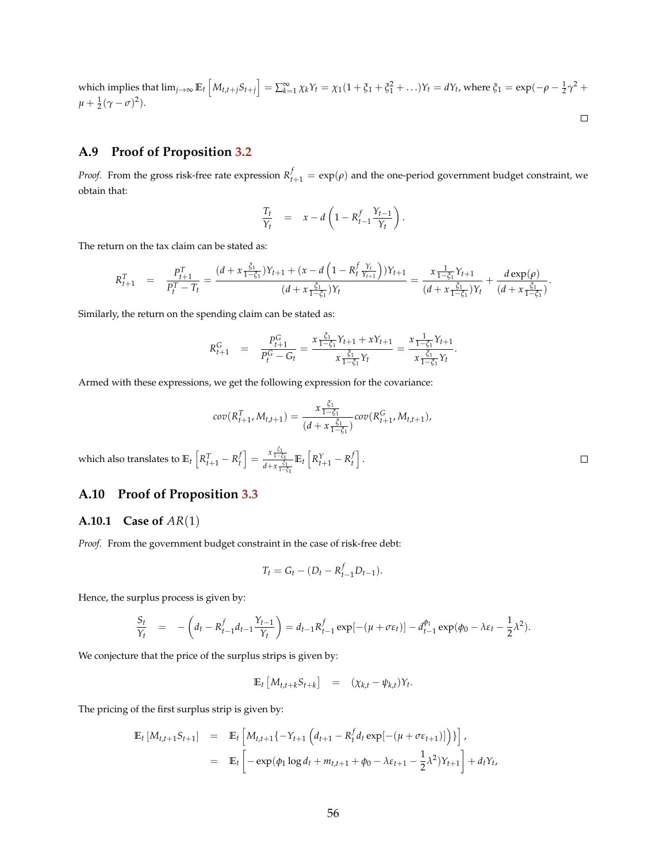which implies that 
$$
\lim_{j\to\infty} \mathbb{E}_t \left[ M_{t,t+j} S_{t+j} \right] = \sum_{k=1}^{\infty} \chi_k Y_t = \chi_1 (1 + \xi_1 + \xi_1^2 + \dots) Y_t = dY_t
$$
, where  $\xi_1 = \exp(-\rho - \frac{1}{2}\gamma^2 + \mu + \frac{1}{2}(\gamma - \sigma)^2)$ .

# **A.9 Proof of Proposition [3.2](#page-22-0)**

*Proof.* From the gross risk-free rate expression  $R_{t+1}^f = \exp(\rho)$  and the one-period government budget constraint, we obtain that:

$$
\frac{T_t}{Y_t} = x - d \left( 1 - R_{t-1}^f \frac{Y_{t-1}}{Y_t} \right).
$$

The return on the tax claim can be stated as:

$$
R_{t+1}^T = \frac{P_{t+1}^T}{P_t^T - T_t} = \frac{(d + x \frac{\xi_1}{1 - \xi_1})Y_{t+1} + (x - d \left(1 - R_t^f \frac{Y_t}{Y_{t+1}}\right))Y_{t+1}}{(d + x \frac{\xi_1}{1 - \xi_1})Y_t} = \frac{x \frac{1}{1 - \xi_1}Y_{t+1}}{(d + x \frac{\xi_1}{1 - \xi_1})Y_t} + \frac{d \exp(\rho)}{(d + x \frac{\xi_1}{1 - \xi_1})}.
$$

Similarly, the return on the spending claim can be stated as:

$$
R_{t+1}^G = \frac{P_{t+1}^G}{P_t^G - G_t} = \frac{x \frac{\xi_1}{1 - \xi_1} Y_{t+1} + x Y_{t+1}}{x \frac{\xi_1}{1 - \xi_1} Y_t} = \frac{x \frac{1}{1 - \xi_1} Y_{t+1}}{x \frac{\xi_1}{1 - \xi_1} Y_t}.
$$

Armed with these expressions, we get the following expression for the covariance:

$$
cov(R_{t+1}^T, M_{t,t+1}) = \frac{x \frac{\xi_1}{1-\xi_1}}{(d+x \frac{\xi_1}{1-\xi_1})} cov(R_{t+1}^G, M_{t,t+1}),
$$

which also translates to  $\mathbb{E}_t\left[R_{t+1}^T-R_t^f\right]=\frac{x\frac{\xi_1}{1-\xi_1}}{d+x\frac{\xi_2}{d}}$ *d*+*x*<sup> $\frac{ξ_1}{1−ξ_1}$ </sup>  $\mathbb{E}_t \left[ R^Y_{t+1} - R^f_t \right].$ 

# **A.10 Proof of Proposition [3.3](#page-25-0)**

### **A.10.1 Case of** *AR*(1)

*Proof.* From the government budget constraint in the case of risk-free debt:

$$
T_t = G_t - (D_t - R_{t-1}^f D_{t-1}).
$$

Hence, the surplus process is given by:

$$
\frac{S_t}{Y_t} = -\left(d_t - R_{t-1}^f d_{t-1} \frac{Y_{t-1}}{Y_t}\right) = d_{t-1} R_{t-1}^f \exp[-(\mu + \sigma \varepsilon_t)] - d_{t-1}^{\phi_1} \exp(\phi_0 - \lambda \varepsilon_t - \frac{1}{2} \lambda^2).
$$

We conjecture that the price of the surplus strips is given by:

$$
\mathbb{E}_t \left[ M_{t,t+k} S_{t+k} \right] = (\chi_{k,t} - \psi_{k,t}) Y_t.
$$

The pricing of the first surplus strip is given by:

$$
\mathbb{E}_{t} \left[ M_{t,t+1} S_{t+1} \right] = \mathbb{E}_{t} \left[ M_{t,t+1} \{ -Y_{t+1} \left( d_{t+1} - R_{t}^{f} d_{t} \exp[-(\mu + \sigma \varepsilon_{t+1})] \right) \} \right],
$$
  
\n
$$
= \mathbb{E}_{t} \left[ -\exp(\phi_{1} \log d_{t} + m_{t,t+1} + \phi_{0} - \lambda \varepsilon_{t+1} - \frac{1}{2} \lambda^{2}) Y_{t+1} \right] + d_{t} Y_{t},
$$

 $\Box$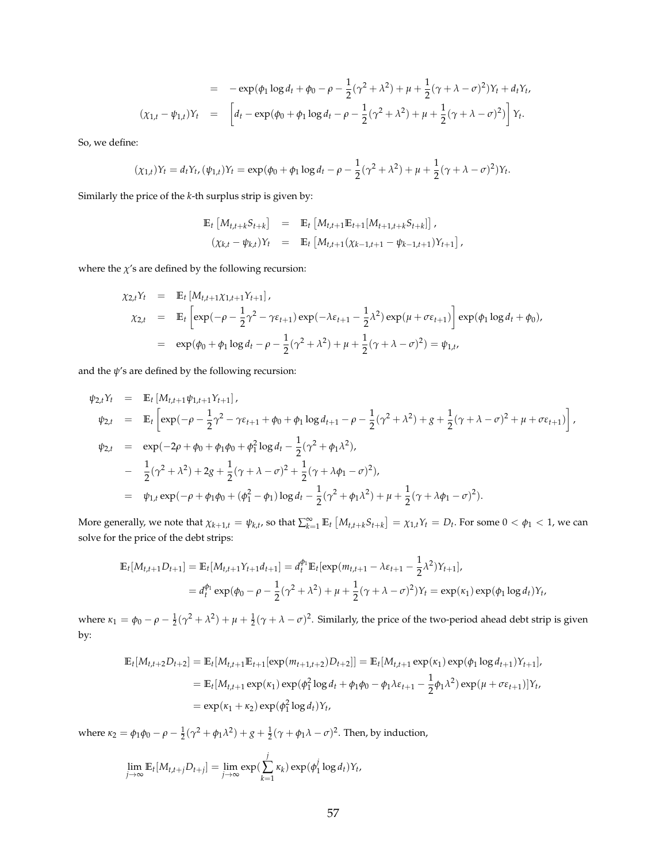$$
= -\exp(\phi_1 \log d_t + \phi_0 - \rho - \frac{1}{2}(\gamma^2 + \lambda^2) + \mu + \frac{1}{2}(\gamma + \lambda - \sigma)^2)Y_t + d_tY_t,
$$
  

$$
(\chi_{1,t} - \psi_{1,t})Y_t = \left[ d_t - \exp(\phi_0 + \phi_1 \log d_t - \rho - \frac{1}{2}(\gamma^2 + \lambda^2) + \mu + \frac{1}{2}(\gamma + \lambda - \sigma)^2) \right]Y_t.
$$

So, we define:

$$
(\chi_{1,t})Y_t = d_tY_{t}, (\psi_{1,t})Y_t = \exp(\phi_0 + \phi_1 \log d_t - \rho - \frac{1}{2}(\gamma^2 + \lambda^2) + \mu + \frac{1}{2}(\gamma + \lambda - \sigma)^2)Y_t.
$$

Similarly the price of the *k*-th surplus strip is given by:

$$
\mathbb{E}_t \left[ M_{t,t+k} S_{t+k} \right] = \mathbb{E}_t \left[ M_{t,t+1} \mathbb{E}_{t+1} [M_{t+1,t+k} S_{t+k}] \right],
$$
  

$$
(\chi_{k,t} - \psi_{k,t}) Y_t = \mathbb{E}_t \left[ M_{t,t+1} (\chi_{k-1,t+1} - \psi_{k-1,t+1}) Y_{t+1} \right],
$$

where the  $\chi$ 's are defined by the following recursion:

$$
\chi_{2,t}Y_t = \mathbb{E}_t [M_{t,t+1}\chi_{1,t+1}Y_{t+1}],
$$
  
\n
$$
\chi_{2,t} = \mathbb{E}_t \left[ \exp(-\rho - \frac{1}{2}\gamma^2 - \gamma \varepsilon_{t+1}) \exp(-\lambda \varepsilon_{t+1} - \frac{1}{2}\lambda^2) \exp(\mu + \sigma \varepsilon_{t+1}) \right] \exp(\phi_1 \log d_t + \phi_0),
$$
  
\n
$$
= \exp(\phi_0 + \phi_1 \log d_t - \rho - \frac{1}{2}(\gamma^2 + \lambda^2) + \mu + \frac{1}{2}(\gamma + \lambda - \sigma)^2) = \psi_{1,t},
$$

and the  $\psi$ 's are defined by the following recursion:

$$
\psi_{2,t}Y_t = \mathbb{E}_t [M_{t,t+1}\psi_{1,t+1}Y_{t+1}],
$$
  
\n
$$
\psi_{2,t} = \mathbb{E}_t \left[ \exp(-\rho - \frac{1}{2}\gamma^2 - \gamma \varepsilon_{t+1} + \phi_0 + \phi_1 \log d_{t+1} - \rho - \frac{1}{2}(\gamma^2 + \lambda^2) + g + \frac{1}{2}(\gamma + \lambda - \sigma)^2 + \mu + \sigma \varepsilon_{t+1}) \right],
$$
  
\n
$$
\psi_{2,t} = \exp(-2\rho + \phi_0 + \phi_1\phi_0 + \phi_1^2 \log d_t - \frac{1}{2}(\gamma^2 + \phi_1\lambda^2),
$$
  
\n
$$
- \frac{1}{2}(\gamma^2 + \lambda^2) + 2g + \frac{1}{2}(\gamma + \lambda - \sigma)^2 + \frac{1}{2}(\gamma + \lambda\phi_1 - \sigma)^2),
$$
  
\n
$$
= \psi_{1,t} \exp(-\rho + \phi_1\phi_0 + (\phi_1^2 - \phi_1) \log d_t - \frac{1}{2}(\gamma^2 + \phi_1\lambda^2) + \mu + \frac{1}{2}(\gamma + \lambda\phi_1 - \sigma)^2).
$$

More generally, we note that  $\chi_{k+1,t} = \psi_{k,t}$ , so that  $\sum_{k=1}^{\infty} \mathbb{E}_t [M_{t,t+k}S_{t+k}] = \chi_{1,t}Y_t = D_t$ . For some  $0 < \phi_1 < 1$ , we can solve for the price of the debt strips:

$$
\mathbb{E}_{t}[M_{t,t+1}D_{t+1}] = \mathbb{E}_{t}[M_{t,t+1}Y_{t+1}d_{t+1}] = d_{t}^{\phi_{1}}\mathbb{E}_{t}[\exp(m_{t,t+1} - \lambda \varepsilon_{t+1} - \frac{1}{2}\lambda^{2})Y_{t+1}],
$$
  
=  $d_{t}^{\phi_{1}}\exp(\phi_{0} - \rho - \frac{1}{2}(\gamma^{2} + \lambda^{2}) + \mu + \frac{1}{2}(\gamma + \lambda - \sigma)^{2})Y_{t} = \exp(\kappa_{1})\exp(\phi_{1}\log d_{t})Y_{t},$ 

where  $\kappa_1 = \phi_0 - \rho - \frac{1}{2}(\gamma^2 + \lambda^2) + \mu + \frac{1}{2}(\gamma + \lambda - \sigma)^2$ . Similarly, the price of the two-period ahead debt strip is given by:

$$
\mathbb{E}_{t}[M_{t,t+2}D_{t+2}] = \mathbb{E}_{t}[M_{t,t+1}\mathbb{E}_{t+1}[\exp(m_{t+1,t+2})D_{t+2}]] = \mathbb{E}_{t}[M_{t,t+1}\exp(\kappa_{1})\exp(\phi_{1}\log d_{t+1})Y_{t+1}],
$$
  
\n
$$
= \mathbb{E}_{t}[M_{t,t+1}\exp(\kappa_{1})\exp(\phi_{1}^{2}\log d_{t} + \phi_{1}\phi_{0} - \phi_{1}\lambda\varepsilon_{t+1} - \frac{1}{2}\phi_{1}\lambda^{2})\exp(\mu + \sigma\varepsilon_{t+1})]Y_{t},
$$
  
\n
$$
= \exp(\kappa_{1} + \kappa_{2})\exp(\phi_{1}^{2}\log d_{t})Y_{t},
$$

where *κ*<sub>2</sub> = *φ*<sub>1</sub>*φ*<sub>0</sub> − *ρ* −  $\frac{1}{2}$ ( $\gamma$ <sup>2</sup> + *φ*<sub>1</sub> $\lambda$ <sup>2</sup>) + *g* +  $\frac{1}{2}$ ( $\gamma$  + *φ*<sub>1</sub> $\lambda$  − *σ*)<sup>2</sup>. Then, by induction,

$$
\lim_{j\to\infty} \mathbb{E}_t[M_{t,t+j}D_{t+j}] = \lim_{j\to\infty} \exp(\sum_{k=1}^j \kappa_k) \exp(\phi_1^j \log d_t)Y_t,
$$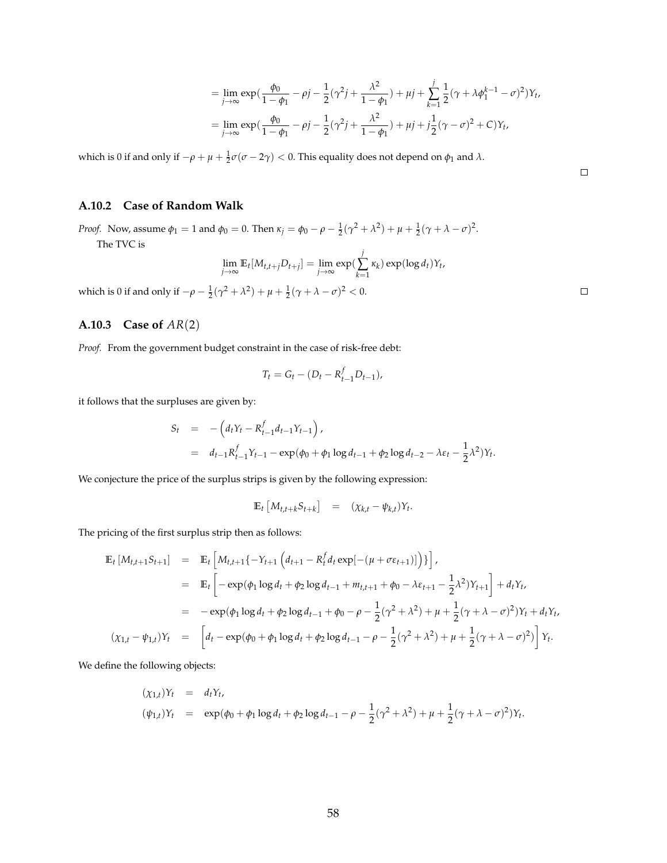$$
= \lim_{j \to \infty} \exp\left(\frac{\phi_0}{1 - \phi_1} - \rho j - \frac{1}{2}(\gamma^2 j + \frac{\lambda^2}{1 - \phi_1}) + \mu j + \sum_{k=1}^j \frac{1}{2}(\gamma + \lambda \phi_1^{k-1} - \sigma)^2\right) Y_t,
$$
  
= 
$$
\lim_{j \to \infty} \exp\left(\frac{\phi_0}{1 - \phi_1} - \rho j - \frac{1}{2}(\gamma^2 j + \frac{\lambda^2}{1 - \phi_1}) + \mu j + j\frac{1}{2}(\gamma - \sigma)^2 + C\right) Y_t,
$$

which is 0 if and only if  $-\rho + \mu + \frac{1}{2}\sigma(\sigma - 2\gamma) < 0$ . This equality does not depend on  $\phi_1$  and  $\lambda$ .

### **A.10.2 Case of Random Walk**

*Proof.* Now, assume  $\phi_1 = 1$  and  $\phi_0 = 0$ . Then  $\kappa_j = \phi_0 - \rho - \frac{1}{2}(\gamma^2 + \lambda^2) + \mu + \frac{1}{2}(\gamma + \lambda - \sigma)^2$ . The TVC is

$$
\lim_{j\to\infty} \mathbb{E}_t[M_{t,t+j}D_{t+j}] = \lim_{j\to\infty} \exp(\sum_{k=1}^j \kappa_k) \exp(\log d_t)Y_t,
$$

which is 0 if and only if  $-\rho - \frac{1}{2}(\gamma^2 + \lambda^2) + \mu + \frac{1}{2}(\gamma + \lambda - \sigma)^2 < 0$ .

# **A.10.3 Case of** *AR*(2)

*Proof.* From the government budget constraint in the case of risk-free debt:

$$
T_t = G_t - (D_t - R_{t-1}^f D_{t-1}),
$$

it follows that the surpluses are given by:

$$
S_t = -\left(d_t Y_t - R_{t-1}^f d_{t-1} Y_{t-1}\right),
$$
  
=  $d_{t-1} R_{t-1}^f Y_{t-1} - \exp(\phi_0 + \phi_1 \log d_{t-1} + \phi_2 \log d_{t-2} - \lambda \varepsilon_t - \frac{1}{2} \lambda^2) Y_t.$ 

We conjecture the price of the surplus strips is given by the following expression:

$$
\mathbb{E}_t \left[ M_{t,t+k} S_{t+k} \right] = (\chi_{k,t} - \psi_{k,t}) Y_t.
$$

The pricing of the first surplus strip then as follows:

$$
\mathbb{E}_{t} \left[ M_{t,t+1} S_{t+1} \right] = \mathbb{E}_{t} \left[ M_{t,t+1} \{ -Y_{t+1} \left( d_{t+1} - R_{t}^{f} d_{t} \exp[-(\mu + \sigma \varepsilon_{t+1})] \right) \} \right],
$$
\n
$$
= \mathbb{E}_{t} \left[ -\exp(\phi_{1} \log d_{t} + \phi_{2} \log d_{t-1} + m_{t,t+1} + \phi_{0} - \lambda \varepsilon_{t+1} - \frac{1}{2} \lambda^{2}) Y_{t+1} \right] + d_{t} Y_{t},
$$
\n
$$
= -\exp(\phi_{1} \log d_{t} + \phi_{2} \log d_{t-1} + \phi_{0} - \rho - \frac{1}{2} (\gamma^{2} + \lambda^{2}) + \mu + \frac{1}{2} (\gamma + \lambda - \sigma)^{2}) Y_{t} + d_{t} Y_{t},
$$
\n
$$
(\chi_{1,t} - \psi_{1,t}) Y_{t} = \left[ d_{t} - \exp(\phi_{0} + \phi_{1} \log d_{t} + \phi_{2} \log d_{t-1} - \rho - \frac{1}{2} (\gamma^{2} + \lambda^{2}) + \mu + \frac{1}{2} (\gamma + \lambda - \sigma)^{2}) \right] Y_{t}.
$$

We define the following objects:

$$
(\chi_{1,t})Y_t = d_tY_t,
$$
  
\n
$$
(\psi_{1,t})Y_t = \exp(\phi_0 + \phi_1 \log d_t + \phi_2 \log d_{t-1} - \rho - \frac{1}{2}(\gamma^2 + \lambda^2) + \mu + \frac{1}{2}(\gamma + \lambda - \sigma)^2)Y_t.
$$

 $\Box$ 

 $\Box$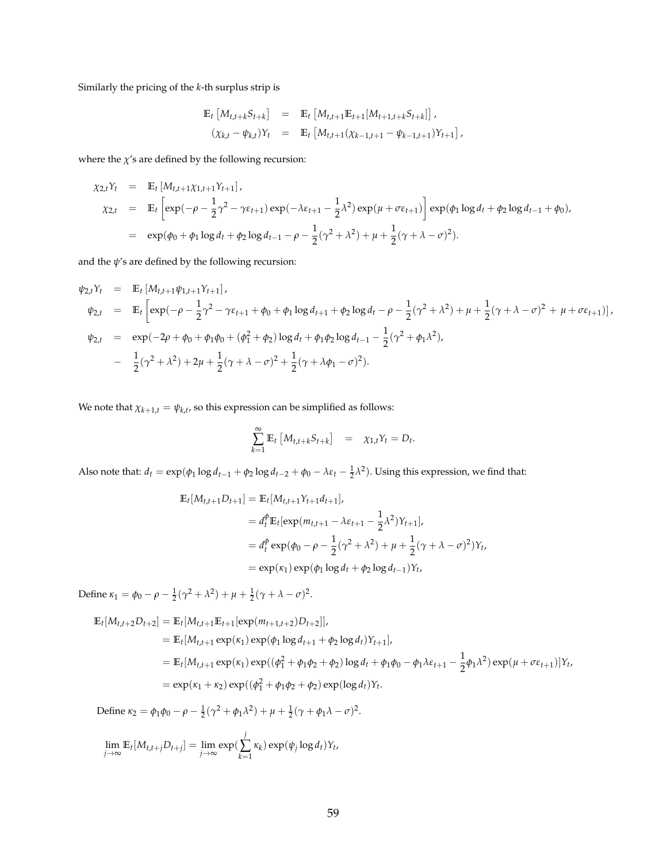Similarly the pricing of the *k*-th surplus strip is

$$
\mathbb{E}_{t} \left[ M_{t,t+k} S_{t+k} \right] = \mathbb{E}_{t} \left[ M_{t,t+1} \mathbb{E}_{t+1} [M_{t+1,t+k} S_{t+k}] \right],
$$
  

$$
(\chi_{k,t} - \psi_{k,t}) Y_{t} = \mathbb{E}_{t} \left[ M_{t,t+1} (\chi_{k-1,t+1} - \psi_{k-1,t+1}) Y_{t+1} \right],
$$

where the  $\chi$ 's are defined by the following recursion:

$$
\chi_{2,t}Y_t = \mathbb{E}_t [M_{t,t+1} \chi_{1,t+1} Y_{t+1}],
$$
  
\n
$$
\chi_{2,t} = \mathbb{E}_t \left[ \exp(-\rho - \frac{1}{2}\gamma^2 - \gamma \varepsilon_{t+1}) \exp(-\lambda \varepsilon_{t+1} - \frac{1}{2}\lambda^2) \exp(\mu + \sigma \varepsilon_{t+1}) \right] \exp(\phi_1 \log d_t + \phi_2 \log d_{t-1} + \phi_0),
$$
  
\n
$$
= \exp(\phi_0 + \phi_1 \log d_t + \phi_2 \log d_{t-1} - \rho - \frac{1}{2}(\gamma^2 + \lambda^2) + \mu + \frac{1}{2}(\gamma + \lambda - \sigma)^2).
$$

and the  $\psi$ 's are defined by the following recursion:

$$
\psi_{2,t}Y_t = \mathbb{E}_t [M_{t,t+1}\psi_{1,t+1}Y_{t+1}],
$$
  
\n
$$
\psi_{2,t} = \mathbb{E}_t \left[ \exp(-\rho - \frac{1}{2}\gamma^2 - \gamma \varepsilon_{t+1} + \phi_0 + \phi_1 \log d_{t+1} + \phi_2 \log d_t - \rho - \frac{1}{2}(\gamma^2 + \lambda^2) + \mu + \frac{1}{2}(\gamma + \lambda - \sigma)^2 + \mu + \sigma \varepsilon_{t+1}) \right],
$$
  
\n
$$
\psi_{2,t} = \exp(-2\rho + \phi_0 + \phi_1\phi_0 + (\phi_1^2 + \phi_2) \log d_t + \phi_1\phi_2 \log d_{t-1} - \frac{1}{2}(\gamma^2 + \phi_1\lambda^2),
$$
  
\n
$$
- \frac{1}{2}(\gamma^2 + \lambda^2) + 2\mu + \frac{1}{2}(\gamma + \lambda - \sigma)^2 + \frac{1}{2}(\gamma + \lambda\phi_1 - \sigma)^2).
$$

We note that  $\chi_{k+1,t} = \psi_{k,t}$ , so this expression can be simplified as follows:

$$
\sum_{k=1}^{\infty} \mathbb{E}_t \left[ M_{t,t+k} S_{t+k} \right] = \chi_{1,t} Y_t = D_t.
$$

Also note that:  $d_t = \exp(\phi_1 \log d_{t-1} + \phi_2 \log d_{t-2} + \phi_0 - \lambda \varepsilon_t - \frac{1}{2} \lambda^2)$ . Using this expression, we find that:

$$
\mathbb{E}_{t}[M_{t,t+1}D_{t+1}] = \mathbb{E}_{t}[M_{t,t+1}Y_{t+1}d_{t+1}],
$$
  
\n
$$
= d_{t}^{\phi}\mathbb{E}_{t}[\exp(m_{t,t+1} - \lambda \varepsilon_{t+1} - \frac{1}{2}\lambda^{2})Y_{t+1}],
$$
  
\n
$$
= d_{t}^{\phi}\exp(\phi_{0} - \rho - \frac{1}{2}(\gamma^{2} + \lambda^{2}) + \mu + \frac{1}{2}(\gamma + \lambda - \sigma)^{2})Y_{t},
$$
  
\n
$$
= \exp(\kappa_{1})\exp(\phi_{1}\log d_{t} + \phi_{2}\log d_{t-1})Y_{t},
$$

Define  $\kappa_1 = \phi_0 - \rho - \frac{1}{2}(\gamma^2 + \lambda^2) + \mu + \frac{1}{2}(\gamma + \lambda - \sigma)^2$ .

$$
\mathbb{E}_{t}[M_{t,t+2}D_{t+2}] = \mathbb{E}_{t}[M_{t,t+1}\mathbb{E}_{t+1}[\exp(m_{t+1,t+2})D_{t+2}]],
$$
\n
$$
= \mathbb{E}_{t}[M_{t,t+1}\exp(\kappa_{1})\exp(\phi_{1}\log d_{t+1} + \phi_{2}\log d_{t})Y_{t+1}],
$$
\n
$$
= \mathbb{E}_{t}[M_{t,t+1}\exp(\kappa_{1})\exp((\phi_{1}^{2} + \phi_{1}\phi_{2} + \phi_{2})\log d_{t} + \phi_{1}\phi_{0} - \phi_{1}\lambda\varepsilon_{t+1} - \frac{1}{2}\phi_{1}\lambda^{2})\exp(\mu + \sigma\varepsilon_{t+1})]Y_{t},
$$
\n
$$
= \exp(\kappa_{1} + \kappa_{2})\exp((\phi_{1}^{2} + \phi_{1}\phi_{2} + \phi_{2})\exp(\log d_{t})Y_{t}.
$$

Define  $\kappa_2 = \phi_1 \phi_0 - \rho - \frac{1}{2} (\gamma^2 + \phi_1 \lambda^2) + \mu + \frac{1}{2} (\gamma + \phi_1 \lambda - \sigma)^2$ .

$$
\lim_{j\to\infty} \mathbb{E}_t[M_{t,t+j}D_{t+j}] = \lim_{j\to\infty} \exp(\sum_{k=1}^j \kappa_k) \exp(\psi_j \log d_t)Y_t,
$$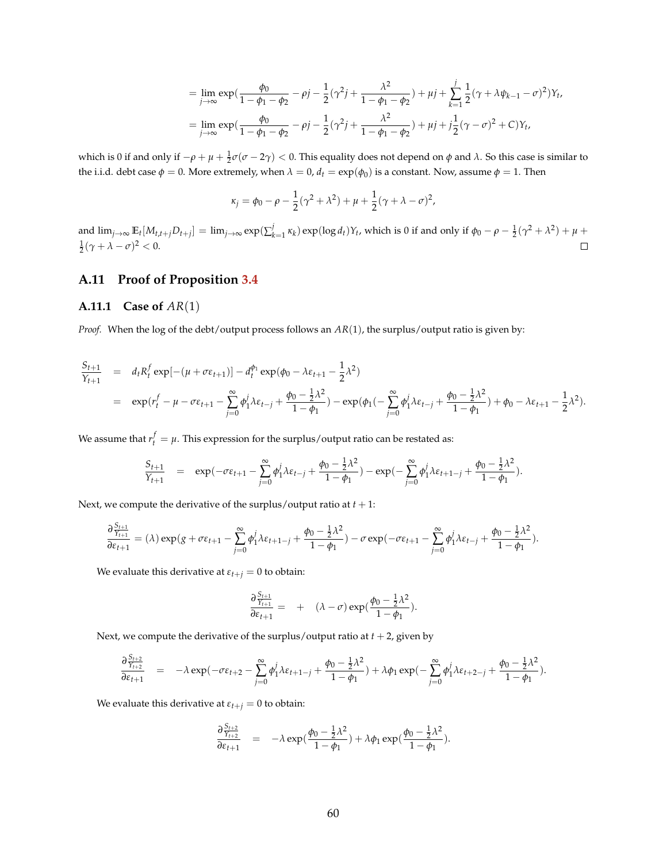$$
= \lim_{j \to \infty} \exp\left(\frac{\phi_0}{1 - \phi_1 - \phi_2} - \rho j - \frac{1}{2}(\gamma^2 j + \frac{\lambda^2}{1 - \phi_1 - \phi_2}) + \mu j + \sum_{k=1}^j \frac{1}{2}(\gamma + \lambda \psi_{k-1} - \sigma)^2\right) Y_t,
$$
  
= 
$$
\lim_{j \to \infty} \exp\left(\frac{\phi_0}{1 - \phi_1 - \phi_2} - \rho j - \frac{1}{2}(\gamma^2 j + \frac{\lambda^2}{1 - \phi_1 - \phi_2}) + \mu j + j\frac{1}{2}(\gamma - \sigma)^2 + C\right) Y_t,
$$

which is 0 if and only if  $-\rho + \mu + \frac{1}{2} \sigma$  (*σ* − 2γ) < 0. This equality does not depend on *φ* and *λ*. So this case is similar to the i.i.d. debt case  $\phi = 0$ . More extremely, when  $\lambda = 0$ ,  $d_t = \exp(\phi_0)$  is a constant. Now, assume  $\phi = 1$ . Then

$$
\kappa_j = \phi_0 - \rho - \frac{1}{2}(\gamma^2 + \lambda^2) + \mu + \frac{1}{2}(\gamma + \lambda - \sigma)^2,
$$

and  $\lim_{j\to\infty} \mathbb{E}_t[M_{t,t+j}D_{t+j}] = \lim_{j\to\infty} \exp(\sum_{k=1}^j \kappa_k) \exp(\log d_t)Y_t$ , which is 0 if and only if  $\phi_0 - \rho - \frac{1}{2}(\gamma^2 + \lambda^2) + \mu + \frac{1}{2}(\lambda^2 + \lambda^2)$  $\frac{1}{2}(\gamma + \lambda - \sigma)^2 < 0.$  $\Box$ 

### **A.11 Proof of Proposition [3.4](#page-26-0)**

### **A.11.1 Case of** *AR*(1)

*Proof.* When the log of the debt/output process follows an *AR*(1), the surplus/output ratio is given by:

$$
\frac{S_{t+1}}{Y_{t+1}} = d_t R_t^f \exp[-(\mu + \sigma \varepsilon_{t+1})] - d_t^{\phi_1} \exp(\phi_0 - \lambda \varepsilon_{t+1} - \frac{1}{2} \lambda^2)
$$
\n
$$
= \exp(r_t^f - \mu - \sigma \varepsilon_{t+1} - \sum_{j=0}^{\infty} \phi_1^j \lambda \varepsilon_{t-j} + \frac{\phi_0 - \frac{1}{2} \lambda^2}{1 - \phi_1}) - \exp(\phi_1(-\sum_{j=0}^{\infty} \phi_1^j \lambda \varepsilon_{t-j} + \frac{\phi_0 - \frac{1}{2} \lambda^2}{1 - \phi_1}) + \phi_0 - \lambda \varepsilon_{t+1} - \frac{1}{2} \lambda^2).
$$

We assume that  $r_t^f = \mu$ . This expression for the surplus/output ratio can be restated as:

$$
\frac{S_{t+1}}{Y_{t+1}} = \exp(-\sigma \varepsilon_{t+1} - \sum_{j=0}^{\infty} \phi_1^j \lambda \varepsilon_{t-j} + \frac{\phi_0 - \frac{1}{2} \lambda^2}{1 - \phi_1}) - \exp(-\sum_{j=0}^{\infty} \phi_1^j \lambda \varepsilon_{t+1-j} + \frac{\phi_0 - \frac{1}{2} \lambda^2}{1 - \phi_1}).
$$

Next, we compute the derivative of the surplus/output ratio at  $t + 1$ :

$$
\frac{\partial\frac{S_{t+1}}{Y_{t+1}}}{\partial\varepsilon_{t+1}}=(\lambda)\exp(g+\sigma\varepsilon_{t+1}-\sum_{j=0}^\infty\phi_1^j\lambda\varepsilon_{t+1-j}+\frac{\phi_0-\frac{1}{2}\lambda^2}{1-\phi_1})-\sigma\exp(-\sigma\varepsilon_{t+1}-\sum_{j=0}^\infty\phi_1^j\lambda\varepsilon_{t-j}+\frac{\phi_0-\frac{1}{2}\lambda^2}{1-\phi_1}).
$$

We evaluate this derivative at  $\varepsilon_{t+j} = 0$  to obtain:

$$
\frac{\partial \frac{S_{t+1}}{Y_{t+1}}}{\partial \varepsilon_{t+1}} = + (\lambda - \sigma) \exp(\frac{\phi_0 - \frac{1}{2} \lambda^2}{1 - \phi_1}).
$$

Next, we compute the derivative of the surplus/output ratio at  $t + 2$ , given by

$$
\frac{\partial \frac{S_{t+2}}{S_{t+2}}}{\partial \varepsilon_{t+1}} = -\lambda \exp(-\sigma \varepsilon_{t+2} - \sum_{j=0}^{\infty} \phi_1^j \lambda \varepsilon_{t+1-j} + \frac{\phi_0 - \frac{1}{2} \lambda^2}{1 - \phi_1}) + \lambda \phi_1 \exp(-\sum_{j=0}^{\infty} \phi_1^j \lambda \varepsilon_{t+2-j} + \frac{\phi_0 - \frac{1}{2} \lambda^2}{1 - \phi_1}).
$$

We evaluate this derivative at  $\varepsilon_{t+j} = 0$  to obtain:

$$
\frac{\partial \frac{S_{t+2}}{Y_{t+2}}}{\partial \varepsilon_{t+1}} = -\lambda \exp(\frac{\phi_0 - \frac{1}{2}\lambda^2}{1 - \phi_1}) + \lambda \phi_1 \exp(\frac{\phi_0 - \frac{1}{2}\lambda^2}{1 - \phi_1}).
$$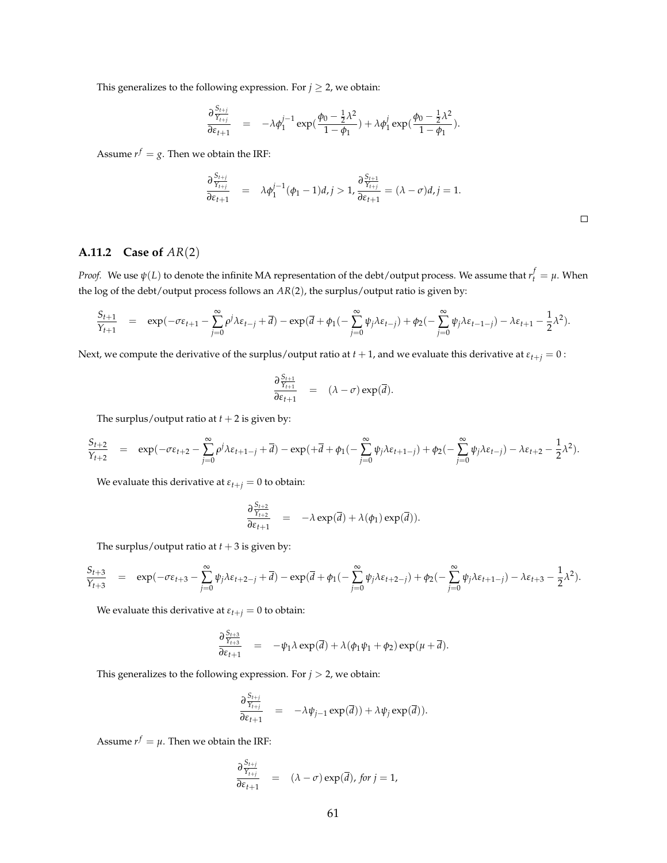This generalizes to the following expression. For  $j \geq 2$ , we obtain:

$$
\frac{\partial \frac{S_{t+j}}{Y_{t+j}}}{\partial \varepsilon_{t+1}} = -\lambda \phi_1^{j-1} \exp(\frac{\phi_0 - \frac{1}{2}\lambda^2}{1-\phi_1}) + \lambda \phi_1^j \exp(\frac{\phi_0 - \frac{1}{2}\lambda^2}{1-\phi_1}).
$$

Assume  $r^f = g$ . Then we obtain the IRF:

$$
\frac{\partial \frac{S_{t+j}}{Y_{t+j}}}{\partial \varepsilon_{t+1}} = \lambda \phi_1^{j-1}(\phi_1 - 1)d, j > 1, \frac{\partial \frac{S_{t+1}}{Y_{t+j}}}{\partial \varepsilon_{t+1}} = (\lambda - \sigma)d, j = 1.
$$

 $\Box$ 

## **A.11.2 Case of** *AR*(2)

*Proof.* We use  $\psi(L)$  to denote the infinite MA representation of the debt/output process. We assume that  $r_t^f=\mu$ . When the log of the debt/output process follows an *AR*(2), the surplus/output ratio is given by:

$$
\frac{S_{t+1}}{Y_{t+1}}\quad =\quad \exp(-\sigma \epsilon_{t+1} - \sum_{j=0}^\infty \rho^j \lambda \epsilon_{t-j} + \overline{d}) - \exp(\overline{d} + \phi_1(-\sum_{j=0}^\infty \psi_j \lambda \epsilon_{t-j}) + \phi_2(-\sum_{j=0}^\infty \psi_j \lambda \epsilon_{t-1-j}) - \lambda \epsilon_{t+1} - \frac{1}{2} \lambda^2).
$$

Next, we compute the derivative of the surplus/output ratio at  $t + 1$ , and we evaluate this derivative at  $\varepsilon_{t+j} = 0$ :

$$
\frac{\partial \frac{S_{t+1}}{Y_{t+1}}}{\partial \varepsilon_{t+1}} = (\lambda - \sigma) \exp(\overline{d}).
$$

The surplus/output ratio at  $t + 2$  is given by:

$$
\frac{S_{t+2}}{Y_{t+2}}\quad =\quad \exp(-\sigma\epsilon_{t+2}-\sum_{j=0}^\infty\rho^j\lambda\epsilon_{t+1-j}+\overline{d})-\exp(+\overline{d}+\phi_1(-\sum_{j=0}^\infty\psi_j\lambda\epsilon_{t+1-j})+\phi_2(-\sum_{j=0}^\infty\psi_j\lambda\epsilon_{t-j})-\lambda\epsilon_{t+2}-\frac{1}{2}\lambda^2).
$$

We evaluate this derivative at  $\varepsilon_{t+j} = 0$  to obtain:

$$
\frac{\partial \frac{S_{t+2}}{Y_{t+2}}}{\partial \varepsilon_{t+1}} = -\lambda \exp(\overline{d}) + \lambda(\phi_1) \exp(\overline{d})).
$$

The surplus/output ratio at  $t + 3$  is given by:

$$
\frac{S_{t+3}}{Y_{t+3}} = \exp(-\sigma \varepsilon_{t+3} - \sum_{j=0}^{\infty} \psi_j \lambda \varepsilon_{t+2-j} + \overline{d}) - \exp(\overline{d} + \phi_1(-\sum_{j=0}^{\infty} \psi_j \lambda \varepsilon_{t+2-j}) + \phi_2(-\sum_{j=0}^{\infty} \psi_j \lambda \varepsilon_{t+1-j}) - \lambda \varepsilon_{t+3} - \frac{1}{2} \lambda^2).
$$

We evaluate this derivative at  $\varepsilon_{t+j} = 0$  to obtain:

$$
\frac{\partial \frac{S_{t+3}}{Y_{t+3}}}{\partial \varepsilon_{t+1}} = -\psi_1 \lambda \exp(\overline{d}) + \lambda (\phi_1 \psi_1 + \phi_2) \exp(\mu + \overline{d}).
$$

This generalizes to the following expression. For  $j > 2$ , we obtain:

$$
\frac{\partial \frac{S_{t+j}}{Y_{t+j}}}{\partial \varepsilon_{t+1}} = -\lambda \psi_{j-1} \exp(\overline{d})) + \lambda \psi_j \exp(\overline{d})).
$$

Assume  $r^f = \mu$ . Then we obtain the IRF:

$$
\frac{\partial \frac{S_{t+j}}{Y_{t+j}}}{\partial \varepsilon_{t+1}} = (\lambda - \sigma) \exp(\overline{d}), \text{ for } j = 1,
$$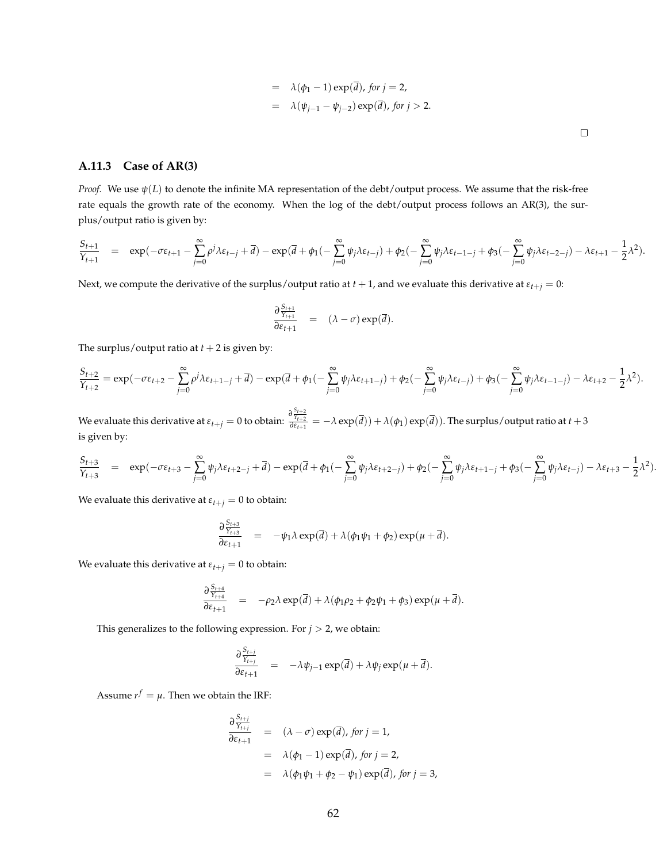$$
= \lambda(\phi_1 - 1) \exp(\overline{d}), \text{ for } j = 2,
$$
  

$$
= \lambda(\psi_{j-1} - \psi_{j-2}) \exp(\overline{d}), \text{ for } j > 2.
$$

 $\Box$ 

#### **A.11.3 Case of AR(3)**

*Proof.* We use *ψ*(*L*) to denote the infinite MA representation of the debt/output process. We assume that the risk-free rate equals the growth rate of the economy. When the log of the debt/output process follows an AR(3), the surplus/output ratio is given by:

$$
\frac{S_{t+1}}{Y_{t+1}}\quad =\quad \exp(-\sigma\epsilon_{t+1}-\sum_{j=0}^\infty\rho^j\lambda\epsilon_{t-j}+\overline{d})-\exp(\overline{d}+\phi_1(-\sum_{j=0}^\infty\psi_j\lambda\epsilon_{t-j})+\phi_2(-\sum_{j=0}^\infty\psi_j\lambda\epsilon_{t-1-j}+\phi_3(-\sum_{j=0}^\infty\psi_j\lambda\epsilon_{t-2-j})-\lambda\epsilon_{t+1}-\frac{1}{2}\lambda^2).
$$

Next, we compute the derivative of the surplus/output ratio at  $t + 1$ , and we evaluate this derivative at  $\varepsilon_{t+j} = 0$ :

$$
\frac{\partial \frac{S_{t+1}}{Y_{t+1}}}{\partial \varepsilon_{t+1}} = (\lambda - \sigma) \exp(\overline{d}).
$$

The surplus/output ratio at  $t + 2$  is given by:

$$
\frac{S_{t+2}}{Y_{t+2}} = \exp(-\sigma \varepsilon_{t+2} - \sum_{j=0}^\infty \rho^j \lambda \varepsilon_{t+1-j} + \overline{d}) - \exp(\overline{d} + \phi_1(-\sum_{j=0}^\infty \psi_j \lambda \varepsilon_{t+1-j}) + \phi_2(-\sum_{j=0}^\infty \psi_j \lambda \varepsilon_{t-j}) + \phi_3(-\sum_{j=0}^\infty \psi_j \lambda \varepsilon_{t-1-j}) - \lambda \varepsilon_{t+2} - \frac{1}{2} \lambda^2).
$$

We evaluate this derivative at  $\varepsilon_{t+j}=0$  to obtain:  $\frac{\partial\frac{S_{t+2}}{Y_{t+2}}}{\partial\varepsilon_{t+1}}=-\lambda\exp(\overline{d}))+\lambda(\phi_1)\exp(\overline{d})).$  The surplus/output ratio at  $t+3$ is given by:

$$
\frac{S_{t+3}}{Y_{t+3}}\quad =\quad \exp(-\sigma \epsilon_{t+3}-\sum_{j=0}^\infty \psi_j\lambda \epsilon_{t+2-j}+\overline{d}) - \exp(\overline{d}+\phi_1(-\sum_{j=0}^\infty \psi_j\lambda \epsilon_{t+2-j})+\phi_2(-\sum_{j=0}^\infty \psi_j\lambda \epsilon_{t+1-j}+\phi_3(-\sum_{j=0}^\infty \psi_j\lambda \epsilon_{t-j})-\lambda \epsilon_{t+3}-\frac{1}{2}\lambda^2).
$$

We evaluate this derivative at  $\varepsilon_{t+j} = 0$  to obtain:

$$
\frac{\partial \frac{S_{t+3}}{Y_{t+3}}}{\partial \varepsilon_{t+1}} = -\psi_1 \lambda \exp(\overline{d}) + \lambda (\phi_1 \psi_1 + \phi_2) \exp(\mu + \overline{d}).
$$

We evaluate this derivative at  $\varepsilon_{t+j} = 0$  to obtain:

$$
\frac{\partial \frac{S_{t+4}}{\gamma_{t+4}}}{\partial \varepsilon_{t+1}} = -\rho_2 \lambda \exp(\overline{d}) + \lambda (\phi_1 \rho_2 + \phi_2 \psi_1 + \phi_3) \exp(\mu + \overline{d}).
$$

This generalizes to the following expression. For  $j > 2$ , we obtain:

$$
\frac{\partial \frac{S_{t+j}}{Y_{t+j}}}{\partial \varepsilon_{t+1}} = -\lambda \psi_{j-1} \exp(\overline{d}) + \lambda \psi_j \exp(\mu + \overline{d}).
$$

Assume  $r^f = \mu$ . Then we obtain the IRF:

$$
\frac{\partial \frac{S_{t+j}}{Y_{t+j}}}{\partial \varepsilon_{t+1}} = (\lambda - \sigma) \exp(\overline{d}), \text{ for } j = 1,
$$
  
\n
$$
= \lambda(\phi_1 - 1) \exp(\overline{d}), \text{ for } j = 2,
$$
  
\n
$$
= \lambda(\phi_1 \psi_1 + \phi_2 - \psi_1) \exp(\overline{d}), \text{ for } j = 3,
$$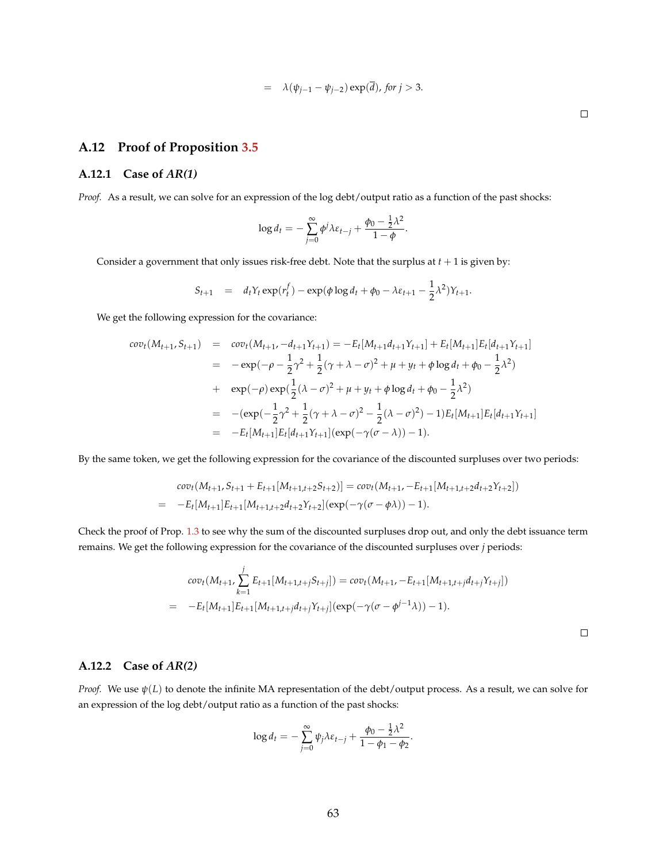$$
= \lambda(\psi_{j-1} - \psi_{j-2}) \exp(d), \text{ for } j > 3.
$$

# **A.12 Proof of Proposition [3.5](#page-32-0)**

### **A.12.1 Case of** *AR(1)*

*Proof.* As a result, we can solve for an expression of the log debt/output ratio as a function of the past shocks:

$$
\log d_t = -\sum_{j=0}^{\infty} \phi^j \lambda \varepsilon_{t-j} + \frac{\phi_0 - \frac{1}{2} \lambda^2}{1 - \phi}.
$$

Consider a government that only issues risk-free debt. Note that the surplus at  $t + 1$  is given by:

$$
S_{t+1} = d_t Y_t \exp(r_t^f) - \exp(\phi \log d_t + \phi_0 - \lambda \varepsilon_{t+1} - \frac{1}{2} \lambda^2) Y_{t+1}.
$$

We get the following expression for the covariance:

$$
cov_t(M_{t+1}, S_{t+1}) = cov_t(M_{t+1}, -d_{t+1}Y_{t+1}) = -E_t[M_{t+1}d_{t+1}Y_{t+1}] + E_t[M_{t+1}]E_t[d_{t+1}Y_{t+1}]
$$
  
\n
$$
= -exp(-\rho - \frac{1}{2}\gamma^2 + \frac{1}{2}(\gamma + \lambda - \sigma)^2 + \mu + y_t + \phi \log d_t + \phi_0 - \frac{1}{2}\lambda^2)
$$
  
\n
$$
+ exp(-\rho) exp(\frac{1}{2}(\lambda - \sigma)^2 + \mu + y_t + \phi \log d_t + \phi_0 - \frac{1}{2}\lambda^2)
$$
  
\n
$$
= -(exp(-\frac{1}{2}\gamma^2 + \frac{1}{2}(\gamma + \lambda - \sigma)^2 - \frac{1}{2}(\lambda - \sigma)^2) - 1)E_t[M_{t+1}]E_t[d_{t+1}Y_{t+1}]
$$
  
\n
$$
= -E_t[M_{t+1}]E_t[d_{t+1}Y_{t+1}] (exp(-\gamma(\sigma - \lambda)) - 1).
$$

By the same token, we get the following expression for the covariance of the discounted surpluses over two periods:

$$
cov_t(M_{t+1}, S_{t+1} + E_{t+1}[M_{t+1,t+2}S_{t+2})] = cov_t(M_{t+1}, -E_{t+1}[M_{t+1,t+2}d_{t+2}Y_{t+2}])
$$
  
= 
$$
-E_t[M_{t+1}]E_{t+1}[M_{t+1,t+2}d_{t+2}Y_{t+2}](exp(-\gamma(\sigma - \phi \lambda)) - 1).
$$

Check the proof of Prop. [1.3](#page-14-0) to see why the sum of the discounted surpluses drop out, and only the debt issuance term remains. We get the following expression for the covariance of the discounted surpluses over *j* periods:

$$
cov_t(M_{t+1}, \sum_{k=1}^j E_{t+1}[M_{t+1,t+j}S_{t+j}]) = cov_t(M_{t+1}, -E_{t+1}[M_{t+1,t+j}d_{t+j}Y_{t+j}])
$$
  
= 
$$
-E_t[M_{t+1}]E_{t+1}[M_{t+1,t+j}d_{t+j}Y_{t+j}](exp(-\gamma(\sigma-\phi^{j-1}\lambda))-1).
$$

 $\Box$ 

 $\Box$ 

### **A.12.2 Case of** *AR(2)*

*Proof.* We use *ψ*(*L*) to denote the infinite MA representation of the debt/output process. As a result, we can solve for an expression of the log debt/output ratio as a function of the past shocks:

$$
\log d_t = -\sum_{j=0}^{\infty} \psi_j \lambda \varepsilon_{t-j} + \frac{\phi_0 - \frac{1}{2} \lambda^2}{1 - \phi_1 - \phi_2}.
$$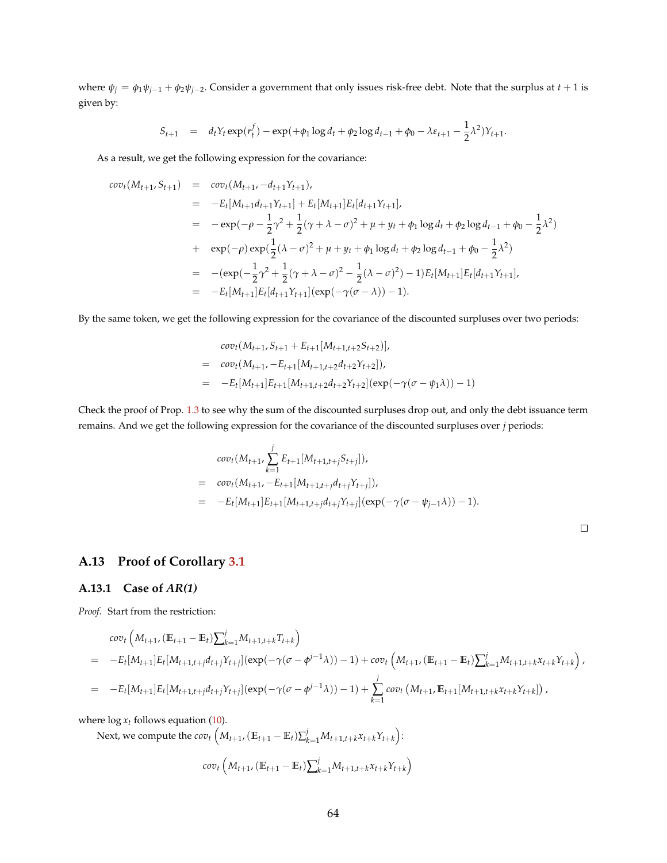where  $\psi_j = \phi_1 \psi_{j-1} + \phi_2 \psi_{j-2}$ . Consider a government that only issues risk-free debt. Note that the surplus at  $t+1$  is given by:

$$
S_{t+1} = d_t Y_t \exp(r_t^f) - \exp(+\phi_1 \log d_t + \phi_2 \log d_{t-1} + \phi_0 - \lambda \varepsilon_{t+1} - \frac{1}{2} \lambda^2) Y_{t+1}.
$$

As a result, we get the following expression for the covariance:

$$
cov_t(M_{t+1}, S_{t+1}) = cov_t(M_{t+1}, -d_{t+1}Y_{t+1}),
$$
  
\n
$$
= -E_t[M_{t+1}d_{t+1}Y_{t+1}] + E_t[M_{t+1}]E_t[d_{t+1}Y_{t+1}],
$$
  
\n
$$
= -exp(-\rho - \frac{1}{2}\gamma^2 + \frac{1}{2}(\gamma + \lambda - \sigma)^2 + \mu + y_t + \phi_1 \log d_t + \phi_2 \log d_{t-1} + \phi_0 - \frac{1}{2}\lambda^2)
$$
  
\n
$$
+ exp(-\rho) exp(\frac{1}{2}(\lambda - \sigma)^2 + \mu + y_t + \phi_1 \log d_t + \phi_2 \log d_{t-1} + \phi_0 - \frac{1}{2}\lambda^2)
$$
  
\n
$$
= -(exp(-\frac{1}{2}\gamma^2 + \frac{1}{2}(\gamma + \lambda - \sigma)^2 - \frac{1}{2}(\lambda - \sigma)^2) - 1)E_t[M_{t+1}]E_t[d_{t+1}Y_{t+1}],
$$
  
\n
$$
= -E_t[M_{t+1}]E_t[d_{t+1}Y_{t+1}](exp(-\gamma(\sigma - \lambda)) - 1).
$$

By the same token, we get the following expression for the covariance of the discounted surpluses over two periods:

$$
cov_t(M_{t+1}, S_{t+1} + E_{t+1}[M_{t+1,t+2}S_{t+2})],
$$
  
= 
$$
cov_t(M_{t+1}, -E_{t+1}[M_{t+1,t+2}d_{t+2}Y_{t+2}]),
$$
  
= 
$$
-E_t[M_{t+1}]E_{t+1}[M_{t+1,t+2}d_{t+2}Y_{t+2}](exp(-\gamma(\sigma - \psi_1\lambda)) - 1)
$$

Check the proof of Prop. [1.3](#page-14-0) to see why the sum of the discounted surpluses drop out, and only the debt issuance term remains. And we get the following expression for the covariance of the discounted surpluses over *j* periods:

$$
cov_t(M_{t+1}, \sum_{k=1}^j E_{t+1}[M_{t+1,t+j}S_{t+j}]),
$$
  
= 
$$
cov_t(M_{t+1}, -E_{t+1}[M_{t+1,t+j}d_{t+j}Y_{t+j}]),
$$
  
= 
$$
-E_t[M_{t+1}]E_{t+1}[M_{t+1,t+j}d_{t+j}Y_{t+j}](exp(-\gamma(\sigma - \psi_{j-1}\lambda)) - 1).
$$

# **A.13 Proof of Corollary [3.1](#page-33-0)**

#### **A.13.1 Case of** *AR(1)*

*Proof.* Start from the restriction:

$$
cov_t\left(M_{t+1}, (\mathbb{E}_{t+1} - \mathbb{E}_t)\sum_{k=1}^j M_{t+1,t+k} T_{t+k}\right)
$$
  
=  $-E_t[M_{t+1}]E_t[M_{t+1,t+j}d_{t+j}Y_{t+j}](exp(-\gamma(\sigma-\phi^{j-1}\lambda))-1) + cov_t\left(M_{t+1}, (\mathbb{E}_{t+1} - \mathbb{E}_t)\sum_{k=1}^j M_{t+1,t+k}X_{t+k}Y_{t+k}\right),$   
=  $-E_t[M_{t+1}]E_t[M_{t+1,t+j}d_{t+j}Y_{t+j}](exp(-\gamma(\sigma-\phi^{j-1}\lambda))-1) + \sum_{k=1}^j cov_t\left(M_{t+1}, \mathbb{E}_{t+1}[M_{t+1,t+k}X_{t+k}Y_{t+k}]\right),$ 

where  $\log x_t$  follows equation [\(10\)](#page-31-0).

Next, we compute the  $cov_t\left(M_{t+1},(\mathbb{E}_{t+1}-\mathbb{E}_t)\sum_{k=1}^{j}M_{t+1,t+k}x_{t+k}Y_{t+k}\right):$ 

$$
cov_t\left(M_{t+1}, (\mathbb{E}_{t+1} - \mathbb{E}_t) \sum_{k=1}^{j} M_{t+1,t+k} x_{t+k} Y_{t+k}\right)
$$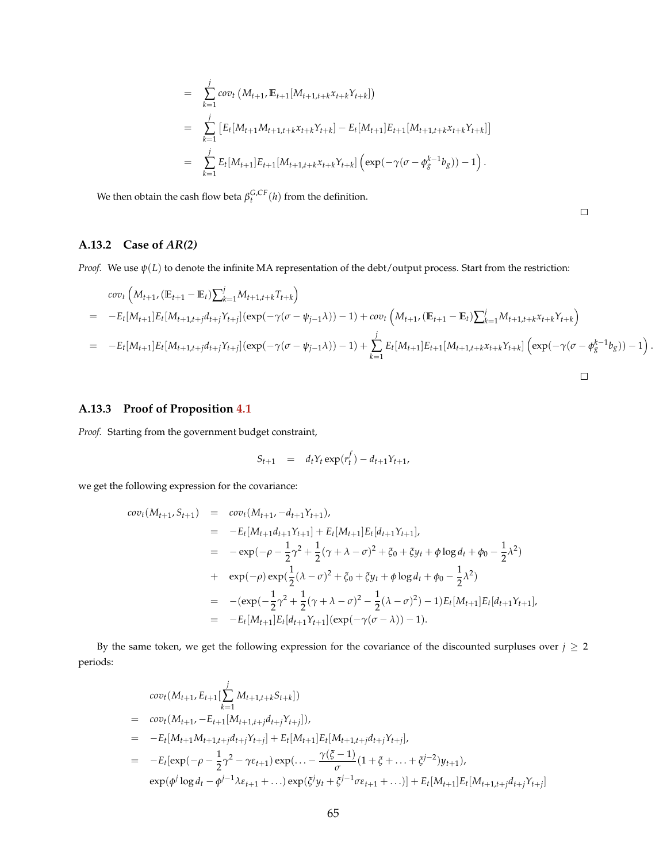$$
= \sum_{k=1}^{j} cov_t (M_{t+1}, E_{t+1}[M_{t+1,t+k}x_{t+k}Y_{t+k}])
$$
  
\n
$$
= \sum_{k=1}^{j} [E_t[M_{t+1}M_{t+1,t+k}x_{t+k}Y_{t+k}] - E_t[M_{t+1}]E_{t+1}[M_{t+1,t+k}x_{t+k}Y_{t+k}]]
$$
  
\n
$$
= \sum_{k=1}^{j} E_t[M_{t+1}]E_{t+1}[M_{t+1,t+k}x_{t+k}Y_{t+k}] (exp(-\gamma(\sigma - \phi_g^{k-1}b_g)) - 1).
$$

We then obtain the cash flow beta  $\beta_t^{G,CF}(h)$  from the definition.

 $\Box$ 

### **A.13.2 Case of** *AR(2)*

*Proof.* We use  $\psi(L)$  to denote the infinite MA representation of the debt/output process. Start from the restriction:

$$
cov_t\left(M_{t+1}, (\mathbb{E}_{t+1} - \mathbb{E}_t)\sum_{k=1}^j M_{t+1,t+k}T_{t+k}\right)
$$
  
=  $-E_t[M_{t+1}]E_t[M_{t+1,t+j}d_{t+j}Y_{t+j}](exp(-\gamma(\sigma - \psi_{j-1}\lambda)) - 1) + cov_t\left(M_{t+1}, (\mathbb{E}_{t+1} - \mathbb{E}_t)\sum_{k=1}^j M_{t+1,t+k}X_{t+k}Y_{t+k}\right)$   
=  $-E_t[M_{t+1}]E_t[M_{t+1,t+j}d_{t+j}Y_{t+j}](exp(-\gamma(\sigma - \psi_{j-1}\lambda)) - 1) + \sum_{k=1}^j E_t[M_{t+1}]E_{t+1}[M_{t+1,t+k}X_{t+k}Y_{t+k}] (exp(-\gamma(\sigma - \phi_{g}^{k-1}b_{g})) - 1).$ 

### **A.13.3 Proof of Proposition [4.1](#page-40-0)**

*Proof.* Starting from the government budget constraint,

$$
S_{t+1} = d_t Y_t \exp(r_t^f) - d_{t+1} Y_{t+1},
$$

we get the following expression for the covariance:

$$
cov_t(M_{t+1}, S_{t+1}) = cov_t(M_{t+1}, -d_{t+1}Y_{t+1}),
$$
  
\n
$$
= -E_t[M_{t+1}d_{t+1}Y_{t+1}] + E_t[M_{t+1}]E_t[d_{t+1}Y_{t+1}],
$$
  
\n
$$
= -exp(-\rho - \frac{1}{2}\gamma^2 + \frac{1}{2}(\gamma + \lambda - \sigma)^2 + \xi_0 + \xi y_t + \phi \log d_t + \phi_0 - \frac{1}{2}\lambda^2)
$$
  
\n
$$
+ exp(-\rho) exp(\frac{1}{2}(\lambda - \sigma)^2 + \xi_0 + \xi y_t + \phi \log d_t + \phi_0 - \frac{1}{2}\lambda^2)
$$
  
\n
$$
= -(exp(-\frac{1}{2}\gamma^2 + \frac{1}{2}(\gamma + \lambda - \sigma)^2 - \frac{1}{2}(\lambda - \sigma)^2) - 1)E_t[M_{t+1}]E_t[d_{t+1}Y_{t+1}],
$$
  
\n
$$
= -E_t[M_{t+1}]E_t[d_{t+1}Y_{t+1}] (exp(-\gamma(\sigma - \lambda)) - 1).
$$

By the same token, we get the following expression for the covariance of the discounted surpluses over  $j \geq 2$ periods:

$$
cov_t(M_{t+1}, E_{t+1}[\sum_{k=1}^j M_{t+1,t+k}S_{t+k}])
$$
  
=  $cov_t(M_{t+1}, -E_{t+1}[M_{t+1,t+j}d_{t+j}Y_{t+j}]),$   
=  $-E_t[M_{t+1}M_{t+1,t+j}d_{t+j}Y_{t+j}] + E_t[M_{t+1}]E_t[M_{t+1,t+j}d_{t+j}Y_{t+j}],$   
=  $-E_t[exp(-\rho - \frac{1}{2}\gamma^2 - \gamma\epsilon_{t+1})exp(... - \frac{\gamma(\xi - 1)}{\sigma}(1 + \xi + ... + \xi^{j-2})y_{t+1}),$   
 $exp(\phi^j \log d_t - \phi^{j-1}\lambda \epsilon_{t+1} + ...)\exp(\xi^j y_t + \xi^{j-1}\sigma \epsilon_{t+1} + ...) ] + E_t[M_{t+1}]E_t[M_{t+1,t+j}d_{t+j}Y_{t+j}]$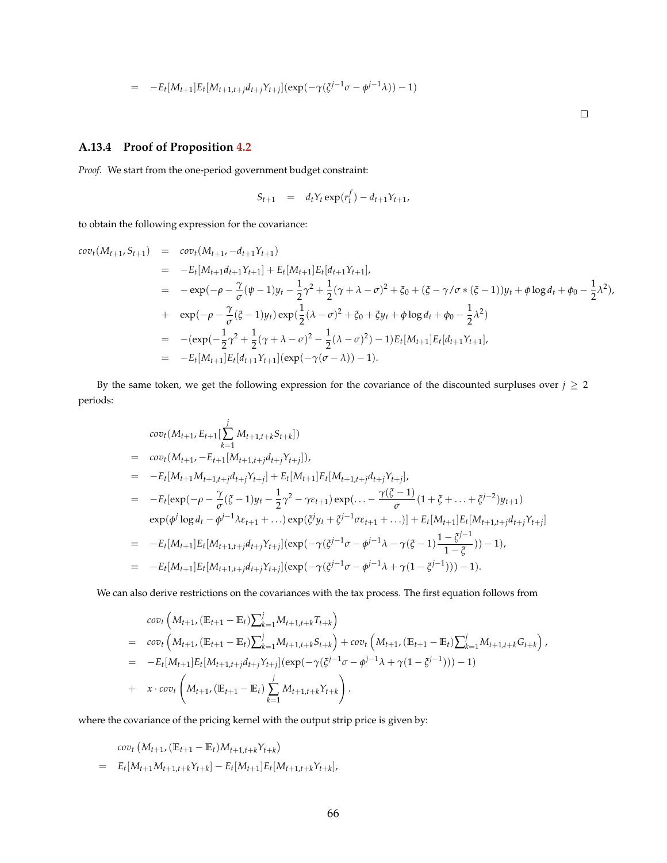$$
= -E_t[M_{t+1}]E_t[M_{t+1,t+j}d_{t+j}Y_{t+j}](\exp(-\gamma(\xi^{j-1}\sigma - \phi^{j-1}\lambda)) - 1)
$$

 $\Box$ 

## **A.13.4 Proof of Proposition [4.2](#page-43-1)**

*Proof.* We start from the one-period government budget constraint:

$$
S_{t+1} = d_t Y_t \exp(r_t^f) - d_{t+1} Y_{t+1},
$$

to obtain the following expression for the covariance:

$$
cov_{t}(M_{t+1}, S_{t+1}) = cov_{t}(M_{t+1}, -d_{t+1}Y_{t+1})
$$
  
\n
$$
= -E_{t}[M_{t+1}d_{t+1}Y_{t+1}] + E_{t}[M_{t+1}]E_{t}[d_{t+1}Y_{t+1}],
$$
  
\n
$$
= -exp(-\rho - \frac{\gamma}{\sigma}(\psi - 1)y_{t} - \frac{1}{2}\gamma^{2} + \frac{1}{2}(\gamma + \lambda - \sigma)^{2} + \zeta_{0} + (\zeta - \gamma/\sigma * (\zeta - 1))y_{t} + \phi \log d_{t} + \phi_{0} - \frac{1}{2}\lambda^{2}),
$$
  
\n
$$
+ exp(-\rho - \frac{\gamma}{\sigma}(\zeta - 1)y_{t}) exp(\frac{1}{2}(\lambda - \sigma)^{2} + \zeta_{0} + \zeta y_{t} + \phi \log d_{t} + \phi_{0} - \frac{1}{2}\lambda^{2})
$$
  
\n
$$
= -exp(-\frac{1}{2}\gamma^{2} + \frac{1}{2}(\gamma + \lambda - \sigma)^{2} - \frac{1}{2}(\lambda - \sigma)^{2}) - 1)E_{t}[M_{t+1}]E_{t}[d_{t+1}Y_{t+1}],
$$
  
\n
$$
= -E_{t}[M_{t+1}]E_{t}[d_{t+1}Y_{t+1}] (exp(-\gamma(\sigma - \lambda)) - 1).
$$

By the same token, we get the following expression for the covariance of the discounted surpluses over  $j \geq 2$ periods:

$$
cov_t(M_{t+1}, E_{t+1}[\sum_{k=1}^{j} M_{t+1,t+k}S_{t+k}])
$$
\n
$$
= cov_t(M_{t+1}, -E_{t+1}[M_{t+1,t+j}d_{t+j}Y_{t+j}]),
$$
\n
$$
= -E_t[M_{t+1}M_{t+1,t+j}d_{t+j}Y_{t+j}] + E_t[M_{t+1}]E_t[M_{t+1,t+j}d_{t+j}Y_{t+j}],
$$
\n
$$
= -E_t[exp(-\rho - \frac{\gamma}{\sigma}(\xi - 1)y_t - \frac{1}{2}\gamma^2 - \gamma\epsilon_{t+1})exp(... - \frac{\gamma(\xi - 1)}{\sigma}(1 + \xi + ... + \xi^{j-2})y_{t+1})
$$
\n
$$
exp(\phi^j \log d_t - \phi^{j-1}\lambda\epsilon_{t+1} + ...)exp(\xi^j y_t + \xi^{j-1}\sigma\epsilon_{t+1} + ...) ] + E_t[M_{t+1}]E_t[M_{t+1,t+j}d_{t+j}Y_{t+j}]
$$
\n
$$
= -E_t[M_{t+1}]E_t[M_{t+1,t+j}d_{t+j}Y_{t+j}] (exp(-\gamma(\xi^{j-1}\sigma - \phi^{j-1}\lambda - \gamma(\xi - 1)\frac{1 - \xi^{j-1}}{1 - \xi})) - 1),
$$
\n
$$
= -E_t[M_{t+1}]E_t[M_{t+1,t+j}d_{t+j}Y_{t+j}] (exp(-\gamma(\xi^{j-1}\sigma - \phi^{j-1}\lambda + \gamma(1 - \xi^{j-1}))) - 1).
$$

We can also derive restrictions on the covariances with the tax process. The first equation follows from

$$
cov_t\left(M_{t+1}, (\mathbb{E}_{t+1} - \mathbb{E}_t) \sum_{k=1}^j M_{t+1,t+k} T_{t+k}\right)
$$
  
= 
$$
cov_t\left(M_{t+1}, (\mathbb{E}_{t+1} - \mathbb{E}_t) \sum_{k=1}^j M_{t+1,t+k} S_{t+k}\right) + cov_t\left(M_{t+1}, (\mathbb{E}_{t+1} - \mathbb{E}_t) \sum_{k=1}^j M_{t+1,t+k} G_{t+k}\right),
$$
  
= 
$$
-E_t[M_{t+1}] E_t[M_{t+1,t+j} d_{t+j} Y_{t+j}] (exp(-\gamma(\xi^{j-1}\sigma - \phi^{j-1}\lambda + \gamma(1 - \xi^{j-1}))) - 1)
$$
  
+ 
$$
x \cdot cov_t\left(M_{t+1}, (\mathbb{E}_{t+1} - \mathbb{E}_t) \sum_{k=1}^j M_{t+1,t+k} Y_{t+k}\right).
$$

where the covariance of the pricing kernel with the output strip price is given by:

$$
cov_t (M_{t+1}, (\mathbb{E}_{t+1} - \mathbb{E}_t)M_{t+1,t+k}Y_{t+k})
$$
  
=  $E_t[M_{t+1}M_{t+1,t+k}Y_{t+k}] - E_t[M_{t+1}]E_t[M_{t+1,t+k}Y_{t+k}],$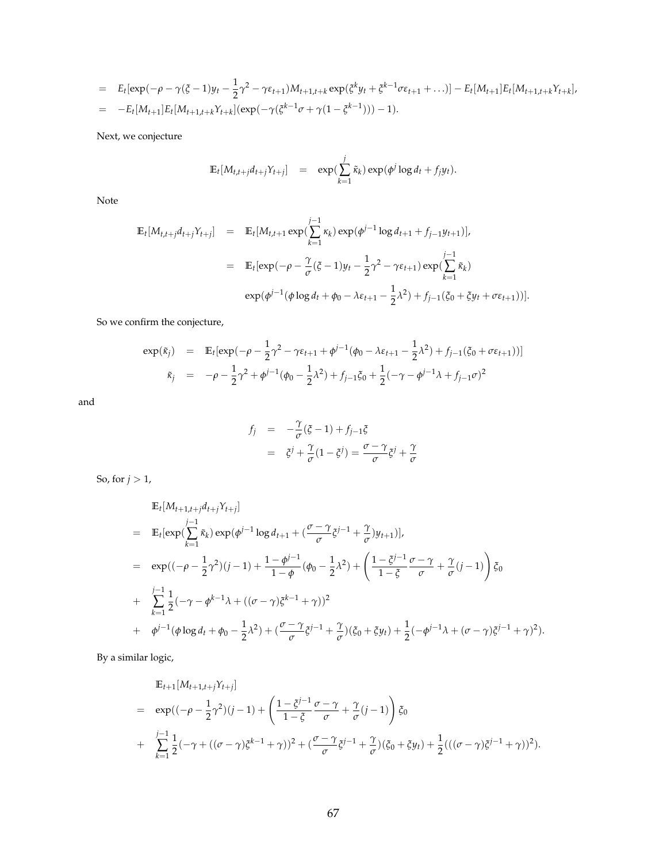$$
= E_t[\exp(-\rho - \gamma(\xi - 1)y_t - \frac{1}{2}\gamma^2 - \gamma\epsilon_{t+1})M_{t+1,t+k}\exp(\xi^k y_t + \xi^{k-1}\sigma\epsilon_{t+1} + ...)] - E_t[M_{t+1}]E_t[M_{t+1,t+k}\gamma_{t+k}],
$$
  

$$
= -E_t[M_{t+1}]E_t[M_{t+1,t+k}\gamma_{t+k}](\exp(-\gamma(\xi^{k-1}\sigma + \gamma(1 - \xi^{k-1}))) - 1).
$$

Next, we conjecture

$$
\mathbb{E}_t[M_{t,t+j}d_{t+j}Y_{t+j}] = \exp(\sum_{k=1}^j \tilde{\kappa}_k) \exp(\phi^j \log d_t + f_j y_t).
$$

Note

$$
\mathbb{E}_{t}[M_{t,t+j}d_{t+j}Y_{t+j}] = \mathbb{E}_{t}[M_{t,t+1} \exp(\sum_{k=1}^{j-1} \kappa_{k}) \exp(\phi^{j-1} \log d_{t+1} + f_{j-1}y_{t+1})],
$$
  
\n
$$
= \mathbb{E}_{t}[\exp(-\rho - \frac{\gamma}{\sigma}(\xi - 1)y_{t} - \frac{1}{2}\gamma^{2} - \gamma \varepsilon_{t+1}) \exp(\sum_{k=1}^{j-1} \tilde{\kappa}_{k})
$$
  
\n
$$
\exp(\phi^{j-1}(\phi \log d_{t} + \phi_{0} - \lambda \varepsilon_{t+1} - \frac{1}{2}\lambda^{2}) + f_{j-1}(\xi_{0} + \xi y_{t} + \sigma \varepsilon_{t+1}))].
$$

So we confirm the conjecture,

$$
\exp(\tilde{\kappa}_j) = \mathbb{E}_t[\exp(-\rho - \frac{1}{2}\gamma^2 - \gamma \varepsilon_{t+1} + \phi^{j-1}(\phi_0 - \lambda \varepsilon_{t+1} - \frac{1}{2}\lambda^2) + f_{j-1}(\xi_0 + \sigma \varepsilon_{t+1}))]
$$
  

$$
\tilde{\kappa}_j = -\rho - \frac{1}{2}\gamma^2 + \phi^{j-1}(\phi_0 - \frac{1}{2}\lambda^2) + f_{j-1}\xi_0 + \frac{1}{2}(-\gamma - \phi^{j-1}\lambda + f_{j-1}\sigma)^2
$$

and

$$
f_j = -\frac{\gamma}{\sigma}(\xi - 1) + f_{j-1}\xi
$$
  
=  $\xi^j + \frac{\gamma}{\sigma}(1 - \xi^j) = \frac{\sigma - \gamma}{\sigma}\xi^j + \frac{\gamma}{\sigma}$ 

So, for  $j > 1$ ,

$$
\mathbb{E}_{t}[M_{t+1,t+j}d_{t+j}Y_{t+j}]
$$
\n
$$
= \mathbb{E}_{t}[\exp(\sum_{k=1}^{j-1}\tilde{\kappa}_{k})\exp(\phi^{j-1}\log d_{t+1} + (\frac{\sigma-\gamma}{\sigma}\xi^{j-1} + \frac{\gamma}{\sigma})y_{t+1})],
$$
\n
$$
= \exp((-\rho-\frac{1}{2}\gamma^{2})(j-1) + \frac{1-\phi^{j-1}}{1-\phi}(\phi_{0}-\frac{1}{2}\lambda^{2}) + (\frac{1-\xi^{j-1}}{1-\xi}\frac{\sigma-\gamma}{\sigma} + \frac{\gamma}{\sigma}(j-1))\zeta_{0}
$$
\n
$$
+ \sum_{k=1}^{j-1}\frac{1}{2}(-\gamma-\phi^{k-1}\lambda + ((\sigma-\gamma)\xi^{k-1}+\gamma))^{2}
$$
\n
$$
+ \phi^{j-1}(\phi\log d_{t} + \phi_{0} - \frac{1}{2}\lambda^{2}) + (\frac{\sigma-\gamma}{\sigma}\xi^{j-1} + \frac{\gamma}{\sigma})(\xi_{0} + \xi y_{t}) + \frac{1}{2}(-\phi^{j-1}\lambda + (\sigma-\gamma)\xi^{j-1} + \gamma)^{2}).
$$

By a similar logic,

$$
\mathbb{E}_{t+1}[M_{t+1,t+j}\gamma_{t+j}]
$$
\n
$$
= \exp((-\rho - \frac{1}{2}\gamma^2)(j-1) + \left(\frac{1-\xi^{j-1}}{1-\xi}\frac{\sigma-\gamma}{\sigma} + \frac{\gamma}{\sigma}(j-1)\right)\xi_0
$$
\n
$$
+ \sum_{k=1}^{j-1} \frac{1}{2}(-\gamma + ((\sigma-\gamma)\xi^{k-1}+\gamma))^2 + (\frac{\sigma-\gamma}{\sigma}\xi^{j-1}+\frac{\gamma}{\sigma})(\xi_0+\xi y_t) + \frac{1}{2}(((\sigma-\gamma)\xi^{j-1}+\gamma))^2).
$$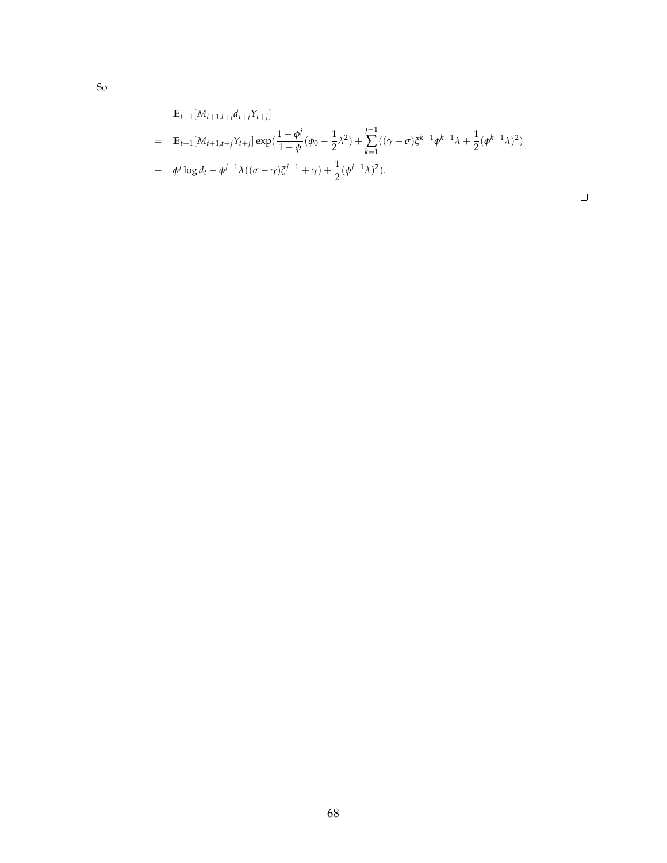$$
\mathbb{E}_{t+1}[M_{t+1,t+j}d_{t+j}\gamma_{t+j}]
$$
\n
$$
= \mathbb{E}_{t+1}[M_{t+1,t+j}\gamma_{t+j}] \exp(\frac{1-\phi^j}{1-\phi}(\phi_0 - \frac{1}{2}\lambda^2) + \sum_{k=1}^{j-1} ((\gamma - \sigma)\xi^{k-1}\phi^{k-1}\lambda + \frac{1}{2}(\phi^{k-1}\lambda)^2)
$$
\n
$$
+ \phi^j \log d_t - \phi^{j-1}\lambda((\sigma - \gamma)\xi^{j-1} + \gamma) + \frac{1}{2}(\phi^{j-1}\lambda)^2).
$$

 $\Box$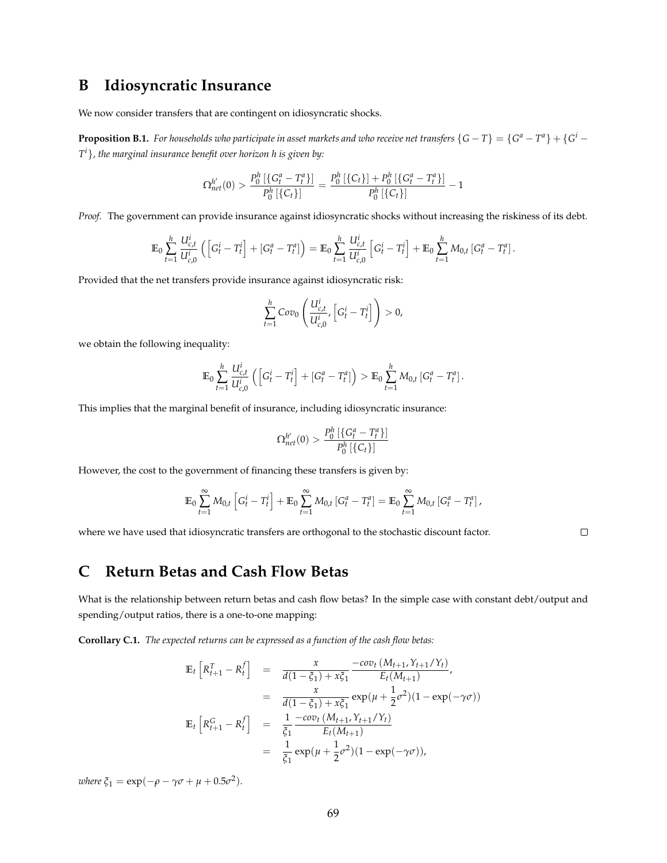# **B Idiosyncratic Insurance**

We now consider transfers that are contingent on idiosyncratic shocks.

**Proposition B.1.** For households who participate in asset markets and who receive net transfers  $\{G-T\}=\{G^a-T^a\}+\{G^i-T^a\}$ *T <sup>i</sup>*}*, the marginal insurance benefit over horizon h is given by:*

$$
\Omega_{net}^{h'}(0) > \frac{P_0^h\left[\left\{G_t^a - T_t^a\right\}\right]}{P_0^h\left[\left\{C_t\right\}\right]} = \frac{P_0^h\left[\left\{C_t\right\}\right] + P_0^h\left[\left\{G_t^a - T_t^a\right\}\right]}{P_0^h\left[\left\{C_t\right\}\right]} - 1
$$

*Proof.* The government can provide insurance against idiosyncratic shocks without increasing the riskiness of its debt.

$$
\mathbb{E}_0 \sum_{t=1}^h \frac{U_{c,t}^i}{U_{c,0}^i} \left( \left[ G_t^i - T_t^i \right] + \left[ G_t^a - T_t^a \right] \right) = \mathbb{E}_0 \sum_{t=1}^h \frac{U_{c,t}^i}{U_{c,0}^i} \left[ G_t^i - T_t^i \right] + \mathbb{E}_0 \sum_{t=1}^h M_{0,t} \left[ G_t^a - T_t^a \right].
$$

Provided that the net transfers provide insurance against idiosyncratic risk:

$$
\sum_{t=1}^h \text{Cov}_0\left(\frac{U_{c,t}^i}{U_{c,0}^i}, \left[G_t^i - T_t^i\right]\right) > 0,
$$

we obtain the following inequality:

$$
\mathbb{E}_0 \sum_{t=1}^h \frac{U_{c,t}^i}{U_{c,0}^i} \left( \left[ G_t^i - T_t^i \right] + \left[ G_t^a - T_t^a \right] \right) > \mathbb{E}_0 \sum_{t=1}^h M_{0,t} \left[ G_t^a - T_t^a \right].
$$

This implies that the marginal benefit of insurance, including idiosyncratic insurance:

$$
\Omega_{net}^{h'}(0) > \frac{P_0^h \left[ \{ G_t^a - T_t^a \} \right]}{P_0^h \left[ \{ C_t \} \right]}
$$

However, the cost to the government of financing these transfers is given by:

$$
\mathbb{E}_0 \sum_{t=1}^{\infty} M_{0,t} \left[ G_t^i - T_t^i \right] + \mathbb{E}_0 \sum_{t=1}^{\infty} M_{0,t} \left[ G_t^a - T_t^a \right] = \mathbb{E}_0 \sum_{t=1}^{\infty} M_{0,t} \left[ G_t^a - T_t^a \right],
$$

 $\Box$ 

where we have used that idiosyncratic transfers are orthogonal to the stochastic discount factor.

# **C Return Betas and Cash Flow Betas**

What is the relationship between return betas and cash flow betas? In the simple case with constant debt/output and spending/output ratios, there is a one-to-one mapping:

**Corollary C.1.** *The expected returns can be expressed as a function of the cash flow betas:*

$$
\mathbb{E}_{t}\left[R_{t+1}^{T} - R_{t}^{f}\right] = \frac{x}{d(1-\xi_{1}) + x\xi_{1}} \frac{-cov_{t}(M_{t+1}, Y_{t+1}/Y_{t})}{E_{t}(M_{t+1})},
$$
\n
$$
= \frac{x}{d(1-\xi_{1}) + x\xi_{1}} exp(\mu + \frac{1}{2}\sigma^{2})(1 - exp(-\gamma\sigma))
$$
\n
$$
\mathbb{E}_{t}\left[R_{t+1}^{G} - R_{t}^{f}\right] = \frac{1}{\xi_{1}} \frac{-cov_{t}(M_{t+1}, Y_{t+1}/Y_{t})}{E_{t}(M_{t+1})}
$$
\n
$$
= \frac{1}{\xi_{1}} exp(\mu + \frac{1}{2}\sigma^{2})(1 - exp(-\gamma\sigma)),
$$

 $where \xi_1 = \exp(-\rho - \gamma \sigma + \mu + 0.5\sigma^2).$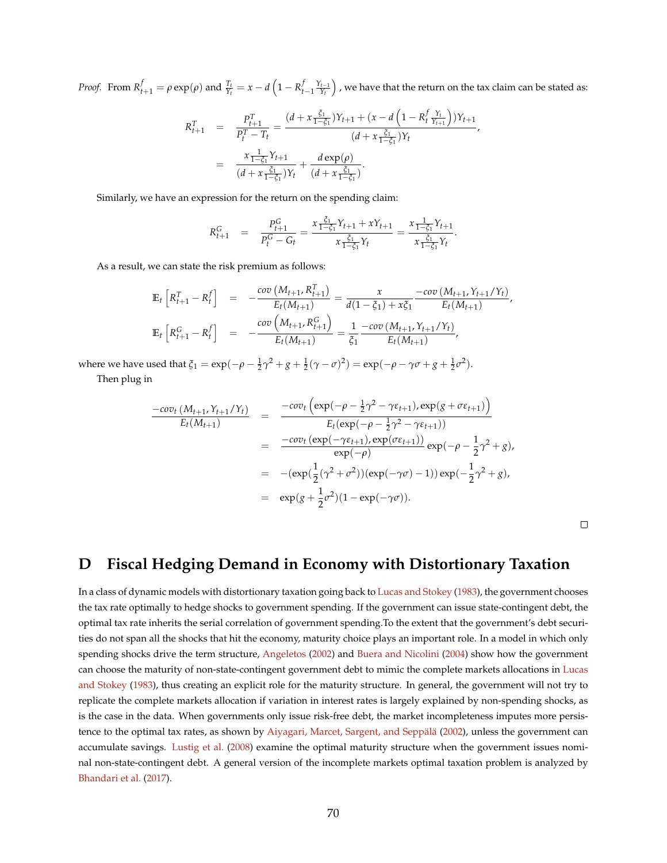Proof. From  $R_{t+1}^f=\rho\exp(\rho)$  and  $\frac{T_t}{Y_t}=x-d\left(1-R_{t-1}^f\frac{Y_{t-1}}{Y_t}\right)$  , we have that the return on the tax claim can be stated as:

$$
R_{t+1}^T = \frac{P_{t+1}^T}{P_t^T - T_t} = \frac{(d + x \frac{\xi_1}{1 - \xi_1})Y_{t+1} + (x - d \left(1 - R_t^f \frac{Y_t}{Y_{t+1}}\right))Y_{t+1}}{(d + x \frac{\xi_1}{1 - \xi_1})Y_t}
$$
\n
$$
= \frac{x \frac{1}{1 - \xi_1}Y_{t+1}}{(d + x \frac{\xi_1}{1 - \xi_1})Y_t} + \frac{d \exp(\rho)}{(d + x \frac{\xi_1}{1 - \xi_1})}.
$$

Similarly, we have an expression for the return on the spending claim:

$$
R_{t+1}^G = \frac{P_{t+1}^G}{P_t^G - G_t} = \frac{x \frac{\xi_1}{1 - \xi_1} Y_{t+1} + x Y_{t+1}}{x \frac{\xi_1}{1 - \xi_1} Y_t} = \frac{x \frac{1}{1 - \xi_1} Y_{t+1}}{x \frac{\xi_1}{1 - \xi_1} Y_t}.
$$

As a result, we can state the risk premium as follows:

$$
\mathbb{E}_{t}\left[R_{t+1}^{T}-R_{t}^{f}\right] = -\frac{\text{cov}\left(M_{t+1}, R_{t+1}^{T}\right)}{E_{t}(M_{t+1})} = \frac{x}{d(1-\xi_{1})+x\xi_{1}} - \frac{\text{cov}\left(M_{t+1}, Y_{t+1}/Y_{t}\right)}{E_{t}(M_{t+1})},
$$
\n
$$
\mathbb{E}_{t}\left[R_{t+1}^{G}-R_{t}^{f}\right] = -\frac{\text{cov}\left(M_{t+1}, R_{t+1}^{G}\right)}{E_{t}(M_{t+1})} = \frac{1}{\xi_{1}} - \frac{\text{cov}\left(M_{t+1}, Y_{t+1}/Y_{t}\right)}{E_{t}(M_{t+1})},
$$

where we have used that  $\xi_1 = \exp(-\rho - \frac{1}{2}\gamma^2 + g + \frac{1}{2}(\gamma - \sigma)^2) = \exp(-\rho - \gamma\sigma + g + \frac{1}{2}\sigma^2)$ .

Then plug in

$$
\frac{-cov_t (M_{t+1}, Y_{t+1}/Y_t)}{E_t(M_{t+1})} = \frac{-cov_t \left(\exp(-\rho - \frac{1}{2}\gamma^2 - \gamma \varepsilon_{t+1}), \exp(g + \sigma \varepsilon_{t+1})\right)}{E_t(\exp(-\rho - \frac{1}{2}\gamma^2 - \gamma \varepsilon_{t+1}))}
$$
  
\n
$$
= \frac{-cov_t \left(\exp(-\gamma \varepsilon_{t+1}), \exp(\sigma \varepsilon_{t+1})\right)}{\exp(-\rho)} \exp(-\rho - \frac{1}{2}\gamma^2 + g),
$$
  
\n
$$
= -(\exp(\frac{1}{2}(\gamma^2 + \sigma^2))(\exp(-\gamma \sigma) - 1)) \exp(-\frac{1}{2}\gamma^2 + g),
$$
  
\n
$$
= \exp(g + \frac{1}{2}\sigma^2)(1 - \exp(-\gamma \sigma)).
$$

 $\Box$ 

# **D Fiscal Hedging Demand in Economy with Distortionary Taxation**

In a class of dynamic models with distortionary taxation going back to [Lucas and Stokey](#page-50-0) [\(1983\)](#page-50-0), the government chooses the tax rate optimally to hedge shocks to government spending. If the government can issue state-contingent debt, the optimal tax rate inherits the serial correlation of government spending.To the extent that the government's debt securities do not span all the shocks that hit the economy, maturity choice plays an important role. In a model in which only spending shocks drive the term structure, [Angeletos](#page-46-4) [\(2002\)](#page-46-4) and [Buera and Nicolini](#page-48-2) [\(2004\)](#page-48-2) show how the government can choose the maturity of non-state-contingent government debt to mimic the complete markets allocations in [Lucas](#page-50-0) [and Stokey](#page-50-0) [\(1983\)](#page-50-0), thus creating an explicit role for the maturity structure. In general, the government will not try to replicate the complete markets allocation if variation in interest rates is largely explained by non-spending shocks, as is the case in the data. When governments only issue risk-free debt, the market incompleteness imputes more persis-tence to the optimal tax rates, as shown by Aiyagari, Marcet, Sargent, and Seppälä [\(2002\)](#page-46-5), unless the government can accumulate savings. [Lustig et al.](#page-50-1) [\(2008\)](#page-50-1) examine the optimal maturity structure when the government issues nominal non-state-contingent debt. A general version of the incomplete markets optimal taxation problem is analyzed by [Bhandari et al.](#page-47-0) [\(2017\)](#page-47-0).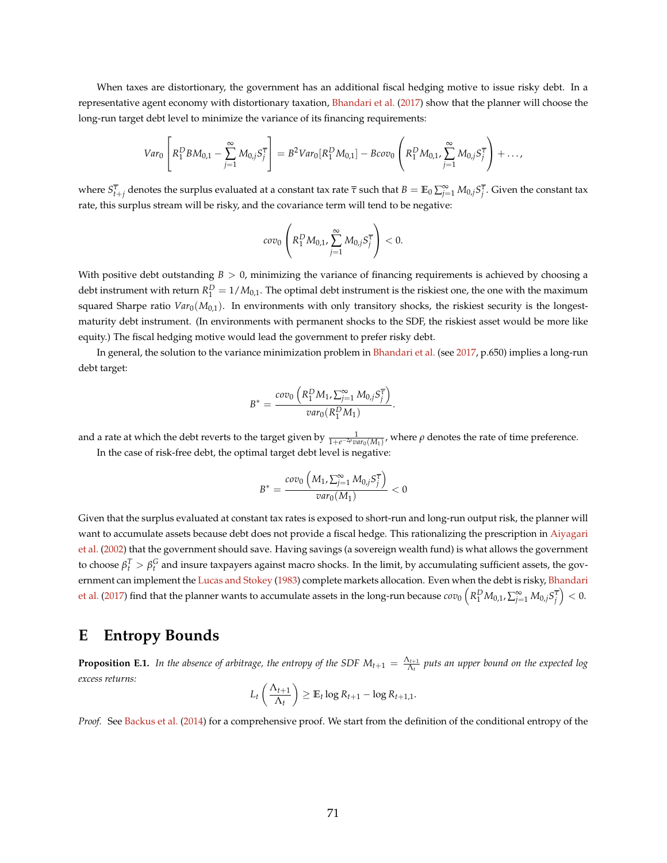When taxes are distortionary, the government has an additional fiscal hedging motive to issue risky debt. In a representative agent economy with distortionary taxation, [Bhandari et al.](#page-47-0) [\(2017\)](#page-47-0) show that the planner will choose the long-run target debt level to minimize the variance of its financing requirements:

$$
Var_0\left[R_1^DBM_{0,1}-\sum_{j=1}^{\infty}M_{0,j}S_j^{\overline{\tau}}\right]=B^2Var_0[R_1^DM_{0,1}]-Bcov_0\left(R_1^DM_{0,1},\sum_{j=1}^{\infty}M_{0,j}S_j^{\overline{\tau}}\right)+\ldots,
$$

where  $S^{\overline{\tau}}_{t+j}$  denotes the surplus evaluated at a constant tax rate  $\overline{\tau}$  such that  $B=\mathbb{E}_0\sum_{j=1}^\infty M_{0,j}S^{\overline{\tau}}_j.$  Given the constant tax rate, this surplus stream will be risky, and the covariance term will tend to be negative:

$$
cov_0\left(R_1^D M_{0,1}, \sum_{j=1}^{\infty} M_{0,j} S_j^{\overline{\tau}}\right) < 0.
$$

With positive debt outstanding  $B > 0$ , minimizing the variance of financing requirements is achieved by choosing a debt instrument with return  $R_1^D = 1/M_{0,1}$ . The optimal debt instrument is the riskiest one, the one with the maximum squared Sharpe ratio  $Var_0(M_{0,1})$ . In environments with only transitory shocks, the riskiest security is the longestmaturity debt instrument. (In environments with permanent shocks to the SDF, the riskiest asset would be more like equity.) The fiscal hedging motive would lead the government to prefer risky debt.

In general, the solution to the variance minimization problem in [Bhandari et al.](#page-47-0) (see [2017,](#page-47-0) p.650) implies a long-run debt target:

$$
B^* = \frac{cov_0\left(R_1^D M_1, \sum_{j=1}^{\infty} M_{0,j} S_j^{\overline{\tau}}\right)}{var_0(R_1^D M_1)}.
$$

and a rate at which the debt reverts to the target given by  $\frac{1}{1+e^{-2\rho}var_0(M_1)}$ , where  $\rho$  denotes the rate of time preference. In the case of risk-free debt, the optimal target debt level is negative:

$$
B^* = \frac{cov_0\left(M_1, \sum_{j=1}^{\infty} M_{0,j} S_j^{\overline{\tau}}\right)}{var_0(M_1)} < 0
$$

Given that the surplus evaluated at constant tax rates is exposed to short-run and long-run output risk, the planner will want to accumulate assets because debt does not provide a fiscal hedge. This rationalizing the prescription in [Aiyagari](#page-46-5) [et al.](#page-46-5) [\(2002\)](#page-46-5) that the government should save. Having savings (a sovereign wealth fund) is what allows the government to choose  $β_t^T > β_t^G$  and insure taxpayers against macro shocks. In the limit, by accumulating sufficient assets, the gov-ernment can implement the [Lucas and Stokey](#page-50-0) [\(1983\)](#page-50-0) complete markets allocation. Even when the debt is risky, [Bhandari](#page-47-0) [et al.](#page-47-0) [\(2017\)](#page-47-0) find that the planner wants to accumulate assets in the long-run because  $cov_0\left(R_1^D M_{0,1},\sum_{j=1}^{\infty} M_{0,j} s_j^{\overline{\tau}}\right)<0.$ 

# <span id="page-71-0"></span>**E Entropy Bounds**

**Proposition E.1.** In the absence of arbitrage, the entropy of the SDF  $M_{t+1} = \frac{\Lambda_{t+1}}{\Lambda_t}$  puts an upper bound on the expected log *excess returns:*

$$
L_t\left(\frac{\Lambda_{t+1}}{\Lambda_t}\right) \geq \mathbb{E}_t \log R_{t+1} - \log R_{t+1,1}.
$$

*Proof.* See [Backus et al.](#page-46-2) [\(2014\)](#page-46-2) for a comprehensive proof. We start from the definition of the conditional entropy of the